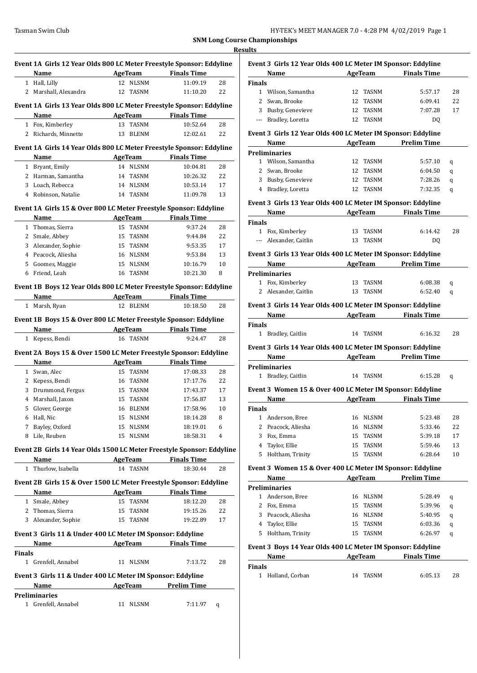|               | Event 1A Girls 12 Year Olds 800 LC Meter Freestyle Sponsor: Eddyline  |                                      |                    |    |
|---------------|-----------------------------------------------------------------------|--------------------------------------|--------------------|----|
|               | Name                                                                  | AgeTeam                              | <b>Finals Time</b> |    |
| 1             | Hall, Lilly                                                           | 12<br><b>NLSNM</b>                   | 11:09.19           | 28 |
| 2             | Marshall, Alexandra                                                   | 12<br>TASNM                          | 11:10.20           | 22 |
|               | Event 1A Girls 13 Year Olds 800 LC Meter Freestyle Sponsor: Eddyline  |                                      |                    |    |
|               | Name                                                                  | AgeTeam                              | <b>Finals Time</b> |    |
|               | 1 Fox, Kimberley                                                      | 13<br>TASNM                          | 10:52.64           | 28 |
|               | 2 Richards, Minnette                                                  | <b>BLENM</b><br>13                   | 12:02.61           | 22 |
|               |                                                                       |                                      |                    |    |
|               | Event 1A Girls 14 Year Olds 800 LC Meter Freestyle Sponsor: Eddyline  |                                      | <b>Finals Time</b> |    |
|               | Name                                                                  | AgeTeam                              |                    |    |
|               | 1 Bryant, Emily                                                       | 14 NLSNM                             | 10:04.81           | 28 |
|               | 2 Harman, Samantha                                                    | 14 TASNM                             | 10:26.32           | 22 |
|               | 3 Loach, Rebecca                                                      | 14 NLSNM                             | 10:53.14           | 17 |
|               | 4 Robinson, Natalie                                                   | 14 TASNM                             | 11:09.78           | 13 |
|               | Event 1A Girls 15 & Over 800 LC Meter Freestyle Sponsor: Eddyline     |                                      |                    |    |
|               | Name                                                                  | <b>AgeTeam</b>                       | <b>Finals Time</b> |    |
| $\mathbf{1}$  | Thomas, Sierra                                                        | 15<br><b>TASNM</b>                   | 9:37.24            | 28 |
|               | 2 Smale, Abbey                                                        | 15 TASNM                             | 9:44.84            | 22 |
|               | 3 Alexander, Sophie                                                   | 15 TASNM                             | 9:53.35            | 17 |
|               | 4 Peacock, Aliesha                                                    | 16 NLSNM                             | 9:53.84            | 13 |
| 5             | Goomes, Maggie                                                        | 15<br>NLSNM                          | 10:16.79           | 10 |
| 6             | Friend, Leah                                                          | 16 TASNM                             | 10:21.30           | 8  |
|               |                                                                       |                                      |                    |    |
|               | Event 1B Boys 12 Year Olds 800 LC Meter Freestyle Sponsor: Eddyline   |                                      |                    |    |
|               | Name                                                                  | AgeTeam                              | <b>Finals Time</b> |    |
|               | 1 Marsh, Ryan                                                         | 12 BLENM                             | 10:18.50           | 28 |
|               | Event 1B Boys 15 & Over 800 LC Meter Freestyle Sponsor: Eddyline      |                                      |                    |    |
|               | Name                                                                  | AgeTeam                              | <b>Finals Time</b> |    |
|               | 1 Kepess, Bendi                                                       | 16 TASNM                             | 9:24.47            | 28 |
|               | Event 2A Boys 15 & Over 1500 LC Meter Freestyle Sponsor: Eddyline     |                                      |                    |    |
|               | Name                                                                  | AgeTeam                              | <b>Finals Time</b> |    |
|               | 1 Swan, Alec                                                          | 15 TASNM                             | 17:08.33           | 28 |
|               | 2 Kepess, Bendi                                                       | 16 TASNM                             | 17:17.76           | 22 |
|               | 3 Drummond, Fergus                                                    | 15 TASNM                             | 17:43.37           | 17 |
|               | 4 Marshall, Jaxon                                                     | 15 TASNM                             | 17:56.87           | 13 |
| 5             | Glover, George                                                        | 16 BLENM                             | 17:58.96           | 10 |
|               |                                                                       | 15 NLSNM                             | 18:14.28           | 8  |
|               | 6 Hall, Nic                                                           |                                      |                    |    |
|               | 7 Bayley, Oxford                                                      | 15 NLSNM                             | 18:19.01           | 6  |
|               | 8 Lile, Reuben                                                        | 15<br>NLSNM                          | 18:58.31           | 4  |
|               |                                                                       |                                      |                    |    |
|               | Event 2B Girls 14 Year Olds 1500 LC Meter Freestyle Sponsor: Eddyline |                                      |                    |    |
|               | <b>Name</b>                                                           | <b>Example 2 AgeTeam</b> Finals Time |                    |    |
|               | 1 Thurlow, Isabella                                                   | 14 TASNM                             | 18:30.44           | 28 |
|               |                                                                       |                                      |                    |    |
|               | Event 2B Girls 15 & Over 1500 LC Meter Freestyle Sponsor: Eddyline    |                                      |                    |    |
|               | Name                                                                  | AgeTeam                              | <b>Finals Time</b> |    |
|               | 1 Smale, Abbey                                                        | 15 TASNM                             | 18:12.20           | 28 |
|               | 2 Thomas, Sierra                                                      | 15 TASNM                             | 19:15.26           | 22 |
|               | 3 Alexander, Sophie                                                   | 15 TASNM                             | 19:22.89           | 17 |
|               | Event 3 Girls 11 & Under 400 LC Meter IM Sponsor: Eddyline            |                                      |                    |    |
|               | Name                                                                  | <b>AgeTeam</b>                       | <b>Finals Time</b> |    |
|               |                                                                       |                                      |                    |    |
|               | 1 Grenfell, Annabel                                                   | 11<br>NLSNM                          | 7:13.72            | 28 |
|               |                                                                       |                                      |                    |    |
|               | Event 3 Girls 11 & Under 400 LC Meter IM Sponsor: Eddyline            |                                      |                    |    |
|               | Name                                                                  | <b>Example 2 AgeTeam</b> Prelim Time |                    |    |
| <b>Finals</b> | <b>Preliminaries</b><br>1 Grenfell, Annabel                           |                                      |                    |    |

| Event 3 Girls 12 Year Olds 400 LC Meter IM Sponsor: Eddyline                                                                                                                                                                        |                                      |                     |    |
|-------------------------------------------------------------------------------------------------------------------------------------------------------------------------------------------------------------------------------------|--------------------------------------|---------------------|----|
| <b>Name</b>                                                                                                                                                                                                                         | <b>AgeTeam</b>                       | <b>Finals Time</b>  |    |
| <b>Finals</b>                                                                                                                                                                                                                       |                                      |                     |    |
| 1 Wilson, Samantha                                                                                                                                                                                                                  | 12 TASNM                             | 5:57.17             | 28 |
| 2 Swan, Brooke                                                                                                                                                                                                                      | 12 TASNM                             | 6:09.41             | 22 |
| 3 Busby, Genevieve                                                                                                                                                                                                                  | 12 TASNM                             | 7:07.28             | 17 |
| --- Bradley, Loretta                                                                                                                                                                                                                | 12 TASNM                             | DQ                  |    |
|                                                                                                                                                                                                                                     |                                      |                     |    |
| Event 3 Girls 12 Year Olds 400 LC Meter IM Sponsor: Eddyline                                                                                                                                                                        |                                      |                     |    |
| Name and the same of the same of the same of the same of the same of the same of the same of the same of the same of the same of the same of the same of the same of the same of the same of the same of the same of the same       |                                      | AgeTeam Prelim Time |    |
| <b>Preliminaries</b>                                                                                                                                                                                                                |                                      |                     |    |
| 1 Wilson, Samantha                                                                                                                                                                                                                  | 12 TASNM                             | 5:57.10             | q  |
| 2 Swan, Brooke                                                                                                                                                                                                                      | 12 TASNM                             | 6:04.50             | q  |
| 3 Busby, Genevieve                                                                                                                                                                                                                  | 12 TASNM                             | 7:28.26             | q  |
| 4 Bradley, Loretta                                                                                                                                                                                                                  | 12 TASNM                             | 7:32.35             | q  |
| Event 3 Girls 13 Year Olds 400 LC Meter IM Sponsor: Eddyline                                                                                                                                                                        |                                      |                     |    |
| Name                                                                                                                                                                                                                                | <b>Example 2 AgeTeam</b> Finals Time |                     |    |
| <b>Finals</b>                                                                                                                                                                                                                       |                                      |                     |    |
| 1 Fox, Kimberley                                                                                                                                                                                                                    | 13 TASNM                             | 6:14.42             | 28 |
| --- Alexander, Caitlin                                                                                                                                                                                                              | 13 TASNM                             | D <sub>0</sub>      |    |
|                                                                                                                                                                                                                                     |                                      |                     |    |
| Event 3 Girls 13 Year Olds 400 LC Meter IM Sponsor: Eddyline                                                                                                                                                                        |                                      |                     |    |
| <b>Name</b> and the state of the state of the state of the state of the state of the state of the state of the state of the state of the state of the state of the state of the state of the state of the state of the state of the |                                      | AgeTeam Prelim Time |    |
| <b>Preliminaries</b>                                                                                                                                                                                                                |                                      |                     |    |
| 1 Fox, Kimberley                                                                                                                                                                                                                    | 13 TASNM                             | 6:08.38             | q  |
| 2 Alexander, Caitlin                                                                                                                                                                                                                | 13 TASNM                             | 6:52.40             | q  |
| Event 3 Girls 14 Year Olds 400 LC Meter IM Sponsor: Eddyline                                                                                                                                                                        |                                      |                     |    |
| Name and the same state of the state of the state of the state of the state of the state of the state of the state of the state of the state of the state of the state of the state of the state of the state of the state of       |                                      | AgeTeam Finals Time |    |
| <b>Finals</b>                                                                                                                                                                                                                       |                                      |                     |    |
| 1 Bradley, Caitlin                                                                                                                                                                                                                  | 14 TASNM                             | 6:16.32             | 28 |
|                                                                                                                                                                                                                                     |                                      |                     |    |
| Event 3 Girls 14 Year Olds 400 LC Meter IM Sponsor: Eddyline                                                                                                                                                                        |                                      |                     |    |
| Name                                                                                                                                                                                                                                | AgeTeam Prelim Time                  |                     |    |
| <b>Preliminaries</b>                                                                                                                                                                                                                |                                      |                     |    |
| 1 Bradley, Caitlin                                                                                                                                                                                                                  | 14 TASNM                             | 6:15.28             | q  |
| Event 3 Women 15 & Over 400 LC Meter IM Sponsor: Eddyline                                                                                                                                                                           |                                      |                     |    |
| Name                                                                                                                                                                                                                                |                                      | AgeTeam Finals Time |    |
| <b>Finals</b>                                                                                                                                                                                                                       |                                      |                     |    |
| Anderson, Bree<br>1                                                                                                                                                                                                                 | 16 NLSNM                             | 5:23.48             | 28 |
| $\overline{2}$<br>Peacock, Aliesha                                                                                                                                                                                                  | 16 NLSNM                             | 5:33.46             | 22 |
| 3<br>Fox, Emma                                                                                                                                                                                                                      | 15 TASNM                             | 5:39.18             | 17 |
| Taylor, Ellie<br>4                                                                                                                                                                                                                  | 15<br>TASNM                          | 5:59.46             | 13 |
|                                                                                                                                                                                                                                     |                                      |                     |    |
| Holtham, Trinity<br>5                                                                                                                                                                                                               | TASNM<br>15                          | 6:28.64             | 10 |
| Event 3 Women 15 & Over 400 LC Meter IM Sponsor: Eddyline                                                                                                                                                                           |                                      |                     |    |
| Name                                                                                                                                                                                                                                | AgeTeam                              | Prelim Time         |    |
| <b>Preliminaries</b>                                                                                                                                                                                                                |                                      |                     |    |
| 1 Anderson, Bree                                                                                                                                                                                                                    | 16 NLSNM                             | 5:28.49             | q  |
| 2 Fox, Emma                                                                                                                                                                                                                         | 15 TASNM                             | 5:39.96             | q  |
| 3 Peacock, Aliesha                                                                                                                                                                                                                  | 16 NLSNM                             | 5:40.95             | q  |
| 4 Taylor, Ellie                                                                                                                                                                                                                     | 15<br>TASNM                          | 6:03.36             | q  |
| 5 Holtham, Trinity                                                                                                                                                                                                                  | TASNM<br>15                          | 6:26.97             | q  |
|                                                                                                                                                                                                                                     |                                      |                     |    |
| Event 3 Boys 14 Year Olds 400 LC Meter IM Sponsor: Eddyline                                                                                                                                                                         |                                      |                     |    |
| Name                                                                                                                                                                                                                                | AgeTeam                              | <b>Finals Time</b>  |    |
| <b>Finals</b>                                                                                                                                                                                                                       |                                      |                     |    |
| 1 Holland, Corban                                                                                                                                                                                                                   |                                      |                     |    |
|                                                                                                                                                                                                                                     | TASNM<br>14                          | 6:05.13             | 28 |
|                                                                                                                                                                                                                                     |                                      |                     |    |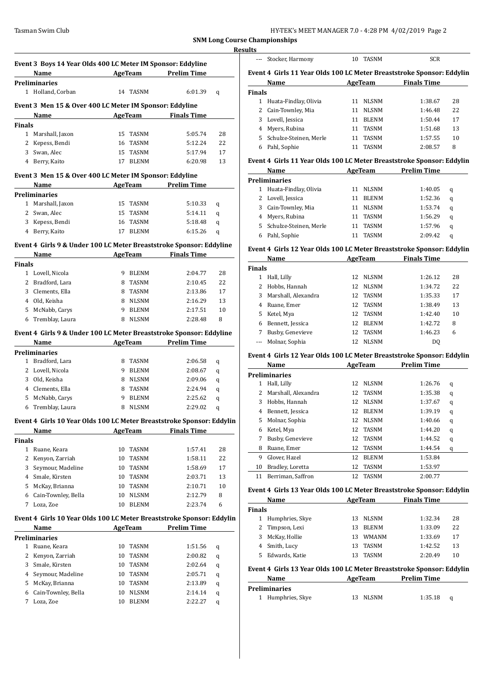| HY-TEK's MEET MANAGER 7.0 - 4:28 PM 4/02/2019 Page 2 |  |
|------------------------------------------------------|--|
|------------------------------------------------------|--|

|                | Event 3 Boys 14 Year Olds 400 LC Meter IM Sponsor: Eddyline           |    |                |                     |    |
|----------------|-----------------------------------------------------------------------|----|----------------|---------------------|----|
|                | Name                                                                  |    |                | AgeTeam Prelim Time |    |
|                | Preliminaries                                                         |    |                |                     |    |
|                | 1 Holland, Corban                                                     |    | 14 TASNM       | 6:01.39             | q  |
|                | Event 3 Men 15 & Over 400 LC Meter IM Sponsor: Eddyline               |    |                |                     |    |
|                |                                                                       |    |                |                     |    |
|                | Name                                                                  |    | AgeTeam        | <b>Finals Time</b>  |    |
| Finals         |                                                                       |    |                |                     |    |
|                | 1 Marshall, Jaxon                                                     |    | 15 TASNM       | 5:05.74             | 28 |
|                | 2 Kepess, Bendi                                                       | 16 | TASNM          | 5:12.24             | 22 |
|                | 3 Swan, Alec                                                          |    | 15 TASNM       | 5:17.94             | 17 |
|                | 4 Berry, Kaito                                                        |    | 17 BLENM       | 6:20.98             | 13 |
|                |                                                                       |    |                |                     |    |
|                | Event 3 Men 15 & Over 400 LC Meter IM Sponsor: Eddyline               |    |                |                     |    |
|                | Name                                                                  |    |                | AgeTeam Prelim Time |    |
|                | <b>Preliminaries</b>                                                  |    |                |                     |    |
|                | 1 Marshall, Jaxon                                                     |    | 15 TASNM       | 5:10.33             | q  |
|                | 2 Swan, Alec                                                          | 15 | TASNM          | 5:14.11             | q  |
|                | 3 Kepess, Bendi                                                       | 16 | TASNM          | 5:18.48             | q  |
|                | 4 Berry, Kaito                                                        | 17 | <b>BLENM</b>   | 6:15.26             | q  |
|                |                                                                       |    |                |                     |    |
|                | Event 4 Girls 9 & Under 100 LC Meter Breaststroke Sponsor: Eddyline   |    |                |                     |    |
|                | Name                                                                  |    | AgeTeam        | <b>Finals Time</b>  |    |
| <b>Finals</b>  |                                                                       |    |                |                     |    |
|                | 1 Lovell, Nicola                                                      |    | 9 BLENM        | 2:04.77             | 28 |
| $\overline{2}$ | Bradford, Lara                                                        | 8  | TASNM          | 2:10.45             | 22 |
| 3              | Clements, Ella                                                        | 8  | TASNM          | 2:13.86             | 17 |
|                | 4 Old, Keisha                                                         | 8  | NLSNM          | 2:16.29             | 13 |
|                |                                                                       | 9  |                | 2:17.51             | 10 |
|                | 5 McNabb, Carys                                                       |    | BLENM          |                     |    |
|                | 6 Tremblay, Laura                                                     | 8  | NLSNM          | 2:28.48             | 8  |
|                | Event 4 Girls 9 & Under 100 LC Meter Breaststroke Sponsor: Eddyline   |    |                |                     |    |
|                | Name                                                                  |    |                | AgeTeam Prelim Time |    |
|                | Preliminaries                                                         |    |                |                     |    |
|                |                                                                       |    | TASNM          |                     |    |
|                |                                                                       |    |                |                     |    |
|                | 1 Bradford, Lara                                                      | 8  |                | 2:06.58             | q  |
|                | 2 Lovell, Nicola                                                      | 9  | BLENM          | 2:08.67             | q  |
|                | 3 Old, Keisha                                                         | 8  | NLSNM          | 2:09.06             | q  |
|                | 4 Clements, Ella                                                      | 8  | <b>TASNM</b>   | 2:24.94             | q  |
|                | 5 McNabb, Carys                                                       | 9  | <b>BLENM</b>   | 2:25.62             | q  |
| 6              | Tremblay, Laura                                                       | 8  | NLSNM          | 2:29.02             | q  |
|                |                                                                       |    |                |                     |    |
|                | Event 4 Girls 10 Year Olds 100 LC Meter Breaststroke Sponsor: Eddylin |    |                |                     |    |
|                | <b>Name</b>                                                           |    |                | AgeTeam Finals Time |    |
| <b>Finals</b>  |                                                                       |    |                |                     |    |
|                | 1 Ruane, Keara                                                        | 10 | TASNM          | 1:57.41             | 28 |
| 2              | Kenyon, Zarriah                                                       | 10 | TASNM          | 1:58.11             | 22 |
| 3              | Seymour, Madeline                                                     | 10 | TASNM          | 1:58.69             | 17 |
| 4              | Smale, Kirsten                                                        | 10 | TASNM          | 2:03.71             | 13 |
| 5              | McKay, Brianna                                                        | 10 | TASNM          | 2:10.71             | 10 |
|                |                                                                       |    |                |                     |    |
| 6              | Cain-Townley, Bella                                                   | 10 | NLSNM          | 2:12.79             | 8  |
| 7              | Loza, Zoe                                                             | 10 | <b>BLENM</b>   | 2:23.74             | 6  |
|                | Event 4 Girls 10 Year Olds 100 LC Meter Breaststroke Sponsor: Eddylin |    |                |                     |    |
|                | Name                                                                  |    | <b>AgeTeam</b> | <b>Prelim Time</b>  |    |
|                | <b>Preliminaries</b>                                                  |    |                |                     |    |
|                |                                                                       |    |                |                     |    |
| $\mathbf{1}$   | Ruane, Keara                                                          | 10 | TASNM          | 1:51.56             | q  |
| 2              | Kenyon, Zarriah                                                       | 10 | TASNM          | 2:00.82             | q  |
| 3              | Smale, Kirsten                                                        | 10 | TASNM          | 2:02.64             | q  |
| 4              | Seymour, Madeline                                                     | 10 | TASNM          | 2:05.71             | q  |
| 5              | McKay, Brianna                                                        | 10 | TASNM          | 2:13.89             | q  |
| 6              | Cain-Townley, Bella                                                   | 10 | NLSNM          | 2:14.14             | q  |
| 7              | Loza, Zoe                                                             | 10 | <b>BLENM</b>   | 2:22.27             | q  |

| <b>Results</b> |                  |     |              |  |  |  |
|----------------|------------------|-----|--------------|--|--|--|
| $---$          | Stocker, Harmony | 10. | <b>TASNM</b> |  |  |  |

#### **Event 4 Girls 11 Year Olds 100 LC Meter Breaststroke Sponsor: Eddylin Name Age Team Finals Time**  $\overline{a}$

| <b>Finals</b> |                          |    |              |         |    |  |
|---------------|--------------------------|----|--------------|---------|----|--|
|               | 1 Huata-Findlay, Olivia  | 11 | NLSNM        | 1:38.67 | 28 |  |
|               | 2 Cain-Townley, Mia      | 11 | <b>NLSNM</b> | 1:46.48 | 22 |  |
|               | 3 Lovell, Jessica        | 11 | <b>BLENM</b> | 1:50.44 | 17 |  |
|               | 4 Myers, Rubina          | 11 | <b>TASNM</b> | 1:51.68 | 13 |  |
|               | 5 Schulze-Steinen, Merle | 11 | <b>TASNM</b> | 1:57.55 | 10 |  |
| 6             | Pahl, Sophie             | 11 | TASNM        | 2:08.57 | 8  |  |
|               |                          |    |              |         |    |  |

#### **Event 4 Girls 11 Year Olds 100 LC Meter Breaststroke Sponsor: Eddylin**

|                      | Name                     | AgeTeam |              | <b>Prelim Time</b> |   |  |  |
|----------------------|--------------------------|---------|--------------|--------------------|---|--|--|
| <b>Preliminaries</b> |                          |         |              |                    |   |  |  |
|                      | 1 Huata-Findlay, Olivia  | 11      | <b>NLSNM</b> | 1:40.05            | q |  |  |
|                      | 2 Lovell, Jessica        | 11      | <b>BLENM</b> | 1:52.36            | q |  |  |
|                      | 3 Cain-Townley, Mia      | 11      | <b>NLSNM</b> | 1:53.74            | q |  |  |
|                      | 4 Myers, Rubina          | 11      | TASNM        | 1:56.29            | q |  |  |
|                      | 5 Schulze-Steinen, Merle | 11      | <b>TASNM</b> | 1:57.96            | q |  |  |
|                      | Pahl, Sophie             |         | <b>TASNM</b> | 2:09.42            | a |  |  |

#### **Event 4 Girls 12 Year Olds 100 LC Meter Breaststroke Sponsor: Eddylin**

| Name          |                       |    | AgeTeam      | <b>Finals Time</b> |    |
|---------------|-----------------------|----|--------------|--------------------|----|
| <b>Finals</b> |                       |    |              |                    |    |
| 1             | Hall, Lilly           | 12 | NLSNM        | 1:26.12            | 28 |
| 2             | Hobbs, Hannah         | 12 | <b>NLSNM</b> | 1:34.72            | 22 |
|               | 3 Marshall, Alexandra | 12 | TASNM        | 1:35.33            | 17 |
| 4             | Ruane, Emer           | 12 | TASNM        | 1:38.49            | 13 |
|               | 5 Ketel, Mya          | 12 | TASNM        | 1:42.40            | 10 |
| 6             | Bennett, Jessica      | 12 | <b>BLENM</b> | 1:42.72            | 8  |
|               | Busby, Genevieve      | 12 | <b>TASNM</b> | 1:46.23            | 6  |
|               | --- Molnar, Sophia    | 12 | <b>NLSNM</b> | DO.                |    |

#### **Event 4 Girls 12 Year Olds 100 LC Meter Breaststroke Sponsor: Eddylin**

|    | <b>Name</b>          | AgeTeam |              | <b>Prelim Time</b> |   |
|----|----------------------|---------|--------------|--------------------|---|
|    | <b>Preliminaries</b> |         |              |                    |   |
| 1  | Hall, Lilly          | 12      | <b>NLSNM</b> | 1:26.76            | q |
| 2  | Marshall, Alexandra  | 12      | TASNM        | 1:35.38            | q |
| 3  | Hobbs, Hannah        | 12      | <b>NLSNM</b> | 1:37.67            | q |
| 4  | Bennett, Jessica     | 12      | <b>BLENM</b> | 1:39.19            | q |
| 5. | Molnar, Sophia       | 12      | <b>NLSNM</b> | 1:40.66            | q |
| 6  | Ketel, Mya           | 12      | <b>TASNM</b> | 1:44.20            | q |
| 7  | Busby, Genevieve     | 12      | TASNM        | 1:44.52            | q |
| 8  | Ruane, Emer          | 12      | <b>TASNM</b> | 1:44.54            | q |
| 9  | Glover, Hazel        | 12      | <b>BLENM</b> | 1:53.84            |   |
| 10 | Bradley, Loretta     | 12      | <b>TASNM</b> | 1:53.97            |   |
| 11 | Berriman, Saffron    | 12      | <b>TASNM</b> | 2:00.77            |   |

# **Event 4 Girls 13 Year Olds 100 LC Meter Breaststroke Sponsor: Eddylin**

|                                                                       | Name            |    | AgeTeam      | <b>Finals Time</b> |    |  |  |
|-----------------------------------------------------------------------|-----------------|----|--------------|--------------------|----|--|--|
| <b>Finals</b>                                                         |                 |    |              |                    |    |  |  |
| 1                                                                     | Humphries, Skye | 13 | <b>NLSNM</b> | 1:32.34            | 28 |  |  |
|                                                                       | 2 Timpson, Lexi | 13 | <b>BLENM</b> | 1:33.09            | 22 |  |  |
| 3                                                                     | McKay, Hollie   | 13 | <b>WMANM</b> | 1:33.69            | 17 |  |  |
| 4                                                                     | Smith, Lucy     | 13 | <b>TASNM</b> | 1:42.52            | 13 |  |  |
| 5.                                                                    | Edwards, Katie  | 13 | <b>TASNM</b> | 2:20.49            | 10 |  |  |
| Event 4 Girls 13 Year Olds 100 LC Meter Breaststroke Sponsor: Eddylin |                 |    |              |                    |    |  |  |

# **Name AgeTeam Prelim Time Preliminaries** Humphries, Skye 13 NLSNM 1:35.18 q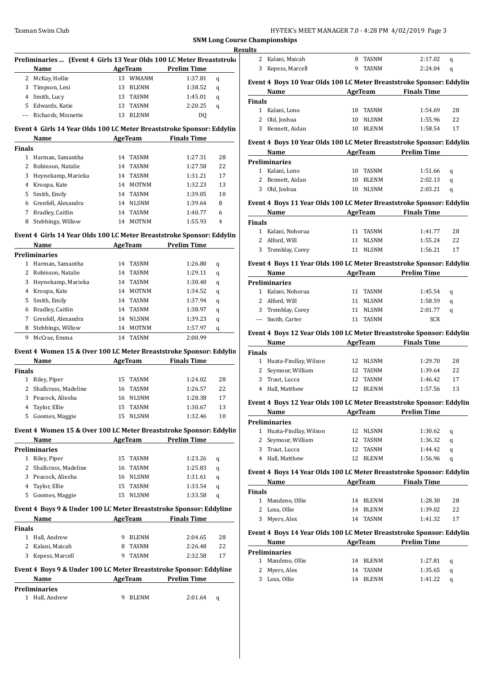| HY-TEK's MEET MANAGER 7.0 - 4:28 PM 4/02/2019 Page 3 |  |
|------------------------------------------------------|--|
|------------------------------------------------------|--|

|                          |                                                                       |    |                |                    |    | <b>Results</b> |                                       |
|--------------------------|-----------------------------------------------------------------------|----|----------------|--------------------|----|----------------|---------------------------------------|
|                          | Preliminaries  (Event 4 Girls 13 Year Olds 100 LC Meter Breaststroko  |    |                |                    |    |                | 2 Kalani, Maic                        |
|                          | <b>Name</b>                                                           |    | AgeTeam        | <b>Prelim Time</b> |    | 3              | Kepess, Mar                           |
|                          | 2 McKay, Hollie                                                       |    | 13 WMANM       | 1:37.81            | q  |                | Event 4 Boys 10                       |
| 3                        | Timpson, Lexi                                                         |    | 13 BLENM       | 1:38.52            | q  |                | Name                                  |
| 4                        | Smith, Lucy                                                           |    | 13 TASNM       | 1:45.01            | q  | <b>Finals</b>  |                                       |
| 5                        | Edwards, Katie                                                        | 13 | <b>TASNM</b>   | 2:20.25            | q  |                | 1 Kalani, Lonc                        |
| $\overline{\phantom{a}}$ | Richards, Minnette                                                    |    | 13 BLENM       | DQ                 |    | $\mathbf{2}$   | Old, Joshua                           |
|                          | Event 4 Girls 14 Year Olds 100 LC Meter Breaststroke Sponsor: Eddylin |    |                |                    |    | 3              | Bennett, Aid                          |
|                          | Name                                                                  |    | <b>AgeTeam</b> | <b>Finals Time</b> |    |                |                                       |
| Finals                   |                                                                       |    |                |                    |    |                | Event 4 Boys 10                       |
|                          | 1 Harman, Samantha                                                    |    | 14 TASNM       | 1:27.31            | 28 |                | Name                                  |
|                          | 2 Robinson, Natalie                                                   |    | 14 TASNM       | 1:27.58            | 22 |                | <b>Preliminaries</b>                  |
| 3                        | Heynekamp, Marieka                                                    |    | 14 TASNM       | 1:31.21            | 17 |                | 1 Kalani, Lonc                        |
|                          | 4 Kroupa, Kate                                                        |    | 14 MOTNM       | 1:32.23            | 13 |                | 2 Bennett, Aid                        |
| 5                        | Smith, Emily                                                          |    | 14 TASNM       | 1:39.05            | 10 |                | 3 Old, Joshua                         |
|                          | 6 Grenfell, Alexandra                                                 |    | 14 NLSNM       | 1:39.64            | 8  |                | Event 4 Boys 11                       |
| 7                        | Bradley, Caitlin                                                      |    | 14 TASNM       | 1:40.77            | 6  |                | Name                                  |
| 8                        | Stebbings, Willow                                                     |    | 14 MOTNM       | 1:55.93            | 4  | <b>Finals</b>  |                                       |
|                          |                                                                       |    |                |                    |    |                | 1 Kalani, Noho                        |
|                          | Event 4 Girls 14 Year Olds 100 LC Meter Breaststroke Sponsor: Eddylin |    |                |                    |    | $\mathbf{2}$   | Alford, Will                          |
|                          | Name                                                                  |    | AgeTeam        | <b>Prelim Time</b> |    | 3              | Tremblay, Co                          |
|                          | <b>Preliminaries</b>                                                  |    |                |                    |    |                |                                       |
|                          | 1 Harman, Samantha                                                    |    | 14 TASNM       | 1:26.80            | q  |                | Event 4 Boys 11                       |
| 2                        | Robinson, Natalie                                                     |    | 14 TASNM       | 1:29.11            | q  |                | Name                                  |
| 3                        | Heynekamp, Marieka                                                    |    | 14 TASNM       | 1:30.40            | q  |                | <b>Preliminaries</b>                  |
| 4                        | Kroupa, Kate                                                          |    | 14 MOTNM       | 1:34.52            | q  |                | 1 Kalani, Noho                        |
| 5                        | Smith, Emily                                                          |    | 14 TASNM       | 1:37.94            | q  |                | 2 Alford, Will                        |
|                          | 6 Bradley, Caitlin                                                    |    | 14 TASNM       | 1:38.97            | q  | 3              | Tremblay, Co                          |
| 7                        | Grenfell, Alexandra                                                   |    | 14 NLSNM       | 1:39.23            | q  | ---            | Smith, Carte                          |
| 8                        | Stebbings, Willow                                                     |    | 14 MOTNM       | 1:57.97            | q  |                | Event 4 Boys 12                       |
| 9                        | McCrae, Emma                                                          |    | 14 TASNM       | 2:00.99            |    |                | Name                                  |
|                          | Event 4 Women 15 & Over 100 LC Meter Breaststroke Sponsor: Eddylin    |    |                |                    |    | <b>Finals</b>  |                                       |
|                          | Name                                                                  |    | AgeTeam        | <b>Finals Time</b> |    |                | 1 Huata-Findl                         |
| Finals                   |                                                                       |    |                |                    |    |                | 2 Seymour, W                          |
|                          | 1 Riley, Piper                                                        |    | 15 TASNM       | 1:24.02            | 28 |                | 3 Traut, Lucca                        |
| $\mathbf{2}$             | Shallcrass, Madeline                                                  |    | 16 TASNM       | 1:26.57            | 22 |                | 4 Hall, Matthe                        |
|                          | 3 Peacock, Aliesha                                                    |    | 16 NLSNM       | 1:28.38            | 17 |                |                                       |
|                          | 4 Taylor, Ellie                                                       |    | 15 TASNM       | 1:30.67            | 13 |                | <b>Event 4 Boys 12</b>                |
|                          | 5 Goomes, Maggie                                                      |    | 15 NLSNM       | 1:32.46            | 10 |                | <u>Name</u>                           |
|                          | Event 4 Women 15 & Over 100 LC Meter Breaststroke Sponsor: Eddylin    |    |                |                    |    |                | <b>Preliminaries</b><br>1 Huata-Findl |
|                          | Name                                                                  |    | <b>AgeTeam</b> | <b>Prelim Time</b> |    |                | 2 Seymour, W                          |
|                          | <b>Preliminaries</b>                                                  |    |                |                    |    |                | 3 Traut, Lucca                        |
|                          | 1 Riley, Piper                                                        |    |                | 1:23.26            |    |                | 4 Hall, Matthe                        |
|                          | 2 Shallcrass, Madeline                                                |    | 15 TASNM       |                    | q  |                |                                       |
|                          |                                                                       |    | 16 TASNM       | 1:25.83            | q  |                | Event 4 Boys 14                       |
|                          | 3 Peacock, Aliesha                                                    |    | 16 NLSNM       | 1:31.61            | q  |                | Name                                  |
|                          | 4 Taylor, Ellie                                                       |    | 15 TASNM       | 1:33.54            | q  | <b>Finals</b>  |                                       |
|                          | 5 Goomes, Maggie                                                      |    | 15 NLSNM       | 1:33.58            | q  |                | 1 Mandeno, O                          |
|                          | Event 4 Boys 9 & Under 100 LC Meter Breaststroke Sponsor: Eddyline    |    |                |                    |    |                | 2 Loza, Ollie                         |
|                          | Name                                                                  |    | AgeTeam        | <b>Finals Time</b> |    |                | 3 Myers, Alex                         |
| <b>Finals</b>            |                                                                       |    |                |                    |    |                |                                       |
|                          | 1 Hall, Andrew                                                        |    | 9 BLENM        | 2:04.65            | 28 |                | Event 4 Boys 14                       |
|                          | 2 Kalani, Maicah                                                      |    | 8 TASNM        | 2:26.48            | 22 |                | Name                                  |
|                          | 3 Kepess, Marcell                                                     |    | 9 TASNM        | 2:32.58            | 17 |                | <b>Preliminaries</b>                  |
|                          |                                                                       |    |                |                    |    |                | 1 Mandeno, O                          |
|                          | Event 4 Boys 9 & Under 100 LC Meter Breaststroke Sponsor: Eddyline    |    | AgeTeam        | <b>Prelim Time</b> |    |                | 2 Myers, Alex                         |
|                          | Name<br><b>Preliminaries</b>                                          |    |                |                    |    |                | 3 Loza, Ollie                         |
|                          | 1 Hall, Andrew                                                        |    | 9 BLENM        | 2:01.64            | q  |                |                                       |
|                          |                                                                       |    |                |                    |    |                |                                       |
|                          |                                                                       |    |                |                    |    |                |                                       |

|                | <b>Championships</b>                                                 |    |                |                     |    |  |  |  |  |
|----------------|----------------------------------------------------------------------|----|----------------|---------------------|----|--|--|--|--|
| ults           |                                                                      |    |                |                     |    |  |  |  |  |
| 2              | Kalani, Maicah                                                       | 8  | <b>TASNM</b>   | 2:17.02             | q  |  |  |  |  |
| 3              | Kepess, Marcell                                                      | 9  | <b>TASNM</b>   | 2:24.04             | q  |  |  |  |  |
|                | Event 4 Boys 10 Year Olds 100 LC Meter Breaststroke Sponsor: Eddylin |    |                |                     |    |  |  |  |  |
|                | Name                                                                 |    | <b>AgeTeam</b> | <b>Finals Time</b>  |    |  |  |  |  |
| <b>Finals</b>  |                                                                      |    |                |                     |    |  |  |  |  |
| $\mathbf{1}$   | Kalani, Lono                                                         | 10 | <b>TASNM</b>   | 1:54.69             | 28 |  |  |  |  |
| 2              | Old, Joshua                                                          | 10 | <b>NLSNM</b>   | 1:55.96             | 22 |  |  |  |  |
| 3              | Bennett, Aidan                                                       | 10 | <b>BLENM</b>   | 1:58.54             | 17 |  |  |  |  |
|                | Event 4 Boys 10 Year Olds 100 LC Meter Breaststroke Sponsor: Eddylin |    |                |                     |    |  |  |  |  |
|                | Name                                                                 |    |                | AgeTeam Prelim Time |    |  |  |  |  |
|                | <b>Preliminaries</b>                                                 |    |                |                     |    |  |  |  |  |
| 1              | Kalani, Lono                                                         | 10 | <b>TASNM</b>   | 1:51.66             | q  |  |  |  |  |
| $\mathfrak{D}$ | Bennett, Aidan                                                       | 10 | <b>BLENM</b>   | 2:02.13             | q  |  |  |  |  |
| 3              | Old, Joshua                                                          | 10 | <b>NLSNM</b>   | 2:03.21             | q  |  |  |  |  |
|                | Event 4 Boys 11 Year Olds 100 LC Meter Breaststroke Sponsor: Eddylin |    |                |                     |    |  |  |  |  |
|                | Name                                                                 |    | AgeTeam        | <b>Finals Time</b>  |    |  |  |  |  |
| <b>Finals</b>  |                                                                      |    |                |                     |    |  |  |  |  |
| $\mathbf{1}$   | Kalani, Nohorua                                                      | 11 | <b>TASNM</b>   | 1:41.77             | 28 |  |  |  |  |
| 2              | Alford, Will                                                         | 11 | <b>NLSNM</b>   | 1:55.24             | 22 |  |  |  |  |
| 3              | Tremblay, Corey                                                      | 11 | <b>NLSNM</b>   | 1:56.21             | 17 |  |  |  |  |
|                | Event 4 Boys 11 Year Olds 100 LC Meter Breaststroke Sponsor: Eddylin |    |                |                     |    |  |  |  |  |

| Name |                      | AgeTeam |       | <b>Prelim Time</b> |   |
|------|----------------------|---------|-------|--------------------|---|
|      | <b>Preliminaries</b> |         |       |                    |   |
| 1.   | Kalani, Nohorua      | 11      | TASNM | 1:45.54            | a |
|      | 2 Alford, Will       | 11      | NLSNM | 1:58.59            | a |
|      | 3 Tremblay, Corey    | 11      | NLSNM | 2:01.77            | a |
|      | --- Smith, Carter    |         | TASNM | <b>SCR</b>         |   |

# **Event 4 Boys 12 Year Olds 100 LC Meter Breaststroke Sponsor: Eddylin**

| AgeTeam<br>Name         |     |              | <b>Finals Time</b> |    |  |
|-------------------------|-----|--------------|--------------------|----|--|
| <b>Finals</b>           |     |              |                    |    |  |
| 1 Huata-Findlay, Wilson |     |              | 1:29.70            | 28 |  |
| 2 Seymour, William      | 12. | TASNM        | 1:39.64            | 22 |  |
| 3 Traut, Lucca          | 12. |              | 1:46.42            | 17 |  |
| 4 Hall, Matthew         | 12. | <b>BLENM</b> | 1:57.56            | 13 |  |
|                         |     |              | 12 NLSNM<br>TASNM  |    |  |

# **Event 4 Boys 12 Year Olds 100 LC Meter Breaststroke Sponsor: Eddylin**

| Name                 |                         |  | AgeTeam      | <b>Prelim Time</b> |   |
|----------------------|-------------------------|--|--------------|--------------------|---|
| <b>Preliminaries</b> |                         |  |              |                    |   |
|                      | 1 Huata-Findlay, Wilson |  | 12 NLSNM     | 1:30.62            | q |
|                      | 2 Seymour, William      |  | 12 TASNM     | 1:36.32            | a |
|                      | 3 Traut, Lucca          |  | 12 TASNM     | 1:44.42            | a |
|                      | 4 Hall, Matthew         |  | <b>BLENM</b> | 1:56.96            | a |

# **Event 4 Boys 14 Year Olds 100 LC Meter Breaststroke Sponsor: Eddylin**

|               | AgeTeam<br>Name  |    | <b>Finals Time</b> |         |    |
|---------------|------------------|----|--------------------|---------|----|
| <b>Finals</b> |                  |    |                    |         |    |
|               | 1 Mandeno, Ollie |    | 14 BLENM           | 1:28.30 | 28 |
|               | 2 Loza, Ollie    |    | 14 BLENM           | 1:39.02 | 22 |
|               | 3 Myers, Alex    | 14 | TASNM              | 1:41.32 | 17 |

# **Event 4 Boys 14 Year Olds 100 LC Meter Breaststroke Sponsor: Eddylin**

| Name |                      | AgeTeam |              | <b>Prelim Time</b> |   |
|------|----------------------|---------|--------------|--------------------|---|
|      | <b>Preliminaries</b> |         |              |                    |   |
|      | 1 Mandeno, Ollie     |         | 14 BLENM     | 1:27.81            | a |
|      | 2 Myers, Alex        | 14      | TASNM        | 1:35.65            | a |
|      | 3 Loza, Ollie        | 14      | <b>BLENM</b> | 1:41.22            |   |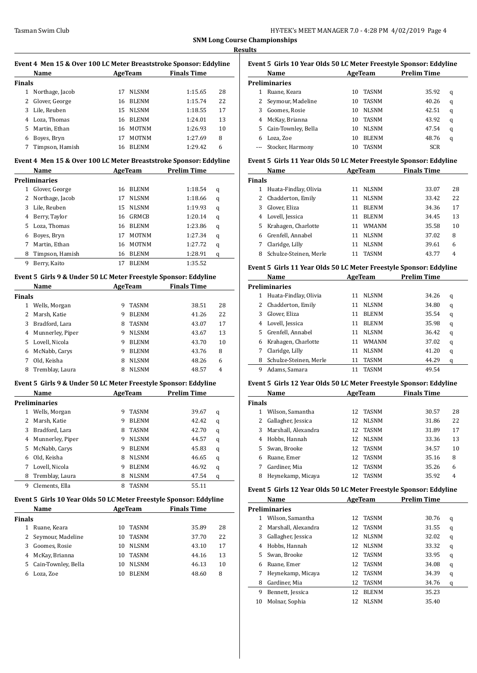$\overline{a}$ 

 $\overline{a}$ 

| Event 4 Men 15 & Over 100 LC Meter Breaststroke Sponsor: Eddyline |                 |    |              |                    |    |  |  |  |
|-------------------------------------------------------------------|-----------------|----|--------------|--------------------|----|--|--|--|
|                                                                   | Name            |    | AgeTeam      | <b>Finals Time</b> |    |  |  |  |
| Finals                                                            |                 |    |              |                    |    |  |  |  |
|                                                                   | Northage, Jacob | 17 | <b>NLSNM</b> | 1:15.65            | 28 |  |  |  |
| 2                                                                 | Glover, George  | 16 | <b>BLENM</b> | 1:15.74            | 22 |  |  |  |
| 3                                                                 | Lile, Reuben    | 15 | <b>NLSNM</b> | 1:18.55            | 17 |  |  |  |
| 4                                                                 | Loza, Thomas    | 16 | <b>BLENM</b> | 1:24.01            | 13 |  |  |  |
| 5.                                                                | Martin, Ethan   | 16 | <b>MOTNM</b> | 1:26.93            | 10 |  |  |  |
| 6                                                                 | Boyes, Bryn     | 17 | <b>MOTNM</b> | 1:27.69            | 8  |  |  |  |
|                                                                   | Timpson, Hamish | 16 | <b>BLENM</b> | 1:29.42            | 6  |  |  |  |

#### **Event 4 Men 15 & Over 100 LC Meter Breaststroke Sponsor: Eddyline**

|    | Name            | AgeTeam |              | Prelim Time |   |
|----|-----------------|---------|--------------|-------------|---|
|    | Preliminaries   |         |              |             |   |
| 1  | Glover, George  | 16      | <b>BLENM</b> | 1:18.54     | q |
| 2  | Northage, Jacob | 17      | <b>NLSNM</b> | 1:18.66     | q |
| 3  | Lile, Reuben    | 15      | <b>NLSNM</b> | 1:19.93     | q |
| 4  | Berry, Taylor   | 16      | GRMCB        | 1:20.14     | q |
| 5. | Loza, Thomas    | 16      | <b>BLENM</b> | 1:23.86     | q |
| 6  | Boyes, Bryn     | 17      | <b>MOTNM</b> | 1:27.34     | q |
| 7  | Martin, Ethan   | 16      | <b>MOTNM</b> | 1:27.72     | q |
| 8  | Timpson, Hamish | 16      | <b>BLENM</b> | 1:28.91     | q |
| 9  | Berry, Kaito    | 17      | <b>BLENM</b> | 1:35.52     |   |

#### **Event 5 Girls 9 & Under 50 LC Meter Freestyle Sponsor: Eddyline**

|               | Name             | AgeTeam |              | <b>Finals Time</b> |    |
|---------------|------------------|---------|--------------|--------------------|----|
| <b>Finals</b> |                  |         |              |                    |    |
| 1             | Wells, Morgan    | 9       | <b>TASNM</b> | 38.51              | 28 |
| 2             | Marsh, Katie     | 9       | <b>BLENM</b> | 41.26              | 22 |
| 3             | Bradford, Lara   | 8       | <b>TASNM</b> | 43.07              | 17 |
| 4             | Munnerley, Piper | 9       | <b>NLSNM</b> | 43.67              | 13 |
| 5.            | Lovell, Nicola   | 9       | <b>BLENM</b> | 43.70              | 10 |
| 6             | McNabb, Carys    | 9       | <b>BLENM</b> | 43.76              | 8  |
| 7             | Old, Keisha      | 8       | <b>NLSNM</b> | 48.26              | 6  |
| 8             | Tremblay, Laura  | 8       | <b>NLSNM</b> | 48.57              | 4  |

#### **Event 5 Girls 9 & Under 50 LC Meter Freestyle Sponsor: Eddyline**

|   | Name             | AgeTeam |              | <b>Prelim Time</b> |   |
|---|------------------|---------|--------------|--------------------|---|
|   | Preliminaries    |         |              |                    |   |
| 1 | Wells, Morgan    | 9       | <b>TASNM</b> | 39.67              | q |
|   | Marsh, Katie     | 9       | <b>BLENM</b> | 42.42              | q |
| 3 | Bradford, Lara   | 8       | <b>TASNM</b> | 42.70              | q |
| 4 | Munnerley, Piper | 9       | <b>NLSNM</b> | 44.57              | q |
| 5 | McNabb, Carys    | 9       | <b>BLENM</b> | 45.83              | q |
| 6 | Old, Keisha      | 8       | <b>NLSNM</b> | 46.65              | q |
|   | Lovell, Nicola   | 9       | <b>BLENM</b> | 46.92              | q |
| 8 | Tremblay, Laura  | 8       | <b>NLSNM</b> | 47.54              | q |
| 9 | Clements. Ella   | 8       | TASNM        | 55.11              |   |

# **Event 5 Girls 10 Year Olds 50 LC Meter Freestyle Sponsor: Eddyline**

| Name<br>AgeTeam       |    |              | <b>Finals Time</b>                                                    |    |
|-----------------------|----|--------------|-----------------------------------------------------------------------|----|
| <b>Finals</b>         |    |              |                                                                       |    |
| Ruane, Keara          | 10 |              | 35.89                                                                 | 28 |
| 2 Seymour, Madeline   | 10 |              | 37.70                                                                 | 22 |
| Goomes, Rosie         | 10 |              | 43.10                                                                 | 17 |
| McKay, Brianna        | 10 |              | 44.16                                                                 | 13 |
| 5 Cain-Townley, Bella | 10 |              | 46.13                                                                 | 10 |
| Loza, Zoe             | 10 | <b>BLENM</b> | 48.60                                                                 | 8  |
|                       |    |              | TASNM<br><b>TASNM</b><br><b>NLSNM</b><br><b>TASNM</b><br><b>NLSNM</b> |    |

| Name                |    |              | <b>Prelim Time</b> |                                                                     |
|---------------------|----|--------------|--------------------|---------------------------------------------------------------------|
| Preliminaries       |    |              |                    |                                                                     |
| Ruane, Keara        | 10 | <b>TASNM</b> | 35.92              | q                                                                   |
| Seymour, Madeline   | 10 | <b>TASNM</b> | 40.26              | q                                                                   |
| Goomes, Rosie       | 10 | <b>NLSNM</b> | 42.51              | q                                                                   |
| McKay, Brianna      | 10 | <b>TASNM</b> | 43.92              | q                                                                   |
| Cain-Townley, Bella | 10 | <b>NLSNM</b> | 47.54              | q                                                                   |
| Loza, Zoe           | 10 | <b>BLENM</b> | 48.76              | q                                                                   |
| Stocker, Harmony    | 10 | TASNM        | SCR                |                                                                     |
|                     |    |              | AgeTeam            | Event 5  Girls 10 Year Olds 50 LC Meter Freestyle Sponsor: Eddyline |

#### **Event 5 Girls 11 Year Olds 50 LC Meter Freestyle Sponsor: Eddyline**

| <b>Name</b>            | AgeTeam                                    |              | <b>Finals Time</b> |    |
|------------------------|--------------------------------------------|--------------|--------------------|----|
|                        |                                            |              |                    |    |
| Huata-Findlay, Olivia  | 11                                         | <b>NLSNM</b> | 33.07              | 28 |
|                        | 11                                         | <b>NLSNM</b> | 33.42              | 22 |
| Glover, Eliza          | 11                                         | <b>BLENM</b> | 34.36              | 17 |
| Lovell, Jessica        | 11                                         | <b>BLENM</b> | 34.45              | 13 |
| Krahagen, Charlotte    | 11                                         | <b>WMANM</b> | 35.58              | 10 |
| Grenfell, Annabel      | 11                                         | <b>NLSNM</b> | 37.02              | 8  |
| Claridge, Lilly        | 11                                         | <b>NLSNM</b> | 39.61              | 6  |
| Schulze-Steinen, Merle |                                            | <b>TASNM</b> | 43.77              | 4  |
|                        | <b>Finals</b><br>2 Chadderton, Emily<br>5. |              |                    |    |

#### **Event 5 Girls 11 Year Olds 50 LC Meter Freestyle Sponsor: Eddyline**

|    | Name                   | AgeTeam |              | <b>Prelim Time</b> |   |  |
|----|------------------------|---------|--------------|--------------------|---|--|
|    | Preliminaries          |         |              |                    |   |  |
| 1  | Huata-Findlay, Olivia  | 11      | <b>NLSNM</b> | 34.26              | q |  |
| 2  | Chadderton, Emily      | 11      | <b>NLSNM</b> | 34.80              | q |  |
| 3  | Glover, Eliza          | 11      | <b>BLENM</b> | 35.54              | q |  |
| 4  | Lovell, Jessica        | 11      | <b>BLENM</b> | 35.98              | q |  |
| 5. | Grenfell, Annabel      | 11      | <b>NLSNM</b> | 36.42              | q |  |
| 6  | Krahagen, Charlotte    | 11      | <b>WMANM</b> | 37.02              | q |  |
| 7  | Claridge, Lilly        | 11      | <b>NLSNM</b> | 41.20              | q |  |
| 8  | Schulze-Steinen, Merle | 11      | <b>TASNM</b> | 44.29              | q |  |
| 9  | Adams, Samara          | 11      | <b>TASNM</b> | 49.54              |   |  |

#### **Event 5 Girls 12 Year Olds 50 LC Meter Freestyle Sponsor: Eddyline**

|               | Name                | AgeTeam |              | <b>Finals Time</b> |    |
|---------------|---------------------|---------|--------------|--------------------|----|
| <b>Finals</b> |                     |         |              |                    |    |
| 1             | Wilson, Samantha    | 12      | <b>TASNM</b> | 30.57              | 28 |
|               | Gallagher, Jessica  | 12      | <b>NLSNM</b> | 31.86              | 22 |
| 3.            | Marshall, Alexandra | 12.     | <b>TASNM</b> | 31.89              | 17 |
| 4             | Hobbs, Hannah       | 12      | <b>NLSNM</b> | 33.36              | 13 |
| 5.            | Swan, Brooke        | 12      | <b>TASNM</b> | 34.57              | 10 |
| 6             | Ruane, Emer         | 12      | <b>TASNM</b> | 35.16              | 8  |
|               | Gardiner, Mia       | 12      | <b>TASNM</b> | 35.26              | 6  |
| 8             | Heynekamp, Micaya   | 12      | <b>TASNM</b> | 35.92              | 4  |

#### **Event 5 Girls 12 Year Olds 50 LC Meter Freestyle Sponsor: Eddyline**

|    | Name                | AgeTeam |              | <b>Prelim Time</b> |   |
|----|---------------------|---------|--------------|--------------------|---|
|    | Preliminaries       |         |              |                    |   |
| 1  | Wilson, Samantha    | 12      | TASNM        | 30.76              | q |
| 2  | Marshall, Alexandra | 12      | TASNM        | 31.55              | q |
| 3  | Gallagher, Jessica  | 12      | <b>NLSNM</b> | 32.02              | q |
| 4  | Hobbs, Hannah       | 12.     | <b>NLSNM</b> | 33.32              | q |
| 5. | Swan, Brooke        | 12      | <b>TASNM</b> | 33.95              | q |
| 6  | Ruane, Emer         |         | 12 TASNM     | 34.08              | q |
| 7  | Heynekamp, Micaya   | 12      | TASNM        | 34.39              | q |
| 8  | Gardiner, Mia       | 12      | <b>TASNM</b> | 34.76              | q |
| 9  | Bennett, Jessica    | 12      | <b>BLENM</b> | 35.23              |   |
| 10 | Molnar, Sophia      | 12      | <b>NLSNM</b> | 35.40              |   |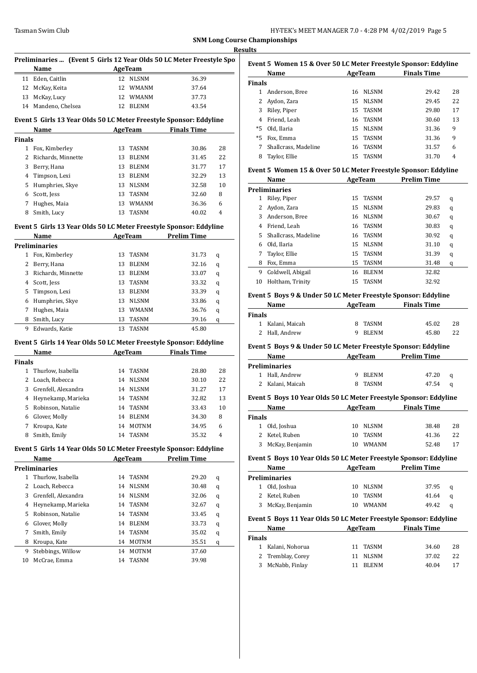|               | Preliminaries  (Event 5 Girls 12 Year Olds 50 LC Meter Freestyle Spon<br>Name<br><u> 1990 - Jan Barat, politik e</u> |    | AgeTeam                       |                            |    |
|---------------|----------------------------------------------------------------------------------------------------------------------|----|-------------------------------|----------------------------|----|
|               | 11 Eden, Caitlin                                                                                                     |    | 12 NLSNM                      | 36.39                      |    |
|               | 12 McKay, Keita                                                                                                      |    | 12 WMANM                      | 37.64                      |    |
|               | 13 McKay, Lucy                                                                                                       |    | 12 WMANM                      | 37.73                      |    |
|               | 14 Mandeno, Chelsea                                                                                                  |    | 12 BLENM                      | 43.54                      |    |
|               | Event 5 Girls 13 Year Olds 50 LC Meter Freestyle Sponsor: Eddyline                                                   |    |                               |                            |    |
|               | Name                                                                                                                 |    |                               | <b>AgeTeam</b> Finals Time |    |
| <b>Finals</b> |                                                                                                                      |    |                               |                            |    |
|               | 1 Fox, Kimberley                                                                                                     |    | 13 TASNM                      | 30.86                      | 28 |
|               | 2 Richards, Minnette                                                                                                 |    | 13 BLENM                      | 31.45                      | 22 |
|               | 3 Berry, Hana                                                                                                        |    | 13 BLENM                      | 31.77                      | 17 |
|               | 4 Timpson, Lexi                                                                                                      |    | 13 BLENM                      | 32.29                      | 13 |
|               | 5 Humphries, Skye                                                                                                    |    | 13 NLSNM                      | 32.58                      | 10 |
|               | 6 Scott, Jess                                                                                                        |    | 13 TASNM                      | 32.60                      | 8  |
| 7             | Hughes, Maia                                                                                                         |    | 13 WMANM                      | 36.36                      | 6  |
|               | 8 Smith, Lucy                                                                                                        | 13 | TASNM                         | 40.02                      | 4  |
|               | Event 5 Girls 13 Year Olds 50 LC Meter Freestyle Sponsor: Eddyline                                                   |    |                               |                            |    |
|               | Name                                                                                                                 |    |                               | AgeTeam Prelim Time        |    |
|               | <b>Preliminaries</b>                                                                                                 |    |                               |                            |    |
|               | 1 Fox, Kimberley                                                                                                     |    | 13 TASNM                      | 31.73                      | q  |
|               | 2 Berry, Hana                                                                                                        |    | 13 BLENM                      | 32.16                      | q  |
|               | 3 Richards, Minnette                                                                                                 |    | 13 BLENM                      | 33.07                      | q  |
|               | 4 Scott, Jess                                                                                                        |    | 13 TASNM                      | 33.32                      | q  |
| 5.            | Timpson, Lexi                                                                                                        |    | 13 BLENM                      | 33.39                      | q  |
| 6             | Humphries, Skye                                                                                                      |    | 13 NLSNM                      | 33.86                      | q  |
| 7             | Hughes, Maia                                                                                                         |    | 13 WMANM                      | 36.76                      | q  |
|               | 8 Smith, Lucy                                                                                                        |    | 13 TASNM                      | 39.16                      | q  |
| 9.            | Edwards, Katie                                                                                                       |    | 13 TASNM                      | 45.80                      |    |
|               | Event 5 Girls 14 Year Olds 50 LC Meter Freestyle Sponsor: Eddyline                                                   |    |                               |                            |    |
|               | Name                                                                                                                 |    | AgeTeam                       | <b>Finals Time</b>         |    |
| <b>Finals</b> |                                                                                                                      |    |                               |                            |    |
|               | 1 Thurlow, Isabella                                                                                                  |    | 14 TASNM                      | 28.80                      | 28 |
|               | 2 Loach, Rebecca                                                                                                     |    | 14 NLSNM                      | 30.10                      | 22 |
|               | 3 Grenfell, Alexandra                                                                                                |    | 14 NLSNM                      | 31.27                      | 17 |
|               | 4 Heynekamp, Marieka                                                                                                 |    | 14 TASNM                      | 32.82                      | 13 |
|               | 5 Robinson, Natalie                                                                                                  |    | 14 TASNM                      | 33.43                      | 10 |
| 6             | Glover, Molly                                                                                                        | 14 | BLENM                         | 34.30                      | 8  |
| 7             | Kroupa, Kate                                                                                                         | 14 | <b>MOTNM</b>                  | 34.95                      | 6  |
| 8             | Smith, Emily                                                                                                         | 14 | <b>TASNM</b>                  | 35.32                      | 4  |
|               | Event 5 Girls 14 Year Olds 50 LC Meter Freestyle Sponsor: Eddyline                                                   |    |                               |                            |    |
|               | Name                                                                                                                 |    | AgeTeam                       | <b>Prelim Time</b>         |    |
|               | <b>Preliminaries</b>                                                                                                 |    |                               |                            |    |
| $\mathbf{1}$  | Thurlow, Isabella                                                                                                    | 14 | TASNM                         | 29.20                      | q  |
| 2             | Loach, Rebecca                                                                                                       | 14 | $\ensuremath{\mathsf{NLSNM}}$ | 30.48                      | q  |
|               | 3 Grenfell, Alexandra                                                                                                |    | 14 NLSNM                      | 32.06                      | q  |
|               | 4 Heynekamp, Marieka                                                                                                 |    | 14 TASNM                      | 32.67                      | q  |
| 5             | Robinson, Natalie                                                                                                    | 14 | TASNM                         | 33.45                      | q  |
| 6             | Glover, Molly                                                                                                        | 14 | BLENM                         | 33.73                      | q  |
| 7             | Smith, Emily                                                                                                         | 14 | TASNM                         | 35.02                      | q  |
| 8             | Kroupa, Kate                                                                                                         |    | 14 MOTNM                      | 35.51                      | q  |
| 9             | Stebbings, Willow                                                                                                    |    | 14 MOTNM                      | 37.60                      |    |
| 10            | McCrae, Emma                                                                                                         | 14 | TASNM                         | 39.98                      |    |
|               |                                                                                                                      |    |                               |                            |    |

| Event 5 Women 15 & Over 50 LC Meter Freestyle Sponsor: Eddyline |                      |    |              |                    |    |  |
|-----------------------------------------------------------------|----------------------|----|--------------|--------------------|----|--|
| Name                                                            |                      |    | AgeTeam      | <b>Finals Time</b> |    |  |
| <b>Finals</b>                                                   |                      |    |              |                    |    |  |
|                                                                 | Anderson, Bree       | 16 | NLSNM        | 29.42              | 28 |  |
| 2                                                               | Aydon, Zara          | 15 | <b>NLSNM</b> | 29.45              | 22 |  |
| 3                                                               | Riley, Piper         |    | 15 TASNM     | 29.80              | 17 |  |
| 4                                                               | Friend. Leah         | 16 | TASNM        | 30.60              | 13 |  |
| *5                                                              | Old, Ilaria          | 15 | <b>NLSNM</b> | 31.36              | 9  |  |
| $*5$                                                            | Fox, Emma            | 15 | TASNM        | 31.36              | 9  |  |
| 7                                                               | Shallcrass. Madeline | 16 | TASNM        | 31.57              | 6  |  |
| 8                                                               | Taylor, Ellie        | 15 | <b>TASNM</b> | 31.70              | 4  |  |
|                                                                 |                      |    |              |                    |    |  |

# **Event 5 Women 15 & Over 50 LC Meter Freestyle Sponsor: Eddyline**

|    | Name                 |    | AgeTeam      | <b>Prelim Time</b> |   |
|----|----------------------|----|--------------|--------------------|---|
|    | Preliminaries        |    |              |                    |   |
| 1  | Riley, Piper         | 15 | <b>TASNM</b> | 29.57              | q |
| 2  | Aydon, Zara          | 15 | <b>NLSNM</b> | 29.83              | q |
| 3  | Anderson, Bree       | 16 | <b>NLSNM</b> | 30.67              | q |
| 4  | Friend, Leah         | 16 | <b>TASNM</b> | 30.83              | q |
| 5. | Shallcrass. Madeline | 16 | <b>TASNM</b> | 30.92              | q |
| 6  | Old, Ilaria          | 15 | <b>NLSNM</b> | 31.10              | q |
| 7  | Taylor, Ellie        | 15 | <b>TASNM</b> | 31.39              | q |
| 8  | Fox, Emma            | 15 | <b>TASNM</b> | 31.48              | q |
| 9  | Coldwell, Abigail    | 16 | <b>BLENM</b> | 32.82              |   |
| 10 | Holtham, Trinity     | 15 | <b>TASNM</b> | 32.92              |   |

#### **Event 5 Boys 9 & Under 50 LC Meter Freestyle Sponsor: Eddyline**

| Name             | AgeTeam | <b>Finals Time</b> |    |
|------------------|---------|--------------------|----|
| <b>Finals</b>    |         |                    |    |
| 1 Kalani, Maicah | 8 TASNM | 45.02              | 28 |
| 2 Hall, Andrew   | 9 BLENM | 45.80              | 22 |

#### **Event 5 Boys 9 & Under 50 LC Meter Freestyle Sponsor: Eddyline**

| Name                 | AgeTeam           | <b>Prelim Time</b> |   |
|----------------------|-------------------|--------------------|---|
| <b>Preliminaries</b> |                   |                    |   |
| 1 Hall, Andrew       | <b>BLENM</b><br>Q | 47.20              | a |
| 2 Kalani. Maicah     | 8 TASNM           | 47.54              | a |

#### **Event 5 Boys 10 Year Olds 50 LC Meter Freestyle Sponsor: Eddyline**

|               | Name              | AgeTeam |              | <b>Finals Time</b> |    |
|---------------|-------------------|---------|--------------|--------------------|----|
| <b>Finals</b> |                   |         |              |                    |    |
| 1.            | Old, Joshua       | 10      | NLSNM        | 38.48              | 28 |
|               | 2 Ketel, Ruben    | 10      | TASNM        | 41.36              | 22 |
|               | 3 McKay, Benjamin | 10      | <b>WMANM</b> | 52.48              | 17 |
|               |                   |         |              |                    |    |

# **Event 5 Boys 10 Year Olds 50 LC Meter Freestyle Sponsor: Eddyline**

| Name |                      | AgeTeam |              | <b>Prelim Time</b> |          |
|------|----------------------|---------|--------------|--------------------|----------|
|      | <b>Preliminaries</b> |         |              |                    |          |
|      | 1 Old, Joshua        | 10      | <b>NLSNM</b> | 37.95              | $\alpha$ |
|      | 2 Ketel, Ruben       | 10      | TASNM        | 41.64              | a        |
|      | 3 McKay, Benjamin    |         | WMANM        | 49.42              | a        |

#### **Event 5 Boys 11 Year Olds 50 LC Meter Freestyle Sponsor: Eddyline**

| Name          |                   |    | AgeTeam      | <b>Finals Time</b> |    |
|---------------|-------------------|----|--------------|--------------------|----|
| <b>Finals</b> |                   |    |              |                    |    |
|               | 1 Kalani, Nohorua |    | 11 TASNM     | 34.60              | 28 |
|               | 2 Tremblay, Corey | 11 | NLSNM        | 37.02              | 22 |
|               | 3 McNabb, Finlay  |    | <b>BLENM</b> | 40.04              | 17 |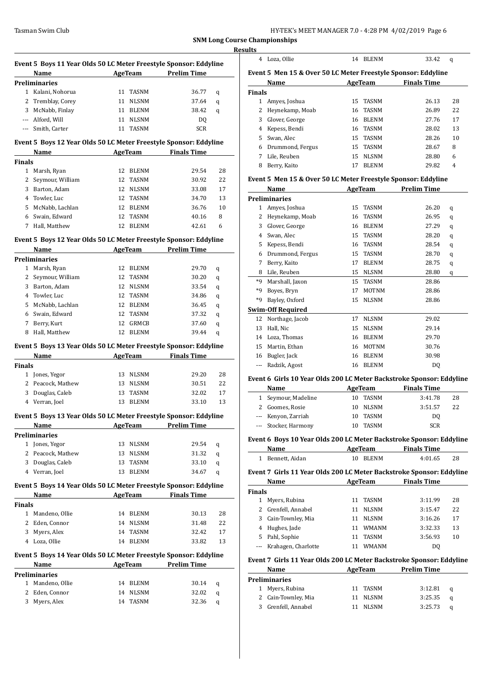|               | Event 5 Boys 11 Year Olds 50 LC Meter Freestyle Sponsor: Eddyline         |         |                            |                     |    |
|---------------|---------------------------------------------------------------------------|---------|----------------------------|---------------------|----|
|               | Name                                                                      | AgeTeam |                            | <b>Prelim Time</b>  |    |
|               | Preliminaries                                                             |         |                            |                     |    |
|               | 1 Kalani, Nohorua                                                         |         | 11 TASNM                   | 36.77               | q  |
|               | 2 Tremblay, Corey                                                         |         | 11 NLSNM                   | 37.64               | q  |
|               | 3 McNabb, Finlay                                                          |         | 11 BLENM                   | 38.42               | q  |
|               | --- Alford, Will                                                          |         | 11 NLSNM                   | DQ                  |    |
|               | --- Smith, Carter                                                         |         | 11 TASNM                   | <b>SCR</b>          |    |
|               | Event 5 Boys 12 Year Olds 50 LC Meter Freestyle Sponsor: Eddyline         |         |                            |                     |    |
|               | Name                                                                      |         | <b>AgeTeam</b>             | <b>Finals Time</b>  |    |
| Finals        |                                                                           |         |                            |                     |    |
|               | 1 Marsh, Ryan                                                             |         | 12 BLENM                   | 29.54               | 28 |
| 2             | Seymour, William                                                          |         | 12 TASNM                   | 30.92               | 22 |
| 3             | Barton, Adam                                                              |         | 12 NLSNM                   | 33.08               | 17 |
|               | 4 Towler, Luc                                                             |         | 12 TASNM                   | 34.70               | 13 |
|               | 5 McNabb, Lachlan                                                         |         | 12 BLENM                   | 36.76               | 10 |
|               | 6 Swain, Edward                                                           |         | 12 TASNM                   | 40.16               | 8  |
|               | 7 Hall, Matthew                                                           |         | 12 BLENM                   | 42.61               | 6  |
|               | Event 5 Boys 12 Year Olds 50 LC Meter Freestyle Sponsor: Eddyline         |         |                            |                     |    |
|               | Name                                                                      |         | AgeTeam                    | <b>Prelim Time</b>  |    |
|               | <b>Preliminaries</b>                                                      |         |                            |                     |    |
|               | 1 Marsh, Ryan                                                             |         | 12 BLENM                   | 29.70               | q  |
| $\mathbf{2}$  | Seymour, William                                                          |         | 12 TASNM                   | 30.20               | q  |
|               | 3 Barton, Adam                                                            |         | 12 NLSNM                   | 33.54               | q  |
|               | 4 Towler, Luc                                                             |         | 12 TASNM                   | 34.86               | q  |
|               | 5 McNabb, Lachlan                                                         |         | 12 BLENM                   | 36.45               | q  |
|               | 6 Swain, Edward                                                           | 12      | TASNM                      | 37.32               | q  |
| 7             | Berry, Kurt                                                               |         | 12 GRMCB                   | 37.60               | q  |
| 8             | Hall, Matthew                                                             | 12      | BLENM                      | 39.44               | q  |
|               | Event 5 Boys 13 Year Olds 50 LC Meter Freestyle Sponsor: Eddyline         |         |                            |                     |    |
|               | Name                                                                      |         | <b>Example 2.5 AgeTeam</b> | <b>Finals Time</b>  |    |
| <b>Finals</b> |                                                                           |         |                            |                     |    |
|               | 1 Jones, Yegor                                                            |         | 13 NLSNM                   | 29.20               | 28 |
|               | 2 Peacock, Mathew                                                         |         | 13 NLSNM                   | 30.51               | 22 |
| 3             | Douglas, Caleb                                                            | 13      | <b>TASNM</b>               | 32.02               | 17 |
|               | 4 Verran, Joel                                                            | 13      | <b>BLENM</b>               | 33.10               | 13 |
|               | Event 5 Boys 13 Year Olds 50 LC Meter Freestyle Sponsor: Eddyline         |         |                            |                     |    |
|               | Name                                                                      |         | AgeTeam                    | <b>Prelim Time</b>  |    |
|               | <b>Preliminaries</b>                                                      |         |                            |                     |    |
|               | 1 Jones, Yegor                                                            |         | 13 NLSNM                   | 29.54               | q  |
|               | 2 Peacock, Mathew                                                         | 13      | NLSNM                      | 31.32               | q  |
| 3             | Douglas, Caleb                                                            |         | 13 TASNM                   | 33.10               | q  |
|               | 4 Verran, Joel                                                            | 13      | <b>BLENM</b>               | 34.67               | q  |
|               |                                                                           |         |                            |                     |    |
|               | Event 5 Boys 14 Year Olds 50 LC Meter Freestyle Sponsor: Eddyline<br>Name |         |                            | AgeTeam Finals Time |    |
| <b>Finals</b> |                                                                           |         |                            |                     |    |
|               | 1 Mandeno, Ollie                                                          |         | 14 BLENM                   | 30.13               | 28 |
|               | 2 Eden, Connor                                                            |         | 14 NLSNM                   | 31.48               | 22 |
|               | 3 Myers, Alex                                                             |         | 14 TASNM                   | 32.42               | 17 |
|               | 4 Loza, Ollie                                                             | 14      | <b>BLENM</b>               | 33.82               | 13 |
|               |                                                                           |         |                            |                     |    |
|               | Event 5 Boys 14 Year Olds 50 LC Meter Freestyle Sponsor: Eddyline<br>Name |         |                            | AgeTeam Prelim Time |    |
|               | Preliminaries                                                             |         |                            |                     |    |
| $\mathbf{1}$  | Mandeno, Ollie                                                            |         | 14 BLENM                   | 30.14               | q  |
| 2             | Eden, Connor                                                              | 14      | NLSNM                      | 32.02               | q  |
| 3             | Myers, Alex                                                               |         | 14 TASNM                   | 32.36               | q  |
|               |                                                                           |         |                            |                     |    |

|               | 4 Loza, Ollie                                                                |    | 14 BLENM             | 33.42              | q      |
|---------------|------------------------------------------------------------------------------|----|----------------------|--------------------|--------|
|               | Event 5 Men 15 & Over 50 LC Meter Freestyle Sponsor: Eddyline                |    |                      |                    |        |
|               | Name                                                                         |    | AgeTeam              | <b>Finals Time</b> |        |
| <b>Finals</b> |                                                                              |    |                      |                    |        |
|               | 1 Amyes, Joshua                                                              |    | 15 TASNM             | 26.13              | 28     |
|               | 2 Heynekamp, Moab                                                            | 16 | <b>TASNM</b>         | 26.89              | 22     |
|               | 3 Glover, George                                                             |    | 16 BLENM             | 27.76              | 17     |
|               | 4 Kepess, Bendi                                                              |    | 16 TASNM             | 28.02              | 13     |
|               | 5 Swan, Alec                                                                 |    | 15 TASNM             | 28.26              | 10     |
|               | 6 Drummond, Fergus                                                           |    | 15 TASNM             | 28.67              | 8      |
|               | 7 Lile, Reuben                                                               | 15 | <b>NLSNM</b>         | 28.80              | 6      |
|               | 8 Berry, Kaito                                                               | 17 | <b>BLENM</b>         | 29.82              | 4      |
|               | Event 5 Men 15 & Over 50 LC Meter Freestyle Sponsor: Eddyline                |    |                      |                    |        |
|               | Name                                                                         |    | <b>AgeTeam</b>       | <b>Prelim Time</b> |        |
|               | <b>Preliminaries</b>                                                         |    |                      |                    |        |
|               | 1 Amyes, Joshua                                                              |    | 15 TASNM             | 26.20              | q      |
|               | 2 Heynekamp, Moab                                                            |    | 16 TASNM             | 26.95              |        |
|               |                                                                              |    |                      | 27.29              | q      |
|               | 3 Glover, George                                                             |    | 16 BLENM             |                    | q      |
|               | 4 Swan, Alec                                                                 |    | 15 TASNM             | 28.20              | q      |
|               | 5 Kepess, Bendi                                                              |    | 16 TASNM             | 28.54              | q      |
|               | 6 Drummond, Fergus                                                           | 15 | TASNM                | 28.70              | q      |
| 7             | Berry, Kaito                                                                 |    | 17 BLENM             | 28.75              | q      |
|               | 8 Lile, Reuben                                                               |    | 15 NLSNM             | 28.80              | q      |
|               | *9 Marshall, Jaxon                                                           | 15 | <b>TASNM</b>         | 28.86              |        |
|               | *9 Boyes, Bryn                                                               | 17 | <b>MOTNM</b>         | 28.86              |        |
|               | *9 Bayley, Oxford                                                            |    | 15 NLSNM             | 28.86              |        |
|               | <b>Swim-Off Required</b>                                                     |    |                      |                    |        |
|               | 12 Northage, Jacob                                                           |    | 17 NLSNM             | 29.02              |        |
| 13            | Hall, Nic                                                                    |    | 15 NLSNM             | 29.14              |        |
|               | 14 Loza, Thomas                                                              |    | 16 BLENM             | 29.70              |        |
|               | 15 Martin, Ethan                                                             |    | 16 MOTNM             | 30.76              |        |
|               | 16 Bugler, Jack                                                              |    | 16 BLENM             | 30.98              |        |
|               | --- Radzik, Agost                                                            |    | 16 BLENM             | DQ                 |        |
|               |                                                                              |    |                      |                    |        |
|               | Event 6 Girls 10 Year Olds 200 LC Meter Backstroke Sponsor: Eddyline         |    |                      |                    |        |
|               | Name                                                                         |    | <b>AgeTeam</b>       | <b>Finals Time</b> |        |
| $\mathbf{1}$  | Seymour, Madeline                                                            |    | 10 TASNM             | 3:41.78            | 28     |
|               | 2 Goomes, Rosie                                                              |    | 10 NLSNM             | 3:51.57            | 22     |
| ---           | Kenyon, Zarriah                                                              | 10 | TASNM                | DQ                 |        |
|               |                                                                              |    |                      |                    |        |
|               | Stocker, Harmony                                                             | 10 | <b>TASNM</b>         | <b>SCR</b>         |        |
|               | Event 6 Boys 10 Year Olds 200 LC Meter Backstroke Sponsor: Eddyline          |    |                      |                    |        |
|               | <b>Name</b>                                                                  |    | <b>AgeTeam</b>       | <b>Finals Time</b> |        |
|               | 1 Bennett, Aidan                                                             |    | 10 BLENM             | 4:01.65            | 28     |
|               | Event 7 Girls 11 Year Olds 200 LC Meter Backstroke Sponsor: Eddyline         |    |                      |                    |        |
|               | <b>Name</b>                                                                  |    | AgeTeam              | <b>Finals Time</b> |        |
| <b>Finals</b> |                                                                              |    |                      |                    |        |
|               | 1 Myers, Rubina                                                              |    | 11 TASNM             | 3:11.99            | 28     |
|               | 2 Grenfell, Annabel                                                          |    | 11 NLSNM             | 3:15.47            | 22     |
|               |                                                                              |    | 11 NLSNM             | 3:16.26            | 17     |
|               | 3 Cain-Townley, Mia                                                          |    |                      |                    |        |
|               | 4 Hughes, Jade                                                               |    | 11 WMANM             | 3:32.33            | 13     |
|               | 5 Pahl, Sophie                                                               |    | 11 TASNM<br>11 WMANM | 3:56.93            |        |
|               | --- Krahagen, Charlotte                                                      |    |                      | DQ                 |        |
|               | Event 7 Girls 11 Year Olds 200 LC Meter Backstroke Sponsor: Eddyline<br>Name |    |                      |                    |        |
|               | <b>Preliminaries</b>                                                         |    | AgeTeam              | <b>Prelim Time</b> | 10     |
|               |                                                                              | 11 | TASNM                | 3:12.81            |        |
|               | 1 Myers, Rubina<br>2 Cain-Townley, Mia                                       |    | 11 NLSNM             | 3:25.35            | q<br>q |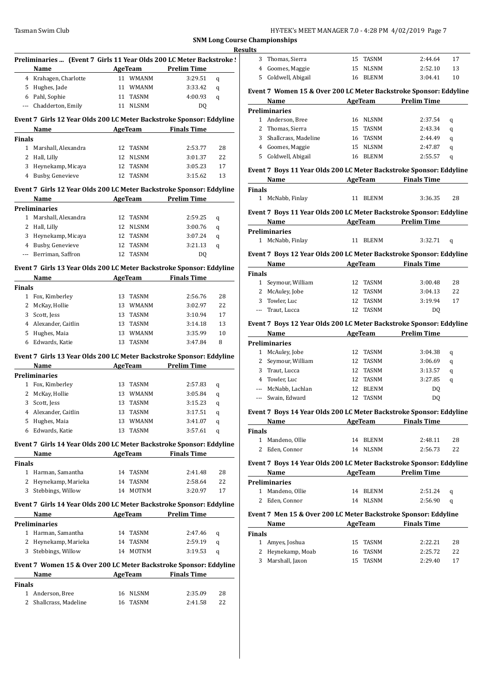|                          |                                                                      |                      |                     |    | Results       |                       |
|--------------------------|----------------------------------------------------------------------|----------------------|---------------------|----|---------------|-----------------------|
|                          | Preliminaries  (Event 7 Girls 11 Year Olds 200 LC Meter Backstroke ! |                      |                     |    |               | 3 Thomas, S           |
|                          | Name                                                                 | <b>AgeTeam</b>       | <b>Prelim Time</b>  |    | $4^{\circ}$   | Goomes, M             |
|                          | 4 Krahagen, Charlotte                                                | 11 WMANM             | 3:29.51             | q  |               | 5 Coldwell, a         |
|                          | 5 Hughes, Jade                                                       | 11 WMANM             | 3:33.42             | q  |               |                       |
|                          | 6 Pahl, Sophie                                                       | 11 TASNM             | 4:00.93             | q  |               | <b>Event 7 Wome</b>   |
|                          | --- Chadderton, Emily                                                | 11 NLSNM             | DQ                  |    |               | Name                  |
|                          |                                                                      |                      |                     |    |               | <b>Preliminaries</b>  |
|                          | Event 7 Girls 12 Year Olds 200 LC Meter Backstroke Sponsor: Eddyline |                      |                     |    |               | 1 Anderson,           |
|                          | Name                                                                 | <b>AgeTeam</b>       | <b>Finals Time</b>  |    | $\mathbf{2}$  | Thomas, S             |
| <b>Finals</b>            |                                                                      |                      |                     |    | 3             | Shallcrass            |
|                          | 1 Marshall, Alexandra                                                | 12 TASNM             | 2:53.77             | 28 |               | 4 Goomes, M           |
|                          | 2 Hall, Lilly                                                        | 12 NLSNM             | 3:01.37             | 22 |               | 5 Coldwell, a         |
|                          | 3 Heynekamp, Micaya                                                  | 12 TASNM             | 3:05.23             | 17 |               | Event 7 Boys 1        |
|                          | 4 Busby, Genevieve                                                   | 12 TASNM             | 3:15.62             | 13 |               | Name                  |
|                          | Event 7 Girls 12 Year Olds 200 LC Meter Backstroke Sponsor: Eddyline |                      |                     |    | <b>Finals</b> |                       |
|                          | Name                                                                 | <b>AgeTeam</b>       | <b>Prelim Time</b>  |    |               | 1 McNabb, F           |
|                          | <b>Preliminaries</b>                                                 |                      |                     |    |               | Event 7 Boys 1        |
|                          | 1 Marshall, Alexandra                                                | 12 TASNM             | 2:59.25             | q  |               |                       |
|                          | 2 Hall, Lilly                                                        | 12 NLSNM             | 3:00.76             | q  |               | Name                  |
|                          | 3 Heynekamp, Micaya                                                  | 12 TASNM             | 3:07.24             | q  |               | <b>Preliminaries</b>  |
|                          | 4 Busby, Genevieve                                                   | 12 TASNM             | 3:21.13             | q  |               | 1 McNabb, F           |
| $\overline{\phantom{a}}$ | Berriman, Saffron                                                    | 12 TASNM             | <b>DQ</b>           |    |               | Event 7 Boys 1        |
|                          |                                                                      |                      |                     |    |               | Name                  |
|                          | Event 7 Girls 13 Year Olds 200 LC Meter Backstroke Sponsor: Eddyline |                      |                     |    | <b>Finals</b> |                       |
|                          | Name<br><u> 1990 - Johann Barbara, p</u> enis                        | <b>AgeTeam</b>       | <b>Finals Time</b>  |    |               | 1 Seymour,            |
| <b>Finals</b>            |                                                                      |                      |                     |    |               | 2 McAuley, J          |
|                          | 1 Fox, Kimberley                                                     | 13 TASNM             | 2:56.76             | 28 | 3             | Towler, Lu            |
|                          | 2 McKay, Hollie                                                      | 13 WMANM             | 3:02.97             | 22 |               | Traut, Luc            |
|                          | 3 Scott, Jess                                                        | 13 TASNM             | 3:10.94             | 17 |               |                       |
|                          | 4 Alexander, Caitlin                                                 | 13 TASNM             | 3:14.18             | 13 |               | <b>Event 7 Boys 1</b> |
|                          | 5 Hughes, Maia                                                       | 13 WMANM             | 3:35.99             | 10 |               | Name                  |
|                          | 6 Edwards, Katie                                                     | 13 TASNM             | 3:47.84             | 8  |               | <b>Preliminaries</b>  |
|                          | Event 7 Girls 13 Year Olds 200 LC Meter Backstroke Sponsor: Eddyline |                      |                     |    |               | 1 McAuley, J          |
|                          | Name                                                                 |                      | AgeTeam Prelim Time |    | $\mathbf{2}$  | Seymour,              |
|                          | <b>Preliminaries</b>                                                 |                      |                     |    |               | 3 Traut, Luc          |
|                          | 1 Fox, Kimberley                                                     | 13 TASNM             | 2:57.83             | q  | 4             | Towler, Lu            |
|                          | 2 McKay, Hollie                                                      | 13 WMANM             | 3:05.84             | q  | ---           | McNabb, L             |
|                          | 3 Scott, Jess                                                        | 13 TASNM             | 3:15.23             | q  | ---           | Swain, Edv            |
|                          | 4 Alexander, Caitlin                                                 | 13 TASNM             | 3:17.51             | q  |               | <b>Event 7 Boys 1</b> |
| 5                        | Hughes, Maia                                                         | 13 WMANM             | 3:41.07             | q  |               | Name                  |
|                          | 6 Edwards, Katie                                                     | 13 TASNM             | 3:57.61             | q  | <b>Finals</b> |                       |
|                          |                                                                      |                      |                     |    |               | 1 Mandeno,            |
|                          | Event 7 Girls 14 Year Olds 200 LC Meter Backstroke Sponsor: Eddyline |                      |                     |    |               | 2 Eden, Con           |
|                          | Name                                                                 | AgeTeam              | <b>Finals Time</b>  |    |               |                       |
| <b>Finals</b>            |                                                                      |                      |                     |    |               | <b>Event 7 Boys 1</b> |
|                          | 1 Harman, Samantha                                                   | 14 TASNM             | 2:41.48             | 28 |               | Name                  |
|                          | 2 Heynekamp, Marieka<br>3 Stebbings, Willow                          | 14 TASNM<br>14 MOTNM | 2:58.64             | 22 |               | <b>Preliminaries</b>  |
|                          |                                                                      |                      | 3:20.97             | 17 |               | 1 Mandeno,            |
|                          | Event 7 Girls 14 Year Olds 200 LC Meter Backstroke Sponsor: Eddyline |                      |                     |    |               | 2 Eden, Con           |
|                          | Name<br><u>and the state of the state</u>                            |                      | AgeTeam Prelim Time |    |               | Event 7 Men 1         |
|                          | <b>Preliminaries</b>                                                 |                      |                     |    |               | Name                  |
|                          | 1 Harman, Samantha                                                   | 14 TASNM             | 2:47.46             | q  | <b>Finals</b> |                       |
|                          | 2 Heynekamp, Marieka                                                 | 14 TASNM             | 2:59.19             | q  |               | 1 Amyes, Jos          |
|                          | 3 Stebbings, Willow                                                  | 14 MOTNM             | 3:19.53             | q  |               | 2 Heynekam            |
|                          |                                                                      |                      |                     |    | 3             | Marshall,             |
|                          | Event 7 Women 15 & Over 200 LC Meter Backstroke Sponsor: Eddyline    |                      |                     |    |               |                       |
|                          | Name                                                                 | <b>AgeTeam</b>       | <b>Finals Time</b>  |    |               |                       |
| <b>Finals</b>            |                                                                      |                      |                     |    |               |                       |
|                          | 1 Anderson, Bree                                                     | 16 NLSNM             | 2:35.09             | 28 |               |                       |
|                          | 2 Shallcrass, Madeline                                               | 16 TASNM             | 2:41.58             | 22 |               |                       |

|               | 3 Thomas, Sierra                                                            | 15 TASNM             | 2:44.64                              | 17       |
|---------------|-----------------------------------------------------------------------------|----------------------|--------------------------------------|----------|
|               | 4 Goomes, Maggie                                                            | 15 NLSNM             | 2:52.10                              | 13       |
|               | 5 Coldwell, Abigail                                                         | 16 BLENM             | 3:04.41                              | 10       |
|               | Event 7 Women 15 & Over 200 LC Meter Backstroke Sponsor: Eddyline           |                      |                                      |          |
|               | Name                                                                        |                      | <b>Example 2 AgeTeam</b> Prelim Time |          |
|               | <b>Preliminaries</b>                                                        |                      |                                      |          |
|               | 1 Anderson, Bree                                                            | 16 NLSNM             | 2:37.54                              | q        |
|               | 2 Thomas, Sierra                                                            | 15 TASNM             | 2:43.34                              | q        |
|               | 3 Shallcrass, Madeline                                                      | 16 TASNM             | 2:44.49                              | q        |
|               | 4 Goomes, Maggie                                                            | 15 NLSNM             | 2:47.87                              | q        |
|               | 5 Coldwell, Abigail                                                         | 16 BLENM             | 2:55.57                              | q        |
|               | Event 7 Boys 11 Year Olds 200 LC Meter Backstroke Sponsor: Eddyline         |                      |                                      |          |
|               | Name AgeTeam Finals Time                                                    |                      |                                      |          |
| <b>Finals</b> |                                                                             |                      |                                      |          |
|               | 1 McNabb, Finlay                                                            | 11 BLENM             | 3:36.35                              | 28       |
|               | Event 7 Boys 11 Year Olds 200 LC Meter Backstroke Sponsor: Eddyline         |                      |                                      |          |
|               | Name AgeTeam Prelim Time                                                    |                      |                                      |          |
|               | <b>Preliminaries</b>                                                        |                      |                                      |          |
|               | 1 McNabb, Finlay                                                            | 11 BLENM             | 3:32.71                              | q        |
|               | Event 7 Boys 12 Year Olds 200 LC Meter Backstroke Sponsor: Eddyline         |                      |                                      |          |
|               | Name AgeTeam Finals Time                                                    |                      |                                      |          |
| <b>Finals</b> |                                                                             |                      |                                      |          |
|               | 1 Seymour, William                                                          | 12 TASNM             | 3:00.48                              | 28       |
|               | 2 McAuley, Jobe                                                             | 12 TASNM             | 3:04.13                              | 22       |
|               | 3 Towler, Luc                                                               | 12 TASNM             | 3:19.94                              | 17       |
|               | --- Traut, Lucca                                                            | 12 TASNM             | DQ                                   |          |
|               | Event 7 Boys 12 Year Olds 200 LC Meter Backstroke Sponsor: Eddyline         |                      |                                      |          |
|               | <b>Example 21 AgeTeam</b> Prelim Time<br>Name                               |                      |                                      |          |
|               |                                                                             |                      |                                      |          |
|               | <b>Preliminaries</b>                                                        |                      |                                      |          |
|               | 1 McAuley, Jobe                                                             | 12 TASNM             | 3:04.38                              | q        |
|               | 2 Seymour, William                                                          | 12 TASNM             | 3:06.69                              | q        |
|               | 3 Traut, Lucca                                                              | 12 TASNM             | 3:13.57                              | q        |
|               | 4 Towler, Luc                                                               | 12 TASNM             | 3:27.85                              | q        |
|               |                                                                             | 12 BLENM             |                                      |          |
| ---           | --- McNabb, Lachlan<br>Swain, Edward                                        | 12 TASNM             | DQ<br>DQ                             |          |
|               |                                                                             |                      |                                      |          |
|               | Event 7 Boys 14 Year Olds 200 LC Meter Backstroke Sponsor: Eddyline         |                      | <b>Finals Time</b>                   |          |
| <b>Finals</b> |                                                                             | AgeTeam              |                                      |          |
|               | 1 Mandeno, Ollie                                                            | 14 BLENM             | 2:48.11                              | 28       |
|               | 2 Eden, Connor                                                              | 14 NLSNM             | 2:56.73                              | 22       |
|               |                                                                             |                      |                                      |          |
|               | Event 7 Boys 14 Year Olds 200 LC Meter Backstroke Sponsor: Eddyline<br>Name |                      | <b>Example 2 AgeTeam</b> Prelim Time |          |
|               | <b>Preliminaries</b>                                                        |                      |                                      |          |
|               | 1 Mandeno, Ollie                                                            | 14 BLENM             | 2:51.24                              | q        |
|               | 2 Eden, Connor                                                              | 14 NLSNM             | 2:56.90                              | q        |
|               |                                                                             |                      |                                      |          |
|               | Event 7 Men 15 & Over 200 LC Meter Backstroke Sponsor: Eddyline             |                      |                                      |          |
|               | Name                                                                        |                      | AgeTeam Finals Time                  |          |
| Finals        |                                                                             |                      |                                      |          |
|               | 1 Amyes, Joshua                                                             | 15 TASNM             | 2:22.21                              | 28       |
|               | 2 Heynekamp, Moab<br>3 Marshall, Jaxon                                      | 16 TASNM<br>15 TASNM | 2:25.72<br>2:29.40                   | 22<br>17 |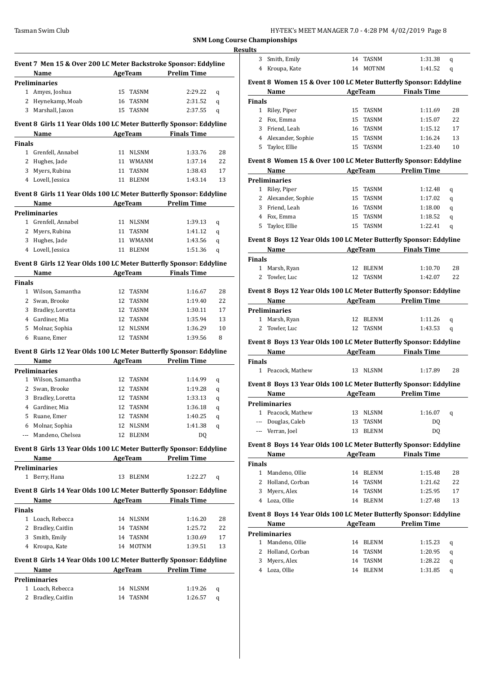**SNM Long Course Resu** 

|               | Event 7 Men 15 & Over 200 LC Meter Backstroke Sponsor: Eddyline             |    |                          |                                       |         |
|---------------|-----------------------------------------------------------------------------|----|--------------------------|---------------------------------------|---------|
|               | Name<br>Preliminaries                                                       |    | <b>AgeTeam</b>           | <b>Prelim Time</b>                    |         |
|               | 1 Amyes, Joshua                                                             |    | 15 TASNM                 | 2:29.22                               | q       |
|               | 2 Heynekamp, Moab                                                           | 16 | TASNM                    | 2:31.52                               | q       |
|               | 3 Marshall, Jaxon                                                           | 15 | <b>TASNM</b>             | 2:37.55                               | q       |
|               |                                                                             |    |                          |                                       |         |
|               | Event 8 Girls 11 Year Olds 100 LC Meter Butterfly Sponsor: Eddyline<br>Name |    | <b>AgeTeam</b>           | <b>Finals Time</b>                    |         |
| <b>Finals</b> |                                                                             |    |                          |                                       |         |
|               | 1 Grenfell, Annabel                                                         |    | 11 NLSNM                 | 1:33.76                               | 28      |
|               | 2 Hughes, Jade                                                              |    | 11 WMANM                 | 1:37.14                               | 22      |
| 3             | Myers, Rubina                                                               |    | 11 TASNM                 | 1:38.43                               | 17      |
|               | 4 Lovell, Jessica                                                           | 11 | <b>BLENM</b>             | 1:43.14                               | 13      |
|               |                                                                             |    |                          |                                       |         |
|               | Event 8 Girls 11 Year Olds 100 LC Meter Butterfly Sponsor: Eddyline<br>Name |    |                          | AgeTeam Prelim Time                   |         |
|               | <b>Preliminaries</b>                                                        |    |                          |                                       |         |
|               | 1 Grenfell, Annabel                                                         |    | 11 NLSNM                 | 1:39.13                               | q       |
|               | 2 Myers, Rubina                                                             |    | 11 TASNM                 | 1:41.12                               | q       |
|               | 3 Hughes, Jade                                                              |    | 11 WMANM                 | 1:43.56                               |         |
|               | 4 Lovell, Jessica                                                           | 11 | BLENM                    | 1:51.36                               | q<br>q  |
|               |                                                                             |    |                          |                                       |         |
|               | Event 8 Girls 12 Year Olds 100 LC Meter Butterfly Sponsor: Eddyline<br>Name |    |                          | AgeTeam Finals Time                   |         |
| <b>Finals</b> |                                                                             |    |                          |                                       |         |
|               | 1 Wilson, Samantha                                                          |    | 12 TASNM                 | 1:16.67                               | 28      |
|               | 2 Swan, Brooke                                                              |    | 12 TASNM                 | 1:19.40                               | 22      |
|               | 3 Bradley, Loretta                                                          |    | 12 TASNM                 | 1:30.11                               | 17      |
|               |                                                                             |    | 12 TASNM                 | 1:35.94                               | 13      |
|               | 4 Gardiner, Mia                                                             |    |                          |                                       |         |
| 5             | Molnar, Sophia<br>6 Ruane, Emer                                             | 12 | 12 NLSNM<br><b>TASNM</b> | 1:36.29<br>1:39.56                    | 10<br>8 |
|               |                                                                             |    |                          |                                       |         |
|               | Event 8 Girls 12 Year Olds 100 LC Meter Butterfly Sponsor: Eddyline         |    |                          |                                       |         |
|               | Name                                                                        |    |                          | <b>Example 21 AgeTeam</b> Prelim Time |         |
|               | Preliminaries<br>1 Wilson, Samantha                                         |    | 12 TASNM                 | 1:14.99                               |         |
|               | 2 Swan, Brooke                                                              | 12 | TASNM                    |                                       | q       |
|               |                                                                             |    |                          | 1:19.28                               | q       |
|               | 3 Bradley, Loretta                                                          | 12 | <b>TASNM</b>             | 1:33.13                               | q       |
|               | 4 Gardiner, Mia                                                             | 12 | <b>TASNM</b>             | 1:36.18                               | q       |
|               | 5 Ruane, Emer                                                               |    | 12 TASNM                 | 1:40.25                               | q       |
|               | 6 Molnar, Sophia                                                            | 12 | <b>NLSNM</b>             | 1:41.38                               | q       |
| $---$         | Mandeno, Chelsea                                                            | 12 | <b>BLENM</b>             | DQ                                    |         |
|               | Event 8 Girls 13 Year Olds 100 LC Meter Butterfly Sponsor: Eddyline         |    |                          |                                       |         |
|               | Name                                                                        |    |                          | <b>Example 21 AgeTeam</b> Prelim Time |         |
|               | Preliminaries                                                               |    |                          |                                       |         |
|               | 1 Berry, Hana                                                               | 13 | BLENM                    | 1:22.27                               | q       |
|               | Event 8 Girls 14 Year Olds 100 LC Meter Butterfly Sponsor: Eddyline         |    |                          |                                       |         |
|               | Name                                                                        |    |                          | <b>Example 2 AgeTeam</b> Finals Time  |         |
| Finals        |                                                                             |    |                          |                                       |         |
|               | 1 Loach, Rebecca                                                            |    | 14 NLSNM                 | 1:16.20                               | 28      |
|               | 2 Bradley, Caitlin                                                          | 14 | TASNM                    | 1:25.72                               | 22      |
|               | 3 Smith, Emily                                                              | 14 | TASNM                    | 1:30.69                               | 17      |
|               | 4 Kroupa, Kate                                                              | 14 | <b>MOTNM</b>             | 1:39.51                               | 13      |
|               | Event 8 Girls 14 Year Olds 100 LC Meter Butterfly Sponsor: Eddyline         |    |                          |                                       |         |
|               | Name                                                                        |    | <b>AgeTeam</b>           | <b>Prelim Time</b>                    |         |
|               | Preliminaries                                                               |    |                          |                                       |         |
| 1             | Loach, Rebecca                                                              |    | 14 NLSNM                 | 1:19.26                               | q       |
| 2             | Bradley, Caitlin                                                            | 14 | TASNM                    | 1:26.57                               | q       |
|               |                                                                             |    |                          |                                       |         |

|                | Championships                                                                                                                |    |                               |                                        |    |
|----------------|------------------------------------------------------------------------------------------------------------------------------|----|-------------------------------|----------------------------------------|----|
| ılts           |                                                                                                                              |    |                               |                                        |    |
| 3              | Smith, Emily                                                                                                                 |    | 14 TASNM                      | 1:31.38                                | q  |
|                | 4 Kroupa, Kate                                                                                                               | 14 | MOTNM                         | 1:41.52                                | q  |
|                |                                                                                                                              |    |                               |                                        |    |
|                | Event 8 Women 15 & Over 100 LC Meter Butterfly Sponsor: Eddyline                                                             |    |                               |                                        |    |
|                | Name<br><u> 1990 - Johann Barbara, politik eta politik eta politik eta politik eta politik eta politik eta politik eta p</u> |    |                               | AgeTeam Finals Time                    |    |
| <b>Finals</b>  |                                                                                                                              |    |                               |                                        |    |
|                | 1 Riley, Piper                                                                                                               |    | 15 TASNM                      | 1:11.69                                | 28 |
|                | 2 Fox, Emma                                                                                                                  |    | 15 TASNM                      | 1:15.07                                | 22 |
|                | 3 Friend, Leah                                                                                                               |    | 16 TASNM                      | 1:15.12                                | 17 |
|                | 4 Alexander, Sophie                                                                                                          |    | 15 TASNM                      | 1:16.24                                | 13 |
|                | 5 Taylor, Ellie                                                                                                              |    | 15 TASNM                      | 1:23.40                                | 10 |
|                | Event 8 Women 15 & Over 100 LC Meter Butterfly Sponsor: Eddyline                                                             |    |                               |                                        |    |
|                | Name                                                                                                                         |    | AgeTeam                       | <b>Prelim Time</b>                     |    |
|                | <b>Preliminaries</b>                                                                                                         |    |                               |                                        |    |
|                | 1 Riley, Piper                                                                                                               |    | 15 TASNM                      | 1:12.48                                | q  |
|                | 2 Alexander, Sophie                                                                                                          |    | 15 TASNM                      | 1:17.02                                | q  |
|                | 3 Friend, Leah                                                                                                               |    | 16 TASNM                      | 1:18.00                                |    |
|                |                                                                                                                              |    |                               |                                        | q  |
|                | 4 Fox, Emma                                                                                                                  |    | 15 TASNM                      | 1:18.52                                | q  |
| 5              | Taylor, Ellie                                                                                                                | 15 | TASNM                         | 1:22.41                                | q  |
|                | Event 8 Boys 12 Year Olds 100 LC Meter Butterfly Sponsor: Eddyline                                                           |    |                               |                                        |    |
|                | Name AgeTeam Finals Time                                                                                                     |    |                               |                                        |    |
| <b>Finals</b>  |                                                                                                                              |    |                               |                                        |    |
|                | 1 Marsh, Ryan                                                                                                                | 12 | BLENM                         | 1:10.70                                | 28 |
| $\overline{2}$ | Towler, Luc                                                                                                                  |    | 12 TASNM                      | 1:42.07                                | 22 |
|                |                                                                                                                              |    |                               |                                        |    |
|                | Event 8 Boys 12 Year Olds 100 LC Meter Butterfly Sponsor: Eddyline                                                           |    |                               |                                        |    |
|                | Name                                                                                                                         |    |                               | <b>Example 2.1 AgeTeam</b> Prelim Time |    |
|                | <b>Preliminaries</b>                                                                                                         |    |                               |                                        |    |
|                | 1 Marsh, Ryan                                                                                                                | 12 | BLENM                         | 1:11.26                                | q  |
|                | 2 Towler, Luc                                                                                                                |    | 12 TASNM                      | 1:43.53                                | q  |
|                |                                                                                                                              |    |                               |                                        |    |
|                | Event 8 Boys 13 Year Olds 100 LC Meter Butterfly Sponsor: Eddyline                                                           |    |                               |                                        |    |
|                | Name                                                                                                                         |    |                               | AgeTeam Finals Time                    |    |
| <b>Finals</b>  |                                                                                                                              |    |                               |                                        |    |
|                | 1 Peacock, Mathew                                                                                                            | 13 | NLSNM                         | 1:17.89                                | 28 |
|                | Event 8 Boys 13 Year Olds 100 LC Meter Butterfly Sponsor: Eddyline                                                           |    |                               |                                        |    |
|                | Name AgeTeam Prelim Time                                                                                                     |    |                               |                                        |    |
|                | Preliminaries                                                                                                                |    |                               |                                        |    |
|                | 1 Peacock, Mathew                                                                                                            | 13 | $\ensuremath{\mathsf{NLSNM}}$ | 1:16.07                                | q  |
|                | --- Douglas, Caleb                                                                                                           | 13 | TASNM                         | DQ                                     |    |
|                | --- Verran, Joel                                                                                                             | 13 | <b>BLENM</b>                  | DQ                                     |    |
|                |                                                                                                                              |    |                               |                                        |    |
|                | Event 8 Boys 14 Year Olds 100 LC Meter Butterfly Sponsor: Eddyline                                                           |    |                               |                                        |    |
|                | Name                                                                                                                         |    | AgeTeam                       | <b>Finals Time</b>                     |    |
| <b>Finals</b>  |                                                                                                                              |    |                               |                                        |    |
| 1              | Mandeno, Ollie                                                                                                               | 14 | BLENM                         | 1:15.48                                | 28 |
|                | 2 Holland, Corban                                                                                                            | 14 | TASNM                         | 1:21.62                                | 22 |
| 3              | Myers, Alex                                                                                                                  | 14 | TASNM                         | 1:25.95                                | 17 |
|                | 4 Loza, Ollie                                                                                                                | 14 | <b>BLENM</b>                  | 1:27.48                                | 13 |
|                |                                                                                                                              |    |                               |                                        |    |
|                | Event 8 Boys 14 Year Olds 100 LC Meter Butterfly Sponsor: Eddyline                                                           |    |                               |                                        |    |
|                |                                                                                                                              |    |                               | <b>Prelim Time</b>                     |    |
|                | Name                                                                                                                         |    | AgeTeam                       |                                        |    |
|                | <b>Preliminaries</b>                                                                                                         |    |                               |                                        |    |
|                | 1 Mandeno, Ollie                                                                                                             | 14 | BLENM                         | 1:15.23                                | q  |
|                | 2 Holland, Corban                                                                                                            | 14 | <b>TASNM</b>                  | 1:20.95                                | q  |
| 3              | Myers, Alex                                                                                                                  | 14 | TASNM                         | 1:28.22                                | q  |
|                | 4 Loza, Ollie                                                                                                                | 14 | BLENM                         | 1:31.85                                | q  |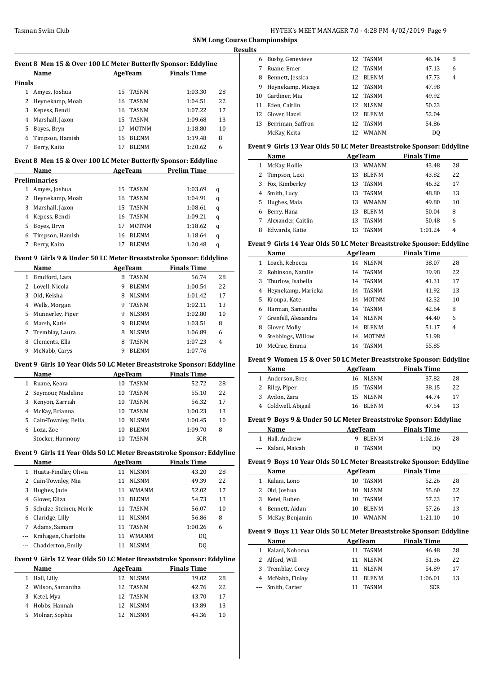**SNM Long Course Championships Results**

 $\equiv$ 

 $\overline{\phantom{a}}$ 

|               | Event 8 Men 15 & Over 100 LC Meter Butterfly Sponsor: Eddyline |    |              |                    |    |
|---------------|----------------------------------------------------------------|----|--------------|--------------------|----|
|               | Name                                                           |    | AgeTeam      | <b>Finals Time</b> |    |
| <b>Finals</b> |                                                                |    |              |                    |    |
| 1             | Amyes, Joshua                                                  | 15 | TASNM        | 1:03.30            | 28 |
| 2             | Heynekamp, Moab                                                | 16 | <b>TASNM</b> | 1:04.51            | 22 |
| 3             | Kepess, Bendi                                                  | 16 | <b>TASNM</b> | 1:07.22            | 17 |
| 4             | Marshall, Jaxon                                                | 15 | <b>TASNM</b> | 1:09.68            | 13 |
| 5             | Boyes, Bryn                                                    | 17 | <b>MOTNM</b> | 1:18.80            | 10 |
| 6             | Timpson, Hamish                                                | 16 | <b>BLENM</b> | 1:19.48            | 8  |
| 7             | Berry, Kaito                                                   | 17 | <b>BLENM</b> | 1:20.62            | 6  |
|               | Event 8 Men 15 & Over 100 LC Meter Butterfly Sponsor: Eddyline |    |              |                    |    |
|               | Name                                                           |    | AgeTeam      | <b>Prelim Time</b> |    |
|               | Preliminaries                                                  |    |              |                    |    |
| 1             | Amyes, Joshua                                                  | 15 | <b>TASNM</b> | 1:03.69            | q  |
| 2             | Heynekamp, Moab                                                | 16 | TASNM        | 1:04.91            | q  |
| 3             | Marshall, Jaxon                                                | 15 | <b>TASNM</b> | 1:08.61            | q  |
| 4             | Kepess, Bendi                                                  |    | 16 TASNM     | 1:09.21            | q  |

# Boyes, Bryn 17 MOTNM 1:18.62 q Timpson, Hamish 16 BLENM 1:18.64 q Berry, Kaito 17 BLENM 1:20.48 q

#### **Event 9 Girls 9 & Under 50 LC Meter Breaststroke Sponsor: Eddyline**

|   | Name             |   | AgeTeam      | <b>Finals Time</b> |    |  |  |  |  |
|---|------------------|---|--------------|--------------------|----|--|--|--|--|
|   | Bradford, Lara   | 8 | <b>TASNM</b> | 56.74              | 28 |  |  |  |  |
| 2 | Lovell, Nicola   | 9 | <b>BLENM</b> | 1:00.54            | 22 |  |  |  |  |
| 3 | Old, Keisha      | 8 | <b>NLSNM</b> | 1:01.42            | 17 |  |  |  |  |
| 4 | Wells, Morgan    | 9 | <b>TASNM</b> | 1:02.11            | 13 |  |  |  |  |
| 5 | Munnerley, Piper | 9 | <b>NLSNM</b> | 1:02.80            | 10 |  |  |  |  |
| 6 | Marsh, Katie     | 9 | <b>BLENM</b> | 1:03.51            | 8  |  |  |  |  |
| 7 | Tremblay, Laura  | 8 | <b>NLSNM</b> | 1:06.89            | 6  |  |  |  |  |
| 8 | Clements, Ella   | 8 | <b>TASNM</b> | 1:07.23            | 4  |  |  |  |  |
| 9 | McNabb, Carys    | 9 | <b>BLENM</b> | 1:07.76            |    |  |  |  |  |

#### **Event 9 Girls 10 Year Olds 50 LC Meter Breaststroke Sponsor: Eddyline**

| Name             | AgeTeam                                    |  | <b>Finals Time</b>                                                                             |    |
|------------------|--------------------------------------------|--|------------------------------------------------------------------------------------------------|----|
| Ruane, Keara     | 10                                         |  | 52.72                                                                                          | 28 |
|                  | 10                                         |  | 55.10                                                                                          | 22 |
| Kenyon, Zarriah  | 10                                         |  | 56.32                                                                                          | 17 |
| McKay, Brianna   | 10                                         |  | 1:00.23                                                                                        | 13 |
|                  | 10                                         |  | 1:00.45                                                                                        | 10 |
| Loza, Zoe        | 10                                         |  | 1:09.70                                                                                        | 8  |
| Stocker, Harmony | 10                                         |  | <b>SCR</b>                                                                                     |    |
|                  | Seymour, Madeline<br>5 Cain-Townley, Bella |  | <b>TASNM</b><br><b>TASNM</b><br>TASNM<br><b>TASNM</b><br><b>NLSNM</b><br><b>BLENM</b><br>TASNM |    |

#### **Event 9 Girls 11 Year Olds 50 LC Meter Breaststroke Sponsor: Eddyline**

|    | Name                   |    | AgeTeam      | <b>Finals Time</b> |    |
|----|------------------------|----|--------------|--------------------|----|
| 1  | Huata-Findlay, Olivia  | 11 | <b>NLSNM</b> | 43.20              | 28 |
| 2  | Cain-Townley, Mia      | 11 | <b>NLSNM</b> | 49.39              | 22 |
| 3  | Hughes, Jade           | 11 | <b>WMANM</b> | 52.02              | 17 |
| 4  | Glover, Eliza          | 11 | <b>BLENM</b> | 54.73              | 13 |
| 5. | Schulze-Steinen, Merle | 11 | TASNM        | 56.07              | 10 |
| 6  | Claridge, Lilly        | 11 | <b>NLSNM</b> | 56.86              | 8  |
| 7  | Adams, Samara          | 11 | TASNM        | 1:00.26            | 6  |
|    | Krahagen, Charlotte    | 11 | <b>WMANM</b> | DQ                 |    |
|    | Chadderton, Emily      | 11 | <b>NLSNM</b> | D <sub>0</sub>     |    |
|    |                        |    |              |                    |    |

# **Event 9 Girls 12 Year Olds 50 LC Meter Breaststroke Sponsor: Eddyline**

| 28 |
|----|
| 22 |
| 17 |
| 13 |
| 10 |
|    |

| 6  | Busby, Genevieve  |     | 12 TASNM     | 46.14 | 8              |
|----|-------------------|-----|--------------|-------|----------------|
|    | Ruane, Emer       | 12  | <b>TASNM</b> | 47.13 | 6              |
| 8  | Bennett, Jessica  | 12. | <b>BLENM</b> | 47.73 | $\overline{4}$ |
| 9  | Heynekamp, Micaya | 12  | TASNM        | 47.98 |                |
| 10 | Gardiner, Mia     | 12  | <b>TASNM</b> | 49.92 |                |
| 11 | Eden, Caitlin     | 12  | <b>NLSNM</b> | 50.23 |                |
|    | 12 Glover, Hazel  | 12. | <b>BLENM</b> | 52.04 |                |
| 13 | Berriman, Saffron | 12  | TASNM        | 54.86 |                |
|    | McKay, Keita      | 12. | <b>WMANM</b> | DO.   |                |
|    |                   |     |              |       |                |

#### **Event 9 Girls 13 Year Olds 50 LC Meter Breaststroke Sponsor: Eddyline**

|   | Name               |    | AgeTeam      | <b>Finals Time</b> |    |  |
|---|--------------------|----|--------------|--------------------|----|--|
| 1 | McKay, Hollie      | 13 | <b>WMANM</b> | 43.48              | 28 |  |
|   | 2 Timpson, Lexi    | 13 | <b>BLENM</b> | 43.82              | 22 |  |
| 3 | Fox, Kimberley     | 13 | TASNM        | 46.32              | 17 |  |
| 4 | Smith, Lucy        | 13 | <b>TASNM</b> | 48.80              | 13 |  |
| 5 | Hughes, Maia       | 13 | <b>WMANM</b> | 49.80              | 10 |  |
| 6 | Berry, Hana        | 13 | <b>BLENM</b> | 50.04              | 8  |  |
|   | Alexander, Caitlin | 13 | <b>TASNM</b> | 50.48              | 6  |  |
| 8 | Edwards, Katie     |    | <b>TASNM</b> | 1:01.24            | 4  |  |

#### **Event 9 Girls 14 Year Olds 50 LC Meter Breaststroke Sponsor: Eddyline**

|    | Name                |    | AgeTeam      | <b>Finals Time</b> |    |
|----|---------------------|----|--------------|--------------------|----|
| 1  | Loach, Rebecca      | 14 | <b>NLSNM</b> | 38.07              | 28 |
| 2  | Robinson, Natalie   | 14 | TASNM        | 39.98              | 22 |
| 3  | Thurlow, Isabella   |    | 14 TASNM     | 41.31              | 17 |
| 4  | Heynekamp, Marieka  | 14 | TASNM        | 41.92              | 13 |
| 5  | Kroupa, Kate        | 14 | MOTNM        | 42.32              | 10 |
| 6  | Harman, Samantha    | 14 | TASNM        | 42.64              | 8  |
| 7  | Grenfell, Alexandra | 14 | <b>NLSNM</b> | 44.40              | 6  |
| 8  | Glover, Molly       | 14 | <b>BLENM</b> | 51.17              | 4  |
| 9  | Stebbings, Willow   | 14 | <b>MOTNM</b> | 51.98              |    |
| 10 | McCrae, Emma        | 14 | TASNM        | 55.85              |    |

#### **Event 9 Women 15 & Over 50 LC Meter Breaststroke Sponsor: Eddyline**

| Name                | AgeTeam  | <b>Finals Time</b> |
|---------------------|----------|--------------------|
| 1 Anderson, Bree    | 16 NLSNM | 37.82<br>28        |
| 2 Riley, Piper      | 15 TASNM | 38.15<br>22        |
| 3 Aydon, Zara       | 15 NLSNM | 44.74<br>17        |
| 4 Coldwell, Abigail | 16 BLENM | 47.54<br>13        |

#### **Event 9 Boys 9 & Under 50 LC Meter Breaststroke Sponsor: Eddyline**

| Name               | AgeTeam |         | <b>Finals Time</b> |    |
|--------------------|---------|---------|--------------------|----|
| 1 Hall. Andrew     |         | 9 BLENM | 1:02.16            | 28 |
| --- Kalani. Maicah |         | 8 TASNM | DO                 |    |

#### **Event 9 Boys 10 Year Olds 50 LC Meter Breaststroke Sponsor: Eddyline**

| Name              | AgeTeam |              | <b>Finals Time</b> |    |
|-------------------|---------|--------------|--------------------|----|
| 1 Kalani, Lono    | 10.     | TASNM        | 52.26              | 28 |
| 2 Old, Joshua     | 10.     | NLSNM        | 55.60              | 22 |
| 3 Ketel, Ruben    | 10.     | TASNM        | 57.23              | 17 |
| 4 Bennett, Aidan  | 10      | <b>BLENM</b> | 57.26              | 13 |
| 5 McKay, Benjamin | 10      | <b>WMANM</b> | 1:21.10            | 10 |

#### **Event 9 Boys 11 Year Olds 50 LC Meter Breaststroke Sponsor: Eddyline**

| Name              | AgeTeam |              | <b>Finals Time</b>            |    |
|-------------------|---------|--------------|-------------------------------|----|
| Kalani, Nohorua   |         |              | 46.48                         | 28 |
| 2 Alford, Will    |         |              | 51.36                         | 22 |
| 3 Tremblay, Corey |         |              | 54.89                         | 17 |
| 4 McNabb, Finlay  |         | <b>BLENM</b> | 1:06.01                       | 13 |
| --- Smith, Carter |         | <b>TASNM</b> | SCR                           |    |
|                   |         |              | TASNM<br>11 NLSNM<br>11 NLSNM |    |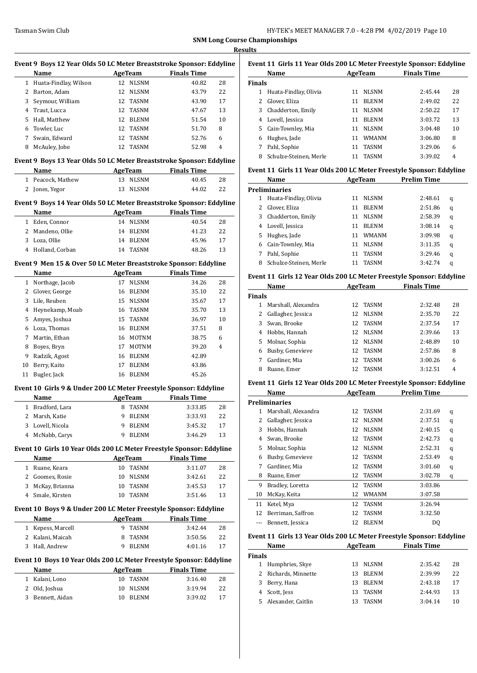|              | Name                                                                 | Event 9 Boys 12 Year Olds 50 LC Meter Breaststroke Sponsor: Eddyline | AgeTeam               | <b>Finals Time</b>            |    |
|--------------|----------------------------------------------------------------------|----------------------------------------------------------------------|-----------------------|-------------------------------|----|
|              | 1 Huata-Findlay, Wilson                                              |                                                                      | 12 NLSNM              | 40.82                         | 28 |
|              | 2 Barton, Adam                                                       |                                                                      | 12 NLSNM              | 43.79                         | 22 |
| 3            | Seymour, William                                                     |                                                                      | 12 TASNM              | 43.90                         | 17 |
| 4            | Traut, Lucca                                                         |                                                                      | 12 TASNM              | 47.67                         | 13 |
| 5.           | Hall, Matthew                                                        |                                                                      | 12 BLENM              | 51.54                         | 10 |
| 6            | Towler, Luc                                                          | 12                                                                   | TASNM                 | 51.70                         | 8  |
| 7            | Swain, Edward                                                        | 12                                                                   | <b>TASNM</b>          | 52.76                         | 6  |
|              | 8 McAuley, Jobe                                                      | 12                                                                   | TASNM                 | 52.98                         | 4  |
|              | Event 9 Boys 13 Year Olds 50 LC Meter Breaststroke Sponsor: Eddyline |                                                                      |                       |                               |    |
|              | Name                                                                 |                                                                      | AgeTeam               | <b>Finals Time</b>            |    |
|              | 1 Peacock, Mathew                                                    |                                                                      | 13 NLSNM              | 40.45                         | 28 |
|              | 2 Jones, Yegor                                                       | 13                                                                   | <b>NLSNM</b>          | 44.02                         | 22 |
|              | Event 9 Boys 14 Year Olds 50 LC Meter Breaststroke Sponsor: Eddyline |                                                                      |                       |                               |    |
|              | Name                                                                 |                                                                      | AgeTeam               | <b>Finals Time</b>            |    |
|              | 1 Eden, Connor                                                       |                                                                      | 14 NLSNM              | 40.54                         | 28 |
|              | 2 Mandeno, Ollie                                                     |                                                                      | 14 BLENM              | 41.23                         | 22 |
|              | 3 Loza, Ollie                                                        |                                                                      | 14 BLENM              | 45.96                         | 17 |
|              | 4 Holland, Corban                                                    |                                                                      | 14 TASNM              | 48.26                         | 13 |
|              | Event 9 Men 15 & Over 50 LC Meter Breaststroke Sponsor: Eddyline     |                                                                      |                       |                               |    |
|              | Name                                                                 |                                                                      | AgeTeam               | <b>Finals Time</b>            |    |
| $\mathbf{1}$ | Northage, Jacob                                                      | 17                                                                   | <b>NLSNM</b>          | 34.26                         | 28 |
| $\mathbf{2}$ | Glover, George                                                       |                                                                      | 16 BLENM              | 35.10                         | 22 |
| 3            | Lile, Reuben                                                         |                                                                      | 15 NLSNM              | 35.67                         | 17 |
|              | 4 Heynekamp, Moab                                                    |                                                                      | 16 TASNM              | 35.70                         | 13 |
| 5            | Amyes, Joshua                                                        | 15                                                                   | TASNM                 | 36.97                         | 10 |
|              | 6 Loza, Thomas                                                       |                                                                      | 16 BLENM              | 37.51                         | 8  |
| 7            | Martin, Ethan                                                        |                                                                      | 16 MOTNM              | 38.75                         | 6  |
|              |                                                                      |                                                                      |                       |                               | 4  |
| 8            | Boyes, Bryn                                                          |                                                                      | 17 MOTNM              | 39.20                         |    |
| 9.           | Radzik, Agost                                                        |                                                                      | 16 BLENM              | 42.89                         |    |
| 10           | Berry, Kaito                                                         | 17                                                                   | <b>BLENM</b>          | 43.86                         |    |
|              | 11 Bugler, Jack                                                      |                                                                      | 16 BLENM              | 45.26                         |    |
|              | Event 10 Girls 9 & Under 200 LC Meter Freestyle Sponsor: Eddyline    |                                                                      |                       |                               |    |
|              | Name<br>1 Bradford, Lara                                             |                                                                      | AgeTeam<br>8 TASNM    | <b>Finals Time</b><br>3:33.85 | 28 |
|              |                                                                      |                                                                      |                       |                               |    |
| 2            | Marsh, Katie                                                         | 9                                                                    | <b>BLENM</b>          | 3:33.93                       | 22 |
| 3            | Lovell, Nicola                                                       | 9                                                                    | BLENM                 | 3:45.32                       | 17 |
| 4            | McNabb, Carys                                                        | 9                                                                    | <b>BLENM</b>          | 3:46.29                       | 13 |
|              | Event 10 Girls 10 Year Olds 200 LC Meter Freestyle Sponsor: Eddyline |                                                                      |                       |                               |    |
|              | Name                                                                 |                                                                      | <b>AgeTeam</b>        | <b>Finals Time</b>            |    |
|              | 1 Ruane, Keara                                                       |                                                                      | 10 TASNM              | 3:11.07                       | 28 |
|              | 2 Goomes, Rosie                                                      | 10                                                                   | NLSNM                 | 3:42.61                       | 22 |
|              | 3 McKay, Brianna                                                     |                                                                      | 10 TASNM              | 3:45.53                       | 17 |
|              | 4 Smale, Kirsten                                                     | 10                                                                   | TASNM                 | 3:51.46                       | 13 |
|              | Event 10 Boys 9 & Under 200 LC Meter Freestyle Sponsor: Eddyline     |                                                                      |                       |                               |    |
|              | Name                                                                 |                                                                      | <b>AgeTeam</b>        | <b>Finals Time</b>            |    |
|              | 1 Kepess, Marcell                                                    |                                                                      | 9 TASNM               | 3:42.44                       | 28 |
|              | 2 Kalani, Maicah                                                     | 8                                                                    | TASNM                 | 3:50.56                       | 22 |
|              | 3 Hall, Andrew                                                       |                                                                      | 9 BLENM               | 4:01.16                       | 17 |
|              |                                                                      |                                                                      |                       |                               |    |
|              | Event 10 Boys 10 Year Olds 200 LC Meter Freestyle Sponsor: Eddyline  |                                                                      |                       |                               |    |
|              | Name                                                                 |                                                                      | <b>AgeTeam</b>        | <b>Finals Time</b>            |    |
|              | 1 Kalani, Lono                                                       | 10                                                                   | TASNM                 | 3:16.40                       | 28 |
| 2            | Old, Joshua                                                          | 10                                                                   | NLSNM<br><b>BLENM</b> | 3:19.94                       | 22 |

| Event 11 Girls 11 Year Olds 200 LC Meter Freestyle Sponsor: Eddyline |                        |    |              |                    |    |  |  |  |
|----------------------------------------------------------------------|------------------------|----|--------------|--------------------|----|--|--|--|
|                                                                      | <b>Name</b>            |    | AgeTeam      | <b>Finals Time</b> |    |  |  |  |
| <b>Finals</b>                                                        |                        |    |              |                    |    |  |  |  |
| 1                                                                    | Huata-Findlay, Olivia  | 11 | <b>NLSNM</b> | 2:45.44            | 28 |  |  |  |
|                                                                      | Glover, Eliza          | 11 | <b>BLENM</b> | 2:49.02            | 22 |  |  |  |
| 3                                                                    | Chadderton, Emily      | 11 | <b>NLSNM</b> | 2:50.22            | 17 |  |  |  |
| 4                                                                    | Lovell, Jessica        | 11 | <b>BLENM</b> | 3:03.72            | 13 |  |  |  |
| 5.                                                                   | Cain-Townley, Mia      | 11 | <b>NLSNM</b> | 3:04.48            | 10 |  |  |  |
| 6                                                                    | Hughes, Jade           | 11 | <b>WMANM</b> | 3:06.80            | 8  |  |  |  |
| 7                                                                    | Pahl, Sophie           | 11 | <b>TASNM</b> | 3:29.06            | 6  |  |  |  |
| 8                                                                    | Schulze-Steinen. Merle |    | TASNM        | 3:39.02            | 4  |  |  |  |

#### **Event 11 Girls 11 Year Olds 200 LC Meter Freestyle Sponsor: Eddyline**

| Name                   |                                         |              | <b>Prelim Time</b> |   |
|------------------------|-----------------------------------------|--------------|--------------------|---|
|                        |                                         |              |                    |   |
| Huata-Findlay, Olivia  | 11                                      | <b>NLSNM</b> | 2:48.61            | q |
| Glover, Eliza          | 11                                      | <b>BLENM</b> | 2:51.86            | q |
| Chadderton, Emily      | 11                                      | <b>NLSNM</b> | 2:58.39            | q |
|                        | 11                                      | <b>BLENM</b> | 3:08.14            | q |
| Hughes, Jade           | 11                                      | <b>WMANM</b> | 3:09.98            | q |
| Cain-Townley, Mia      | 11                                      | <b>NLSNM</b> | 3:11.35            | q |
| Pahl, Sophie           | 11                                      | <b>TASNM</b> | 3:29.46            | q |
| Schulze-Steinen, Merle |                                         | <b>TASNM</b> | 3.42.74            | q |
|                        | <b>Preliminaries</b><br>Lovell, Jessica |              | AgeTeam            |   |

#### **Event 11 Girls 12 Year Olds 200 LC Meter Freestyle Sponsor: Eddyline**

| Name          |                     |    | AgeTeam      | <b>Finals Time</b> |    |
|---------------|---------------------|----|--------------|--------------------|----|
| <b>Finals</b> |                     |    |              |                    |    |
| 1             | Marshall, Alexandra | 12 | TASNM        | 2:32.48            | 28 |
| 2             | Gallagher, Jessica  | 12 | <b>NLSNM</b> | 2:35.70            | 22 |
| 3             | Swan, Brooke        | 12 | <b>TASNM</b> | 2:37.54            | 17 |
| 4             | Hobbs, Hannah       | 12 | <b>NLSNM</b> | 2:39.66            | 13 |
| 5.            | Molnar, Sophia      | 12 | <b>NLSNM</b> | 2:48.89            | 10 |
| 6             | Busby, Genevieve    | 12 | <b>TASNM</b> | 2:57.86            | 8  |
| 7             | Gardiner, Mia       | 12 | <b>TASNM</b> | 3:00.26            | 6  |
| 8             | Ruane, Emer         | 12 | <b>TASNM</b> | 3:12.51            | 4  |
|               |                     |    |              |                    |    |

#### **Event 11 Girls 12 Year Olds 200 LC Meter Freestyle Sponsor: Eddyline**

|    | Name                 | <b>AgeTeam</b> |              | <b>Prelim Time</b> |   |
|----|----------------------|----------------|--------------|--------------------|---|
|    | <b>Preliminaries</b> |                |              |                    |   |
| 1  | Marshall, Alexandra  | 12             | <b>TASNM</b> | 2:31.69            | q |
| 2  | Gallagher, Jessica   | 12             | <b>NLSNM</b> | 2:37.51            | q |
| 3  | Hobbs, Hannah        | 12             | <b>NLSNM</b> | 2:40.15            | q |
| 4  | Swan, Brooke         | 12             | <b>TASNM</b> | 2:42.73            | q |
| 5  | Molnar, Sophia       | 12             | <b>NLSNM</b> | 2:52.31            | q |
| 6  | Busby, Genevieve     | 12             | TASNM        | 2:53.49            | q |
| 7  | Gardiner, Mia        | 12             | <b>TASNM</b> | 3:01.60            | q |
| 8  | Ruane, Emer          | 12             | TASNM        | 3:02.78            | q |
| 9  | Bradley, Loretta     | 12             | <b>TASNM</b> | 3:03.86            |   |
| 10 | McKay, Keita         | 12             | <b>WMANM</b> | 3:07.58            |   |
| 11 | Ketel, Mya           | 12             | <b>TASNM</b> | 3:26.94            |   |
| 12 | Berriman, Saffron    | 12             | <b>TASNM</b> | 3:32.50            |   |
|    | Bennett, Jessica     | 12             | <b>BLENM</b> | DQ                 |   |

# **Event 11 Girls 13 Year Olds 200 LC Meter Freestyle Sponsor: Eddyline**

| Name          |                      | AgeTeam |              | <b>Finals Time</b> |    |
|---------------|----------------------|---------|--------------|--------------------|----|
| <b>Finals</b> |                      |         |              |                    |    |
|               | 1 Humphries, Skye    |         | 13 NLSNM     | 2:35.42            | 28 |
|               | 2 Richards, Minnette | 13      | <b>BLENM</b> | 2:39.99            | 22 |
|               | 3 Berry, Hana        | 13      | <b>BLENM</b> | 2:43.18            | 17 |
|               | 4 Scott, Jess        | 13      | TASNM        | 2:44.93            | 13 |
|               | 5 Alexander, Caitlin |         | <b>TASNM</b> | 3:04.14            | 10 |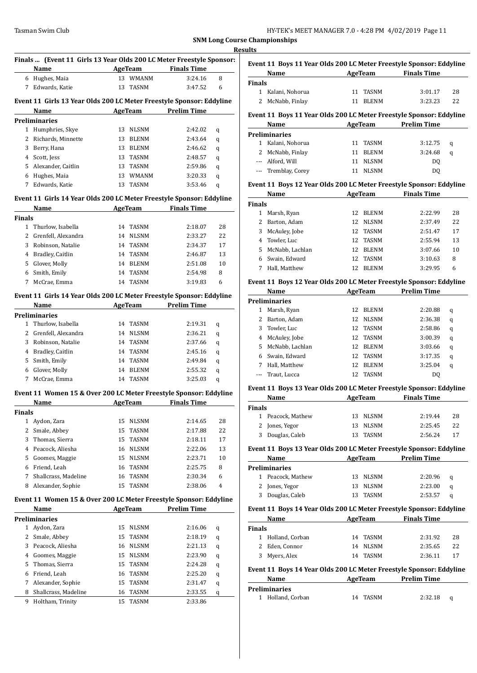|               | Name                                     | <b>Example 2 AgeTeam</b>   | Finals  (Event 11 Girls 13 Year Olds 200 LC Meter Freestyle Sponsor:<br><b>Finals Time</b> |
|---------------|------------------------------------------|----------------------------|--------------------------------------------------------------------------------------------|
|               | 6 Hughes, Maia                           | 13 WMANM                   | 3:24.16<br>8                                                                               |
|               | 7 Edwards, Katie                         | 13 TASNM                   | 6<br>3:47.52                                                                               |
|               |                                          |                            |                                                                                            |
|               |                                          |                            | Event 11 Girls 13 Year Olds 200 LC Meter Freestyle Sponsor: Eddyline                       |
|               | Name                                     | AgeTeam Prelim Time        |                                                                                            |
|               | <b>Preliminaries</b>                     |                            |                                                                                            |
|               | 1 Humphries, Skye                        | 13 NLSNM                   | 2:42.02<br>q                                                                               |
|               | 2 Richards, Minnette                     | 13 BLENM                   | 2:43.64<br>q                                                                               |
|               | 3 Berry, Hana                            | 13 BLENM                   | 2:46.62<br>q                                                                               |
|               | 4 Scott, Jess                            | 13 TASNM                   | 2:48.57<br>q                                                                               |
|               | 5 Alexander, Caitlin                     | 13 TASNM                   | 2:59.86<br>q                                                                               |
|               | 6 Hughes, Maia                           | 13 WMANM                   | 3:20.33<br>q                                                                               |
|               | 7 Edwards, Katie                         | 13 TASNM                   | 3:53.46<br>q                                                                               |
|               |                                          |                            |                                                                                            |
|               |                                          |                            | Event 11 Girls 14 Year Olds 200 LC Meter Freestyle Sponsor: Eddyline                       |
|               | Name                                     | AgeTeam                    | <b>Finals Time</b>                                                                         |
| <b>Finals</b> |                                          |                            |                                                                                            |
|               | 1 Thurlow, Isabella                      | 14 TASNM                   | 2:18.07<br>28                                                                              |
|               | 2 Grenfell, Alexandra                    | 14 NLSNM                   | 2:33.27<br>22                                                                              |
|               | 3 Robinson, Natalie                      | 14 TASNM                   | 2:34.37<br>17                                                                              |
|               | 4 Bradley, Caitlin                       | 14 TASNM                   | 2:46.87<br>13                                                                              |
|               | 5 Glover, Molly                          | 14 BLENM                   | 2:51.08<br>10                                                                              |
|               | 6 Smith, Emily                           | 14 TASNM                   | 8<br>2:54.98                                                                               |
|               | 7 McCrae, Emma                           | 14 TASNM                   | 3:19.83<br>6                                                                               |
|               |                                          |                            |                                                                                            |
|               |                                          |                            | Event 11 Girls 14 Year Olds 200 LC Meter Freestyle Sponsor: Eddyline                       |
|               | Name                                     |                            | AgeTeam Prelim Time                                                                        |
|               | <b>Preliminaries</b>                     |                            |                                                                                            |
|               | 1 Thurlow, Isabella                      | 14 TASNM                   | 2:19.31<br>q                                                                               |
|               | 2 Grenfell, Alexandra                    | 14 NLSNM                   | 2:36.21<br>q                                                                               |
|               | 3 Robinson, Natalie                      | 14 TASNM                   | 2:37.66<br>q                                                                               |
|               | 4 Bradley, Caitlin                       | 14 TASNM                   | 2:45.16<br>q                                                                               |
|               | 5 Smith, Emily                           | 14 TASNM                   | 2:49.84<br>q                                                                               |
|               | 6 Glover, Molly                          | 14 BLENM                   | 2:55.32<br>q                                                                               |
|               | 7 McCrae, Emma                           | 14 TASNM                   | 3:25.03<br>q                                                                               |
|               |                                          |                            | Event 11 Women 15 & Over 200 LC Meter Freestyle Sponsor: Eddyline                          |
|               | Name                                     | AgeTeam Finals Time        |                                                                                            |
|               |                                          |                            |                                                                                            |
| <b>Finals</b> |                                          |                            |                                                                                            |
| $\mathbf{1}$  | Aydon, Zara                              | <b>NLSNM</b><br>15         | 28<br>2:14.65                                                                              |
| 2             | Smale, Abbey                             | 15<br><b>TASNM</b>         | 2:17.88<br>22                                                                              |
| 3             | Thomas, Sierra                           | 15<br>TASNM                | 2:18.11<br>17                                                                              |
| 4             | Peacock, Aliesha                         | <b>NLSNM</b><br>16         | 2:22.06<br>13                                                                              |
| 5             | Goomes, Maggie                           | 15<br><b>NLSNM</b>         | 10<br>2:23.71                                                                              |
| 6             | Friend, Leah                             | TASNM<br>16                | 8<br>2:25.75                                                                               |
| 7             | Shallcrass, Madeline                     | TASNM<br>16                | 2:30.34<br>6                                                                               |
| 8             | Alexander, Sophie                        | TASNM<br>15                | 2:38.06<br>4                                                                               |
|               |                                          |                            | Event 11 Women 15 & Over 200 LC Meter Freestyle Sponsor: Eddyline                          |
|               | Name                                     | <b>AgeTeam</b>             | <b>Prelim Time</b>                                                                         |
|               | <b>Preliminaries</b>                     |                            |                                                                                            |
| $\mathbf{1}$  | Aydon, Zara                              |                            |                                                                                            |
| 2             |                                          | 15<br>NLSNM                | 2:16.06<br>q                                                                               |
|               | Smale, Abbey                             | 15<br>TASNM                | 2:18.19<br>q                                                                               |
|               | Peacock, Aliesha                         | <b>NLSNM</b><br>16         | 2:21.13<br>q                                                                               |
| 3             |                                          | <b>NLSNM</b><br>15         | 2:23.90<br>q                                                                               |
| 4             | Goomes, Maggie                           |                            |                                                                                            |
| 5             | Thomas, Sierra                           | 15<br>TASNM                | 2:24.28<br>q                                                                               |
| 6             | Friend, Leah                             | TASNM<br>16                | 2:25.20<br>q                                                                               |
| 7             | Alexander, Sophie                        | 15<br>TASNM                | 2:31.47<br>q                                                                               |
| 8<br>9        | Shallcrass, Madeline<br>Holtham, Trinity | 16<br>TASNM<br>15<br>TASNM | 2:33.55<br>q                                                                               |

|               | Name                                                                |    | AgeTeam      | <b>Finals Time</b> |             |
|---------------|---------------------------------------------------------------------|----|--------------|--------------------|-------------|
| <b>Finals</b> |                                                                     |    |              |                    |             |
| $\mathbf{1}$  | Kalani, Nohorua                                                     | 11 | <b>TASNM</b> | 3:01.17            | 28          |
| 2             | McNabb, Finlay                                                      | 11 | <b>BLENM</b> | 3:23.23            | 22          |
|               | Event 11 Boys 11 Year Olds 200 LC Meter Freestyle Sponsor: Eddyline |    |              |                    |             |
|               | Name                                                                |    | AgeTeam      | <b>Prelim Time</b> |             |
|               | <b>Preliminaries</b>                                                |    |              |                    |             |
| $\mathbf{1}$  | Kalani, Nohorua                                                     | 11 | <b>TASNM</b> | 3:12.75            | q           |
| 2             | McNabb, Finlay                                                      | 11 | <b>BLENM</b> | 3:24.68            | $\mathbf q$ |
| $---$         | Alford, Will                                                        | 11 | <b>NLSNM</b> | DQ                 |             |
|               | --- Tremblay, Corey                                                 | 11 | <b>NLSNM</b> | DQ                 |             |
|               | Event 11 Boys 12 Year Olds 200 LC Meter Freestyle Sponsor: Eddyline |    |              |                    |             |
|               | Name                                                                |    | AgeTeam      | <b>Finals Time</b> |             |
| <b>Finals</b> |                                                                     |    |              |                    |             |
| $\mathbf{1}$  | Marsh, Ryan                                                         | 12 | <b>BLENM</b> | 2:22.99            | 28          |
| 2             | Barton, Adam                                                        | 12 | <b>NLSNM</b> | 2:37.49            | 22          |
| 3             | McAuley, Jobe                                                       | 12 | <b>TASNM</b> | 2:51.47            | 17          |
| 4             | Towler, Luc                                                         | 12 | <b>TASNM</b> | 2:55.94            | 13          |
| 5             | McNabb, Lachlan                                                     | 12 | <b>BLENM</b> | 3:07.66            | 10          |
| 6             | Swain, Edward                                                       | 12 | <b>TASNM</b> | 3:10.63            | 8           |
|               | Hall, Matthew                                                       | 12 | <b>BLENM</b> | 3:29.95            | 6           |

# **Event 11 Boys 12 Year Olds 200 LC Meter Freestyle Sponsor: Eddyline**

| Name |                 | AgeTeam |              | Prelim Time    |   |
|------|-----------------|---------|--------------|----------------|---|
|      | Preliminaries   |         |              |                |   |
| 1    | Marsh, Ryan     | 12      | <b>BLENM</b> | 2:20.88        | q |
| 2    | Barton, Adam    | 12      | <b>NLSNM</b> | 2:36.38        | q |
| 3    | Towler, Luc     | 12      | TASNM        | 2:58.86        | q |
| 4    | McAuley, Jobe   | 12      | TASNM        | 3:00.39        | q |
| 5.   | McNabb, Lachlan | 12.     | <b>BLENM</b> | 3:03.66        | q |
| 6    | Swain, Edward   | 12      | TASNM        | 3:17.35        | q |
| 7    | Hall, Matthew   | 12      | <b>BLENM</b> | 3:25.04        | q |
|      | Traut, Lucca    | 12      | <b>TASNM</b> | D <sub>0</sub> |   |
|      |                 |         |              |                |   |

#### **Event 11 Boys 13 Year Olds 200 LC Meter Freestyle Sponsor: Eddyline**

| Name          |                   | AgeTeam |          | <b>Finals Time</b> |    |
|---------------|-------------------|---------|----------|--------------------|----|
| <b>Finals</b> |                   |         |          |                    |    |
|               | 1 Peacock, Mathew |         | 13 NLSNM | 2:19.44            | 28 |
|               | 2 Jones, Yegor    | 13      | NLSNM    | 2:25.45            | 22 |
|               | 3 Douglas, Caleb  | 13.     | TASNM    | 2:56.24            | 17 |

# **Event 11 Boys 13 Year Olds 200 LC Meter Freestyle Sponsor: Eddyline**

| Name |                      | AgeTeam  | <b>Prelim Time</b> |   |
|------|----------------------|----------|--------------------|---|
|      | <b>Preliminaries</b> |          |                    |   |
|      | 1 Peacock, Mathew    | 13 NLSNM | 2:20.96            | a |
|      | 2 Jones, Yegor       | 13 NLSNM | 2:23.00            | a |
|      | 3 Douglas, Caleb     | TASNM    | 2:53.57            | a |

#### **Event 11 Boys 14 Year Olds 200 LC Meter Freestyle Sponsor: Eddyline**

| Name          |                                                                     |         | AgeTeam      | <b>Finals Time</b> |    |
|---------------|---------------------------------------------------------------------|---------|--------------|--------------------|----|
| <b>Finals</b> |                                                                     |         |              |                    |    |
| 1             | Holland, Corban                                                     | 14      | <b>TASNM</b> | 2:31.92            | 28 |
| 2             | Eden, Connor                                                        | 14      | <b>NLSNM</b> | 2:35.65            | 22 |
| 3             | Myers, Alex                                                         | 14      | <b>TASNM</b> | 2:36.11            | 17 |
|               | Event 11 Boys 14 Year Olds 200 LC Meter Freestyle Sponsor: Eddyline |         |              |                    |    |
| Name          |                                                                     | AgeTeam |              | <b>Prelim Time</b> |    |
|               | <b>Preliminaries</b>                                                |         |              |                    |    |

| теппппагіем |                   |  |          |         |  |  |  |  |  |
|-------------|-------------------|--|----------|---------|--|--|--|--|--|
|             | 1 Holland, Corban |  | 14 TASNM | 2:32.18 |  |  |  |  |  |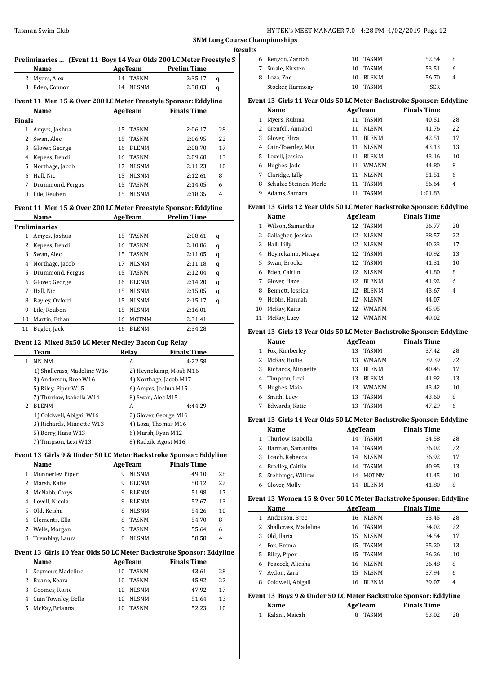|               | Preliminaries  (Event 11 Boys 14 Year Olds 200 LC Meter Freestyle S |    |                          |                        |        |              | 6 Kenyon, 2                |
|---------------|---------------------------------------------------------------------|----|--------------------------|------------------------|--------|--------------|----------------------------|
|               | Name                                                                |    | <b>AgeTeam</b>           | <b>Prelim Time</b>     |        | 7            | Smale, Ki                  |
|               | 2 Myers, Alex                                                       |    | 14 TASNM                 | 2:35.17                | q      | 8            | Loza, Zoe                  |
|               | 3 Eden, Connor                                                      |    | 14 NLSNM                 | 2:38.03                | q      | ---          | Stocker, I                 |
|               |                                                                     |    |                          |                        |        |              |                            |
|               | Event 11 Men 15 & Over 200 LC Meter Freestyle Sponsor: Eddyline     |    |                          |                        |        |              | Event 13 Girls             |
|               | Name                                                                |    | <b>AgeTeam</b>           | <b>Finals Time</b>     |        |              | Name                       |
| <b>Finals</b> |                                                                     |    |                          |                        |        |              | 1 Myers, Ru<br>2 Grenfell, |
|               | 1 Amyes, Joshua                                                     | 15 | TASNM                    | 2:06.17                | 28     | 3            | Glover, El                 |
| 2             | Swan, Alec                                                          | 15 | <b>TASNM</b><br>16 BLENM | 2:06.95                | 22     |              | 4 Cain-Tow                 |
| 3             | Glover, George                                                      |    |                          | 2:08.70                | 17     |              | 5 Lovell, Je:              |
| 4             | Kepess, Bendi                                                       |    | 16 TASNM                 | 2:09.68                | 13     | 6            | Hughes, J                  |
| 5             | Northage, Jacob                                                     |    | 17 NLSNM                 | 2:11.23                | 10     | 7            | Claridge,                  |
|               | 6 Hall, Nic                                                         |    | 15 NLSNM                 | 2:12.61                | 8      | 8            | Schulze-S                  |
| 7             | Drummond, Fergus                                                    |    | 15 TASNM                 | 2:14.05                | 6      | 9            | Adams, S                   |
| 8             | Lile, Reuben                                                        |    | 15 NLSNM                 | 2:18.35                | 4      |              |                            |
|               | Event 11 Men 15 & Over 200 LC Meter Freestyle Sponsor: Eddyline     |    |                          |                        |        |              | Event 13 Girls             |
|               | Name                                                                |    | <b>AgeTeam</b>           | <b>Prelim Time</b>     |        |              | Name                       |
|               | <b>Preliminaries</b>                                                |    |                          |                        |        |              | 1 Wilson, S                |
|               | 1 Amyes, Joshua                                                     | 15 | <b>TASNM</b>             | 2:08.61                | q      | 2            | Gallagher                  |
| 2             | Kepess, Bendi                                                       | 16 | TASNM                    | 2:10.86                | q      | 3            | Hall, Lilly                |
| 3             | Swan, Alec                                                          | 15 | <b>TASNM</b>             | 2:11.05                | q      | 4            | Heyneka                    |
|               | 4 Northage, Jacob                                                   | 17 | <b>NLSNM</b>             | 2:11.18                | q      | 5            | Swan, Bro                  |
| 5             | Drummond, Fergus                                                    | 15 | TASNM                    | 2:12.04                | q      |              | 6 Eden, Cai                |
| 6             | Glover, George                                                      |    | 16 BLENM                 | 2:14.20                | q      | $7^{\circ}$  | Glover, H                  |
| 7             | Hall, Nic                                                           | 15 | NLSNM                    | 2:15.05                | q      | 8            | Bennett,                   |
| 8             | Bayley, Oxford                                                      |    | 15 NLSNM                 | 2:15.17                | q      | 9            | Hobbs, H                   |
| 9             | Lile, Reuben                                                        | 15 | NLSNM                    | 2:16.01                |        | 10           | McKay, K                   |
|               | 10 Martin, Ethan                                                    | 16 | <b>MOTNM</b>             | 2:31.41                |        | 11           | McKay, L                   |
| 11            | Bugler, Jack                                                        |    | 16 BLENM                 | 2:34.28                |        |              | Event 13 Girls             |
|               | Event 12 Mixed 8x50 LC Meter Medley Bacon Cup Relay                 |    |                          |                        |        |              | Name                       |
|               | Team                                                                |    | Relay                    | <b>Finals Time</b>     |        |              | 1 Fox, Kiml                |
| $\mathbf{1}$  | NN-NM                                                               |    | A                        | 4:22.58                |        | 2            | McKay, H                   |
|               | 1) Shallcrass, Madeline W16                                         |    |                          | 2) Heynekamp, Moab M16 |        | 3            | <b>Richards</b>            |
|               | 3) Anderson, Bree W16                                               |    |                          | 4) Northage, Jacob M17 |        | 4            | <b>Timpson</b>             |
|               | 5) Riley, Piper W15                                                 |    |                          | 6) Amyes, Joshua M15   |        | 5            | Hughes, I                  |
|               | 7) Thurlow, Isabella W14                                            |    | 8) Swan, Alec M15        |                        |        | 6            | Smith, Lu                  |
|               | 2 BLENM                                                             |    | A                        | 4:44.29                |        | 7            | Edwards,                   |
|               | 1) Coldwell, Abigail W16                                            |    |                          | 2) Glover, George M16  |        |              |                            |
|               | 3) Richards, Minnette W13                                           |    |                          | 4) Loza, Thomas M16    |        |              | Event 13 Girls             |
|               | 5) Berry, Hana W13                                                  |    | 6) Marsh, Ryan M12       |                        |        |              | <b>Name</b>                |
|               | 7) Timpson, Lexi W13                                                |    |                          | 8) Radzik, Agost M16   |        | $\mathbf{1}$ | Thurlow,                   |
|               | Event 13 Girls 9 & Under 50 LC Meter Backstroke Sponsor: Eddyline   |    |                          |                        |        | 2            | Harman,                    |
|               | Name                                                                |    | <b>AgeTeam</b>           | <b>Finals Time</b>     |        | 3            | Loach, Re                  |
|               | 1 Munnerley, Piper                                                  | 9. | <b>NLSNM</b>             | 49.10                  | 28     | 4            | Bradley, 0                 |
| 2             | Marsh, Katie                                                        | 9  | <b>BLENM</b>             | 50.12                  | 22     | 5            | Stebbing:                  |
| 3             | McNabb, Carys                                                       | 9  | <b>BLENM</b>             | 51.98                  | 17     | 6            | Glover, M                  |
| 4             | Lovell, Nicola                                                      | 9  | <b>BLENM</b>             | 52.67                  | 13     |              | Event 13 Won               |
| 5             | Old, Keisha                                                         | 8  | <b>NLSNM</b>             | 54.26                  | $10\,$ |              | Name                       |
| 6             | Clements, Ella                                                      | 8  | TASNM                    | 54.70                  | 8      |              | 1 Anderson                 |
| 7             | Wells, Morgan                                                       | 9  | TASNM                    | 55.64                  | 6      | 2            | Shallcras                  |
| 8             | Tremblay, Laura                                                     | 8  | <b>NLSNM</b>             | 58.58                  | 4      |              | 3 Old, Ilaria              |

#### **Event 13 Girls 10 Year Olds 50 LC Meter Backstroke Sponsor: Eddyline**

|   | <b>Name</b>           | AgeTeam            | <b>Finals Time</b> |    |
|---|-----------------------|--------------------|--------------------|----|
|   | 1 Seymour, Madeline   | TASNM<br>10        | 43.61              | 28 |
|   | Ruane, Keara          | TASNM<br>10.       | 45.92              | 22 |
| 3 | Goomes, Rosie         | NLSNM<br>10.       | 47.92              | 17 |
|   | 4 Cain-Townley, Bella | <b>NLSNM</b><br>10 | 51.64              | 13 |
| 5 | McKay, Brianna        | <b>TASNM</b>       | 52.23              | 10 |

|    | <b>Results</b> |                      |    |          |            |   |  |
|----|----------------|----------------------|----|----------|------------|---|--|
| S, |                | 6 Kenyon, Zarriah    |    | 10 TASNM | 52.54      | 8 |  |
|    |                | 7 Smale, Kirsten     | 10 | TASNM    | 53.51      |   |  |
|    |                | Loza, Zoe            | 10 | BLENM    | 56.70      |   |  |
|    |                | --- Stocker, Harmony | 10 | TASNM    | <b>SCR</b> |   |  |
|    |                |                      |    |          |            |   |  |

#### **Event 13 Girls 11 Year Olds 50 LC Meter Backstroke Sponsor: Eddyline**

|    | Name                   |    | AgeTeam      | <b>Finals Time</b> |                |
|----|------------------------|----|--------------|--------------------|----------------|
| 1  | Myers, Rubina          | 11 | <b>TASNM</b> | 40.51              | 28             |
| 2  | Grenfell, Annabel      | 11 | <b>NLSNM</b> | 41.76              | 22             |
| 3  | Glover, Eliza          | 11 | <b>BLENM</b> | 42.51              | 17             |
| 4  | Cain-Townley, Mia      | 11 | <b>NLSNM</b> | 43.13              | 13             |
| 5. | Lovell, Jessica        | 11 | <b>BLENM</b> | 43.16              | 10             |
| 6  | Hughes, Jade           | 11 | <b>WMANM</b> | 44.80              | 8              |
| 7  | Claridge, Lilly        | 11 | <b>NLSNM</b> | 51.51              | 6              |
| 8  | Schulze-Steinen, Merle | 11 | <b>TASNM</b> | 56.64              | $\overline{4}$ |
| 9  | Adams, Samara          | 11 | <b>TASNM</b> | 1:01.83            |                |

## **Event 13 Girls 12 Year Olds 50 LC Meter Backstroke Sponsor: Eddyline**

|    | Name               |    | AgeTeam      | <b>Finals Time</b> |                |
|----|--------------------|----|--------------|--------------------|----------------|
| 1  | Wilson, Samantha   |    | 12 TASNM     | 36.77              | 28             |
| 2  | Gallagher, Jessica | 12 | <b>NLSNM</b> | 38.57              | 22             |
| 3  | Hall, Lilly        | 12 | <b>NLSNM</b> | 40.23              | 17             |
| 4  | Heynekamp, Micaya  |    | 12 TASNM     | 40.92              | 13             |
| 5. | Swan, Brooke       | 12 | TASNM        | 41.31              | 10             |
| 6  | Eden, Caitlin      | 12 | <b>NLSNM</b> | 41.80              | 8              |
| 7  | Glover, Hazel      | 12 | <b>BLENM</b> | 41.92              | 6              |
| 8  | Bennett, Jessica   | 12 | <b>BLENM</b> | 43.67              | $\overline{4}$ |
| 9  | Hobbs, Hannah      | 12 | <b>NLSNM</b> | 44.07              |                |
| 10 | McKay, Keita       | 12 | <b>WMANM</b> | 45.95              |                |
| 11 | McKay, Lucy        | 12 | <b>WMANM</b> | 49.02              |                |

#### **Event 13 Girls 13 Year Olds 50 LC Meter Backstroke Sponsor: Eddyline**

|              | Name               |     | AgeTeam      | <b>Finals Time</b> |    |
|--------------|--------------------|-----|--------------|--------------------|----|
| $\mathbf{1}$ | Fox, Kimberley     | 13  | TASNM        | 37.42              | 28 |
|              | 2 McKay, Hollie    | 13  | <b>WMANM</b> | 39.39              | 22 |
| 3            | Richards, Minnette | 13  | <b>BLENM</b> | 40.45              | 17 |
|              | 4 Timpson, Lexi    | 13  | <b>BLENM</b> | 41.92              | 13 |
|              | 5 Hughes, Maia     | 13. | <b>WMANM</b> | 43.42              | 10 |
| 6            | Smith, Lucy        | 13  | TASNM        | 43.60              | 8  |
|              | Edwards, Katie     | 13. | <b>TASNM</b> | 47.29              | 6  |
|              |                    |     |              |                    |    |

#### **Event 13 Girls 14 Year Olds 50 LC Meter Backstroke Sponsor: Eddyline**

| ent to an is the text only so no meter buenon one sponson nuagme |                     |    |              |                    |    |
|------------------------------------------------------------------|---------------------|----|--------------|--------------------|----|
|                                                                  | <b>Name</b>         |    | AgeTeam      | <b>Finals Time</b> |    |
|                                                                  | 1 Thurlow, Isabella | 14 | TASNM        | 34.58              | 28 |
|                                                                  | 2 Harman, Samantha  | 14 | TASNM        | 36.02              | 22 |
| 3                                                                | Loach, Rebecca      | 14 | <b>NLSNM</b> | 36.92              | 17 |
|                                                                  | Bradley, Caitlin    | 14 | TASNM        | 40.95              | 13 |
| 5.                                                               | Stebbings, Willow   | 14 | MOTNM        | 41.45              | 10 |
| 6                                                                | Glover, Molly       | 14 | <b>BLENM</b> | 41.80              | 8  |
|                                                                  |                     |    |              |                    |    |

#### **Event 13 Women 15 & Over 50 LC Meter Backstroke Sponsor: Eddyline**

|    | Name                   |    | AgeTeam      | <b>Finals Time</b> |       |    |  |
|----|------------------------|----|--------------|--------------------|-------|----|--|
|    | Anderson, Bree         | 16 | <b>NLSNM</b> |                    | 33.45 | 28 |  |
|    | 2 Shallcrass, Madeline | 16 | TASNM        |                    | 34.02 | 22 |  |
|    | Old, Ilaria            |    | 15 NLSNM     |                    | 34.54 | 17 |  |
| 4  | Fox, Emma              |    | 15 TASNM     |                    | 35.20 | 13 |  |
| 5. | Riley, Piper           |    | 15 TASNM     |                    | 36.26 | 10 |  |
|    | Peacock, Aliesha       |    | 16 NLSNM     |                    | 36.48 | 8  |  |
|    | Aydon, Zara            |    | 15 NLSNM     |                    | 37.94 | 6  |  |
| 8  | Coldwell, Abigail      | 16 | <b>BLENM</b> |                    | 39.07 | 4  |  |

# **Event 13 Boys 9 & Under 50 LC Meter Backstroke Sponsor: Eddyline**

| Name             | AgeTeam | <b>Finals Time</b> |    |
|------------------|---------|--------------------|----|
| 1 Kalani, Maicah | 8 TASNM | 53.02              | 28 |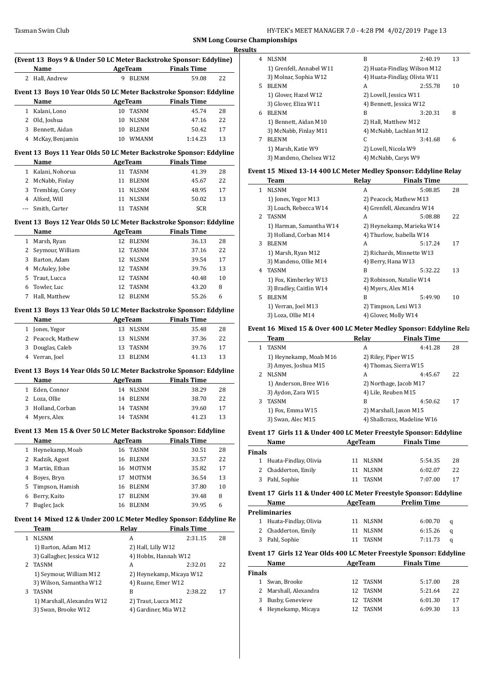|              | Name                                                                |    | AgeTeam              | <b>Finals Time</b>          |    |
|--------------|---------------------------------------------------------------------|----|----------------------|-----------------------------|----|
|              | 2 Hall, Andrew                                                      | 9  | <b>BLENM</b>         | 59.08                       | 22 |
|              | Event 13 Boys 10 Year Olds 50 LC Meter Backstroke Sponsor: Eddyline |    |                      |                             |    |
|              | Name                                                                |    | <b>AgeTeam</b>       | <b>Finals Time</b>          |    |
| $\mathbf{1}$ | Kalani, Lono                                                        |    | 10 TASNM             | 45.74                       | 28 |
|              | 2 Old, Joshua                                                       | 10 | NLSNM                | 47.16                       | 22 |
|              | 3 Bennett, Aidan                                                    | 10 | BLENM                | 50.42                       | 17 |
| $4^{\circ}$  | McKay, Benjamin                                                     |    | 10 WMANM             | 1:14.23                     | 13 |
|              | Event 13 Boys 11 Year Olds 50 LC Meter Backstroke Sponsor: Eddyline |    |                      |                             |    |
|              | Name                                                                |    | AgeTeam              | <b>Finals Time</b>          |    |
|              | 1 Kalani, Nohorua                                                   |    | 11 TASNM             | 41.39                       | 28 |
|              | 2 McNabb, Finlay                                                    | 11 | BLENM                | 45.67                       | 22 |
|              | 3 Tremblay, Corey                                                   | 11 | NLSNM                | 48.95                       | 17 |
|              | 4 Alford, Will                                                      | 11 | NLSNM                | 50.02                       | 13 |
| $\cdots$     | Smith, Carter                                                       | 11 | TASNM                | <b>SCR</b>                  |    |
|              | Event 13 Boys 12 Year Olds 50 LC Meter Backstroke Sponsor: Eddyline |    |                      |                             |    |
|              | Name                                                                |    | AgeTeam              | <b>Finals Time</b>          |    |
|              | 1 Marsh, Ryan                                                       |    | 12 BLENM             | 36.13                       | 28 |
| $\mathbf{2}$ | Seymour, William                                                    | 12 | TASNM                | 37.16                       | 22 |
|              | 3 Barton, Adam                                                      | 12 | <b>NLSNM</b>         | 39.54                       | 17 |
|              | 4 McAuley, Jobe                                                     | 12 | TASNM                | 39.76                       | 13 |
| 5            | Traut, Lucca                                                        | 12 | TASNM                | 40.48                       | 10 |
| 6            | Towler, Luc                                                         | 12 | TASNM                | 43.20                       | 8  |
| 7            | Hall, Matthew                                                       | 12 | <b>BLENM</b>         | 55.26                       | 6  |
|              |                                                                     |    |                      |                             |    |
|              | Event 13 Boys 13 Year Olds 50 LC Meter Backstroke Sponsor: Eddyline |    |                      |                             |    |
|              | Name                                                                |    | AgeTeam              | <b>Finals Time</b>          |    |
|              | 1 Jones, Yegor                                                      |    | 13 NLSNM             | 35.48                       | 28 |
|              | 2 Peacock, Mathew                                                   |    | 13 NLSNM             | 37.36                       | 22 |
|              | 3 Douglas, Caleb                                                    | 13 | TASNM                | 39.76                       | 17 |
|              | 4 Verran, Joel                                                      | 13 | <b>BLENM</b>         | 41.13                       | 13 |
|              | Event 13 Boys 14 Year Olds 50 LC Meter Backstroke Sponsor: Eddyline |    |                      |                             |    |
|              | Name                                                                |    | <b>AgeTeam</b>       | <b>Finals Time</b>          |    |
|              | 1 Eden, Connor                                                      |    | 14 NLSNM             | 38.29                       | 28 |
| 2            | Loza, Ollie                                                         | 14 | <b>BLENM</b>         | 38.70                       | 22 |
| 3            | Holland, Corban                                                     |    | 14 TASNM             | 39.60                       | 17 |
|              | Myers, Alex                                                         |    | 14 TASNM             | 41.23                       | 13 |
|              |                                                                     |    |                      |                             |    |
|              |                                                                     |    |                      |                             |    |
|              | Event 13 Men 15 & Over 50 LC Meter Backstroke Sponsor: Eddyline     |    |                      |                             |    |
| $\mathbf{1}$ | Name                                                                |    | <b>AgeTeam</b>       | <b>Finals Time</b><br>30.51 |    |
|              | Heynekamp, Moab                                                     |    | 16 TASNM             |                             | 28 |
|              | 2 Radzik, Agost                                                     | 16 | BLENM                | 33.57                       | 22 |
|              | 3 Martin, Ethan                                                     |    | 16 MOTNM             | 35.82                       | 17 |
|              | 4 Boyes, Bryn                                                       | 17 | MOTNM                | 36.54                       | 13 |
| 5            | Timpson, Hamish                                                     |    | 16 BLENM             | 37.80                       | 10 |
| 6            | Berry, Kaito                                                        | 17 | BLENM                | 39.48                       | 8  |
| 7            | Bugler, Jack                                                        | 16 | <b>BLENM</b>         | 39.95                       | 6  |
|              | Event 14 Mixed 12 & Under 200 LC Meter Medley Sponsor: Eddyline Re  |    |                      |                             |    |
|              | Team                                                                |    | <b>Relay</b>         | <b>Finals Time</b>          |    |
| $\mathbf{1}$ | <b>NLSNM</b>                                                        |    | A                    | 2:31.15                     | 28 |
|              | 1) Barton, Adam M12                                                 |    | 2) Hall, Lilly W12   |                             |    |
|              | 3) Gallagher, Jessica W12                                           |    | 4) Hobbs, Hannah W12 |                             |    |
|              | 2 TASNM                                                             |    | A                    | 2:32.01                     | 22 |
|              | 1) Seymour, William M12                                             |    |                      | 2) Heynekamp, Micaya W12    |    |
|              | 3) Wilson, Samantha W12                                             |    | 4) Ruane, Emer W12   |                             |    |
| 3            | TASNM                                                               |    | B                    | 2:38.22                     | 17 |
|              | 1) Marshall, Alexandra W12                                          |    | 2) Traut, Lucca M12  |                             |    |

| <b>Results</b> |                          |                        |                              |    |
|----------------|--------------------------|------------------------|------------------------------|----|
| 4              | <b>NLSNM</b>             | B                      | 2:40.19                      | 13 |
|                | 1) Grenfell, Annabel W11 |                        | 2) Huata-Findlay, Wilson M12 |    |
|                | 3) Molnar, Sophia W12    |                        | 4) Huata-Findlay, Olivia W11 |    |
| 5.             | <b>BLENM</b>             | A                      | 2:55.78                      | 10 |
|                | 1) Glover, Hazel W12     | 2) Lovell, Jessica W11 |                              |    |
|                | 3) Glover, Eliza W11     |                        | 4) Bennett, Jessica W12      |    |
| 6              | <b>BLENM</b>             | B                      | 3:20.31                      | 8  |
|                | 1) Bennett, Aidan M10    | 2) Hall, Matthew M12   |                              |    |
|                | 3) McNabb, Finlay M11    |                        | 4) McNabb, Lachlan M12       |    |
| 7              | <b>BLENM</b>             | C                      | 3:41.68                      | 6  |
|                | 1) Marsh, Katie W9       | 2) Lovell, Nicola W9   |                              |    |
|                | 3) Mandeno, Chelsea W12  | 4) McNabb, Carys W9    |                              |    |

#### **Event 15 Mixed 13-14 400 LC Meter Medley Sponsor: Eddyline Relay**

|             | Team                    | Relay              | <b>Finals Time</b>         |    |
|-------------|-------------------------|--------------------|----------------------------|----|
| 1.          | <b>NLSNM</b>            | A                  | 5:08.85                    | 28 |
|             | 1) Jones, Yegor M13     |                    | 2) Peacock, Mathew M13     |    |
|             | 3) Loach, Rebecca W14   |                    | 4) Grenfell, Alexandra W14 |    |
| $2^{\circ}$ | <b>TASNM</b>            | A                  | 5:08.88                    | 22 |
|             | 1) Harman, Samantha W14 |                    | 2) Heynekamp, Marieka W14  |    |
|             | 3) Holland, Corban M14  |                    | 4) Thurlow, Isabella W14   |    |
| 3           | <b>BLENM</b>            | A                  | 5:17.24                    | 17 |
|             | 1) Marsh, Ryan M12      |                    | 2) Richards, Minnette W13  |    |
|             | 3) Mandeno, Ollie M14   | 4) Berry, Hana W13 |                            |    |
| 4           | <b>TASNM</b>            | B                  | 5:32.22                    | 13 |
|             | 1) Fox, Kimberley W13   |                    | 2) Robinson, Natalie W14   |    |
|             | 3) Bradley, Caitlin W14 | 4) Myers, Alex M14 |                            |    |
| 5.          | <b>BLENM</b>            | B                  | 5:49.90                    | 10 |
|             | 1) Verran, Joel M13     |                    | 2) Timpson, Lexi W13       |    |
|             | 3) Loza, Ollie M14      |                    | 4) Glover, Molly W14       |    |

#### Event 16 Mixed 15 & Over 400 LC Meter Medley Sponsor: Eddyline Rela

|             | Team                   | Relav | <b>Finals Time</b>          |    |
|-------------|------------------------|-------|-----------------------------|----|
| 1           | <b>TASNM</b>           | A     | 4:41.28                     | 28 |
|             | 1) Heynekamp, Moab M16 |       | 2) Riley, Piper W15         |    |
|             | 3) Amyes, Joshua M15   |       | 4) Thomas, Sierra W15       |    |
| $2^{\circ}$ | <b>NLSNM</b>           | А     | 4:45.67                     | 22 |
|             | 1) Anderson, Bree W16  |       | 2) Northage, Jacob M17      |    |
|             | 3) Aydon, Zara W15     |       | 4) Lile, Reuben M15         |    |
| 3           | <b>TASNM</b>           | B     | 4:50.62                     | 17 |
|             | 1) Fox, Emma W15       |       | 2) Marshall, Jaxon M15      |    |
|             | 3) Swan, Alec M15      |       | 4) Shallcrass, Madeline W16 |    |

#### **Event 17 Girls 11 & Under 400 LC Meter Freestyle Sponsor: Eddyline**

|               | Name                    | AgeTeam |          | <b>Finals Time</b> |    |
|---------------|-------------------------|---------|----------|--------------------|----|
| <b>Finals</b> |                         |         |          |                    |    |
|               | 1 Huata-Findlay, Olivia |         | 11 NLSNM | 5:54.35            | 28 |
|               | 2 Chadderton, Emily     |         | 11 NLSNM | 6:02.07            | 22 |
|               | 3 Pahl, Sophie          |         | TASNM    | 7:07.00            | 17 |

#### **Event 17 Girls 11 & Under 400 LC Meter Freestyle Sponsor: Eddyline**

| Name                    | AgeTeam  | <b>Prelim Time</b> |   |
|-------------------------|----------|--------------------|---|
| <b>Preliminaries</b>    |          |                    |   |
| 1 Huata-Findlay, Olivia | 11 NLSNM | 6:00.70            | a |
| 2 Chadderton, Emily     | 11 NLSNM | 6:15.26            | a |
| 3 Pahl, Sophie          | TASNM    | 7:11.73            | a |

#### **Event 17 Girls 12 Year Olds 400 LC Meter Freestyle Sponsor: Eddyline**

|               | Name                  | AgeTeam      | <b>Finals Time</b> |    |
|---------------|-----------------------|--------------|--------------------|----|
| <b>Finals</b> |                       |              |                    |    |
|               | 1 Swan, Brooke        | 12 TASNM     | 5:17.00            | 28 |
|               | 2 Marshall, Alexandra | 12 TASNM     | 5:21.64            | 22 |
|               | 3 Busby, Genevieve    | TASNM<br>12. | 6:01.30            | 17 |
|               | 4 Heynekamp, Micaya   | TASNM<br>12  | 6:09.30            | 13 |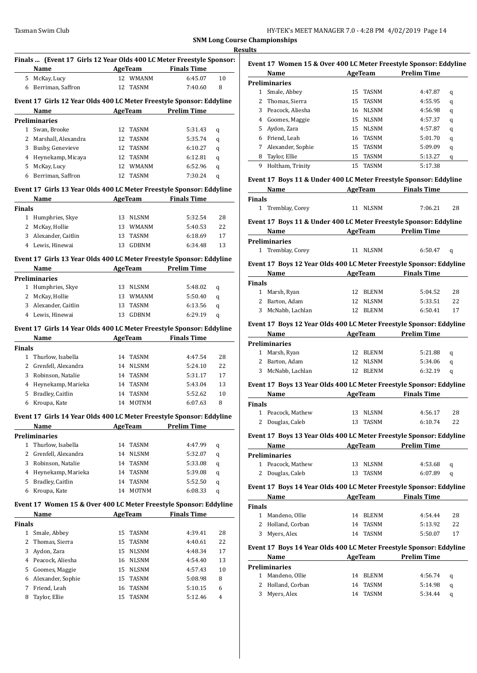|               | Finals  (Event 17 Girls 12 Year Olds 400 LC Meter Freestyle Sponsor:<br><b>Example 21 AgeTeam</b><br>Name |    |                               | <b>Finals Time</b>  |    |
|---------------|-----------------------------------------------------------------------------------------------------------|----|-------------------------------|---------------------|----|
| 5.            | McKay, Lucy                                                                                               | 12 | <b>WMANM</b>                  | 6:45.07             | 10 |
|               |                                                                                                           |    |                               |                     |    |
|               | 6 Berriman, Saffron                                                                                       | 12 | <b>TASNM</b>                  | 7:40.60             | 8  |
|               | Event 17 Girls 12 Year Olds 400 LC Meter Freestyle Sponsor: Eddyline                                      |    |                               |                     |    |
|               | Name                                                                                                      |    | <b>AgeTeam</b>                | <b>Prelim Time</b>  |    |
|               | Preliminaries                                                                                             |    |                               |                     |    |
|               | 1 Swan, Brooke                                                                                            |    | 12 TASNM                      | 5:31.43             | q  |
|               | 2 Marshall, Alexandra                                                                                     |    | 12 TASNM                      | 5:35.74             | q  |
|               | 3 Busby, Genevieve                                                                                        |    | 12 TASNM                      | 6:10.27             | q  |
|               | 4 Heynekamp, Micaya                                                                                       |    | 12 TASNM                      | 6:12.81             | q  |
|               | 5 McKay, Lucy                                                                                             |    | 12 WMANM                      | 6:52.96             | q  |
| 6             | Berriman, Saffron                                                                                         |    | 12 TASNM                      | 7:30.24             | q  |
|               |                                                                                                           |    |                               |                     |    |
|               | Event 17 Girls 13 Year Olds 400 LC Meter Freestyle Sponsor: Eddyline                                      |    |                               |                     |    |
|               | Name                                                                                                      |    | <b>AgeTeam</b>                | <b>Finals Time</b>  |    |
| <b>Finals</b> |                                                                                                           |    |                               |                     |    |
| $1 \quad$     | Humphries, Skye                                                                                           |    | 13 NLSNM                      | 5:32.54             | 28 |
|               | 2 McKay, Hollie                                                                                           |    | 13 WMANM                      | 5:40.53             | 22 |
|               | 3 Alexander, Caitlin                                                                                      | 13 | TASNM                         | 6:18.69             | 17 |
| 4             | Lewis, Hinewai                                                                                            | 13 | GDBNM                         | 6:34.48             | 13 |
|               | Event 17 Girls 13 Year Olds 400 LC Meter Freestyle Sponsor: Eddyline                                      |    |                               |                     |    |
|               | Name                                                                                                      |    |                               | AgeTeam Prelim Time |    |
|               | <b>Preliminaries</b>                                                                                      |    |                               |                     |    |
|               | 1 Humphries, Skye                                                                                         |    | 13 NLSNM                      | 5:48.02             |    |
|               | 2 McKay, Hollie                                                                                           |    | 13 WMANM                      | 5:50.40             | q  |
|               | 3 Alexander, Caitlin                                                                                      | 13 | <b>TASNM</b>                  | 6:13.56             | q  |
|               | 4 Lewis, Hinewai                                                                                          | 13 | GDBNM                         |                     | q  |
|               |                                                                                                           |    |                               | 6:29.19             | q  |
|               | Event 17 Girls 14 Year Olds 400 LC Meter Freestyle Sponsor: Eddyline                                      |    |                               |                     |    |
|               | Name                                                                                                      |    | <b>AgeTeam</b>                | <b>Finals Time</b>  |    |
| Finals        |                                                                                                           |    |                               |                     |    |
| $1\,$         | Thurlow, Isabella                                                                                         | 14 | TASNM                         | 4:47.54             | 28 |
|               | 2 Grenfell, Alexandra                                                                                     |    | 14 NLSNM                      | 5:24.10             | 22 |
|               | 3 Robinson, Natalie                                                                                       |    | 14 TASNM                      | 5:31.17             | 17 |
|               | 4 Heynekamp, Marieka                                                                                      |    | 14 TASNM                      | 5:43.04             | 13 |
| 5             | Bradley, Caitlin                                                                                          | 14 | <b>TASNM</b>                  | 5:52.62             | 10 |
| 6             | Kroupa, Kate                                                                                              |    | 14 MOTNM                      | 6:07.63             | 8  |
|               |                                                                                                           |    |                               |                     |    |
|               | Event 17 Girls 14 Year Olds 400 LC Meter Freestyle Sponsor: Eddyline                                      |    |                               |                     |    |
|               | Name                                                                                                      |    | AgeTeam                       | <b>Prelim Time</b>  |    |
|               | <b>Preliminaries</b>                                                                                      |    |                               |                     |    |
| 1             | Thurlow, Isabella                                                                                         | 14 | TASNM                         | 4:47.99             | q  |
| 2             | Grenfell, Alexandra                                                                                       | 14 | <b>NLSNM</b>                  | 5:32.07             | q  |
| 3             | Robinson, Natalie                                                                                         | 14 | TASNM                         | 5:33.08             | q  |
| 4             | Heynekamp, Marieka                                                                                        | 14 | TASNM                         | 5:39.08             | q  |
| 5             | Bradley, Caitlin                                                                                          | 14 | TASNM                         | 5:52.50             | q  |
| 6             | Kroupa, Kate                                                                                              | 14 | MOTNM                         | 6:08.33             | q  |
|               | Event 17 Women 15 & Over 400 LC Meter Freestyle Sponsor: Eddyline                                         |    |                               |                     |    |
|               |                                                                                                           |    |                               |                     |    |
|               | Name                                                                                                      |    | AgeTeam                       | <b>Finals Time</b>  |    |
| Finals        |                                                                                                           |    |                               |                     |    |
| $\mathbf{1}$  | Smale, Abbey                                                                                              | 15 | TASNM                         | 4:39.41             | 28 |
| 2             | Thomas, Sierra                                                                                            | 15 | TASNM                         | 4:40.61             | 22 |
| 3             | Aydon, Zara                                                                                               | 15 | <b>NLSNM</b>                  | 4:48.34             | 17 |
|               | 4 Peacock, Aliesha                                                                                        | 16 | $\ensuremath{\mathsf{NLSNM}}$ | 4:54.40             | 13 |
| 5             | Goomes, Maggie                                                                                            | 15 | <b>NLSNM</b>                  | 4:57.43             | 10 |
| 6             | Alexander, Sophie                                                                                         | 15 | TASNM                         | 5:08.98             | 8  |
| 7             | Friend, Leah                                                                                              | 16 | TASNM                         | 5:10.15             | 6  |
| 8             | Taylor, Ellie                                                                                             | 15 | TASNM                         | 5:12.46             | 4  |
|               |                                                                                                           |    |                               |                     |    |

| Event 17 Women 15 & Over 400 LC Meter Freestyle Sponsor: Eddyline |                      |    |              |                    |   |  |  |
|-------------------------------------------------------------------|----------------------|----|--------------|--------------------|---|--|--|
|                                                                   | Name                 |    | AgeTeam      | <b>Prelim Time</b> |   |  |  |
|                                                                   | <b>Preliminaries</b> |    |              |                    |   |  |  |
| 1                                                                 | Smale, Abbey         |    | 15 TASNM     | 4:47.87            | q |  |  |
|                                                                   | Thomas, Sierra       |    | 15 TASNM     | 4:55.95            | q |  |  |
| 3                                                                 | Peacock. Aliesha     | 16 | <b>NLSNM</b> | 4:56.98            | q |  |  |
| 4                                                                 | Goomes, Maggie       | 15 | <b>NLSNM</b> | 4:57.37            | q |  |  |
| 5.                                                                | Aydon, Zara          | 15 | <b>NLSNM</b> | 4:57.87            | q |  |  |
| 6                                                                 | Friend. Leah         | 16 | TASNM        | 5:01.70            | q |  |  |
|                                                                   | Alexander, Sophie    | 15 | <b>TASNM</b> | 5:09.09            | q |  |  |
| 8                                                                 | Taylor, Ellie        | 15 | <b>TASNM</b> | 5:13.27            | q |  |  |
| 9                                                                 | Holtham, Trinity     | 15 | <b>TASNM</b> | 5:17.38            |   |  |  |

#### **Event 17 Boys 11 & Under 400 LC Meter Freestyle Sponsor: Eddyline**

| Name                                                                         | AgeTeam  | <b>Finals Time</b> |    |  |  |  |
|------------------------------------------------------------------------------|----------|--------------------|----|--|--|--|
| <b>Finals</b>                                                                |          |                    |    |  |  |  |
| 1 Tremblay, Corey                                                            | 11 NLSNM | 7:06.21            | 28 |  |  |  |
| <b>Frent 17 Roys 11 &amp; Under 400 LC Meter Freestyle Sponsor: Eddyline</b> |          |                    |    |  |  |  |

#### **Event 17 Boys 11 & Under 400 LC Meter Freestyle Sponsor: Eddyline Name Age Team Prelim Time**

| Name              | <b>Age ream</b> | Prellin Time |
|-------------------|-----------------|--------------|
| Preliminaries     |                 |              |
| 1 Tremblay, Corey | NLSNM<br>11.    | 6:50.47<br>a |
|                   |                 |              |

# **Event 17 Boys 12 Year Olds 400 LC Meter Freestyle Sponsor: Eddyline**

| Name                                                                |                   |  | AgeTeam                | <b>Finals Time</b> |    |  |  |  |
|---------------------------------------------------------------------|-------------------|--|------------------------|--------------------|----|--|--|--|
| <b>Finals</b>                                                       |                   |  |                        |                    |    |  |  |  |
| 1                                                                   | Marsh, Ryan       |  | 12 BLENM               | 5:04.52            | 28 |  |  |  |
|                                                                     | 2 Barton, Adam    |  | 12 NLSNM               | 5:33.51            | 22 |  |  |  |
|                                                                     | 3 McNabb, Lachlan |  | 12 BLENM               | 6:50.41            | 17 |  |  |  |
| Event 17 Boys 12 Year Olds 400 LC Meter Freestyle Sponsor: Eddyline |                   |  |                        |                    |    |  |  |  |
|                                                                     | $N0$ ma           |  | $A \alpha \alpha$ Toom | Drolim Timo        |    |  |  |  |

| Name                 |     | AgeTeam      | <b>Prelim Time</b> |   |  |
|----------------------|-----|--------------|--------------------|---|--|
| <b>Preliminaries</b> |     |              |                    |   |  |
| 1 Marsh, Ryan        |     | 12 BLENM     | 5:21.88            | a |  |
| 2 Barton, Adam       |     | 12 NLSNM     | 5:34.06            | a |  |
| 3 McNabb, Lachlan    | 12. | <b>BLENM</b> | 6:32.19            | a |  |

#### **Event 17 Boys 13 Year Olds 400 LC Meter Freestyle Sponsor: Eddyline**

|        | Name              | AgeTeam  | <b>Finals Time</b> |    |
|--------|-------------------|----------|--------------------|----|
| Finals |                   |          |                    |    |
|        | 1 Peacock, Mathew | 13 NLSNM | 4:56.17            | 28 |
|        | 2 Douglas, Caleb  | 13 TASNM | 6:10.74            | 22 |

#### **Event 17 Boys 13 Year Olds 400 LC Meter Freestyle Sponsor: Eddyline**

| Name |                      | AgeTeam |          | <b>Prelim Time</b> |   |
|------|----------------------|---------|----------|--------------------|---|
|      | <b>Preliminaries</b> |         |          |                    |   |
|      | 1 Peacock, Mathew    |         | 13 NLSNM | 4:53.68            | a |
|      | 2 Douglas, Caleb     | 13.     | TASNM    | 6:07.89            |   |

#### **Event 17 Boys 14 Year Olds 400 LC Meter Freestyle Sponsor: Eddyline**

|               | Name              | AgeTeam  | <b>Finals Time</b> |    |
|---------------|-------------------|----------|--------------------|----|
| <b>Finals</b> |                   |          |                    |    |
|               | 1 Mandeno, Ollie  | 14 BLENM | 4:54.44            | 28 |
|               | 2 Holland, Corban | 14 TASNM | 5:13.92            | 22 |
| 3             | Myers, Alex       | 14 TASNM | 5:50.07            |    |

#### **Event 17 Boys 14 Year Olds 400 LC Meter Freestyle Sponsor: Eddyline**

|   | Name              |    | AgeTeam  | <b>Prelim Time</b> |     |  |
|---|-------------------|----|----------|--------------------|-----|--|
|   | Preliminaries     |    |          |                    |     |  |
|   | 1 Mandeno, Ollie  |    | 14 BLENM | 4:56.74            | a d |  |
|   | 2 Holland, Corban |    | 14 TASNM | 5:14.98            | a   |  |
| 3 | Myers, Alex       | 14 | TASNM    | 5:34.44            |     |  |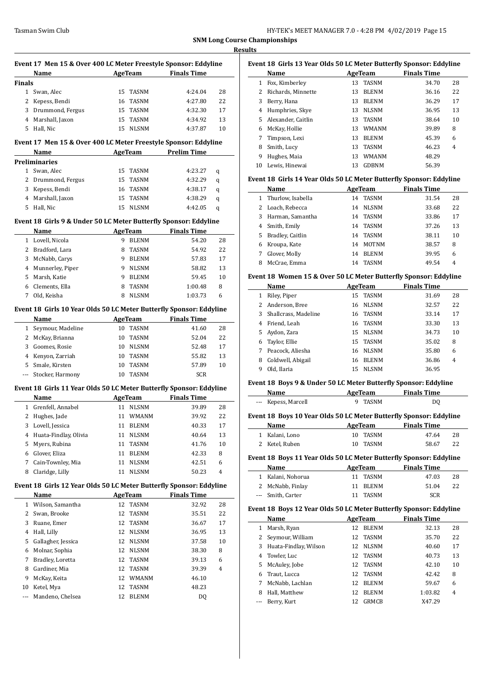$\overline{\phantom{a}}$ 

 $\overline{a}$ 

 $\frac{1}{2}$ 

 $\overline{\phantom{a}}$ 

|              | Event 17 Men 15 & Over 400 LC Meter Freestyle Sponsor: Eddyline<br>Name |          |                               | AgeTeam Finals Time |                                 |
|--------------|-------------------------------------------------------------------------|----------|-------------------------------|---------------------|---------------------------------|
| Finals       |                                                                         |          |                               |                     |                                 |
| 1            | Swan, Alec                                                              | 15       | <b>TASNM</b>                  | 4:24.04             | 28                              |
| 2            | Kepess, Bendi                                                           | 16       | TASNM                         | 4:27.80             | 22                              |
| 3            | Drummond, Fergus                                                        |          | 15 TASNM                      | 4:32.30             | 17                              |
| 4            | Marshall, Jaxon                                                         | 15       | <b>TASNM</b>                  | 4:34.92             | 13                              |
| 5            | Hall, Nic                                                               | 15       | <b>NLSNM</b>                  | 4:37.87             | 10                              |
|              |                                                                         |          |                               |                     |                                 |
|              | Event 17 Men 15 & Over 400 LC Meter Freestyle Sponsor: Eddyline         |          |                               |                     |                                 |
|              | Name                                                                    |          | AgeTeam                       | <b>Prelim Time</b>  |                                 |
|              | <b>Preliminaries</b>                                                    |          |                               |                     |                                 |
| 2            | 1 Swan, Alec                                                            | 15       | TASNM                         | 4:23.27             | q                               |
|              | Drummond, Fergus                                                        | 15       | TASNM                         | 4:32.29             | q                               |
| 3            | Kepess, Bendi                                                           | 16       | TASNM                         | 4:38.17             | q                               |
| 4            | Marshall, Jaxon                                                         | 15       | TASNM                         | 4:38.29             | q                               |
| 5            | Hall, Nic                                                               | 15       | <b>NLSNM</b>                  | 4:42.05             | q                               |
|              | Event 18  Girls 9 & Under 50 LC Meter Butterfly Sponsor: Eddyline       |          |                               |                     |                                 |
|              | Name                                                                    |          | AgeTeam                       | <b>Finals Time</b>  |                                 |
|              | 1 Lovell, Nicola                                                        |          | 9 BLENM                       | 54.20               | 28                              |
| 2            | Bradford, Lara                                                          |          | 8 TASNM                       | 54.92               | 22                              |
| 3            | McNabb, Carys                                                           |          | 9 BLENM                       | 57.83               | 17                              |
| 4            | Munnerley, Piper                                                        |          | 9 NLSNM                       | 58.82               | 13                              |
| 5            | Marsh, Katie                                                            |          | 9 BLENM                       | 59.45               | 10                              |
| 6            | Clements, Ella                                                          | 8        | TASNM                         | 1:00.48             | 8                               |
| 7            | Old, Keisha                                                             | 8        | <b>NLSNM</b>                  | 1:03.73             | 6                               |
|              | Event 18 Girls 10 Year Olds 50 LC Meter Butterfly Sponsor: Eddyline     |          |                               |                     |                                 |
|              | <b>Name</b>                                                             |          | <b>AgeTeam</b>                | <b>Finals Time</b>  |                                 |
| $\mathbf{1}$ | Seymour, Madeline                                                       |          | 10 TASNM                      | 41.60               | 28                              |
| 2            | McKay, Brianna                                                          |          | 10 TASNM                      | 52.04               | 22                              |
| 3            | Goomes, Rosie                                                           |          | 10 NLSNM                      | 52.48               | 17                              |
| 4            | Kenyon, Zarriah                                                         | 10       | <b>TASNM</b>                  | 55.82               | 13                              |
| 5            | Smale, Kirsten                                                          | 10       | TASNM                         | 57.89               | 10                              |
| ---          | Stocker, Harmony                                                        | 10       | <b>TASNM</b>                  | <b>SCR</b>          |                                 |
|              | Event 18 Girls 11 Year Olds 50 LC Meter Butterfly Sponsor: Eddyline     |          |                               |                     |                                 |
|              | Name                                                                    |          | <b>AgeTeam</b>                | <b>Finals Time</b>  |                                 |
| 1            | Grenfell, Annabel                                                       | 11       | NLSNM                         | 39.89               | 28                              |
|              | 2 Hughes, Jade                                                          |          | 11 WMANM                      | 39.92               | 22                              |
| 3            | Lovell, Jessica                                                         | 11       | BLENM                         | 40.33               | 17                              |
| 4            | Huata-Findlay, Olivia                                                   | 11       | <b>NLSNM</b>                  | 40.64               | 13                              |
| 5            | Myers, Rubina                                                           | 11       | TASNM                         | 41.76               | 10                              |
|              | Glover, Eliza                                                           | 11       | <b>BLENM</b>                  | 42.33               | 8                               |
|              |                                                                         |          |                               |                     |                                 |
| 6<br>7       |                                                                         |          |                               |                     |                                 |
| 8            | Cain-Townley, Mia<br>Claridge, Lilly                                    | 11<br>11 | NLSNM<br><b>NLSNM</b>         | 42.51<br>50.23      | 6<br>4                          |
|              |                                                                         |          |                               |                     |                                 |
|              | Event 18 Girls 12 Year Olds 50 LC Meter Butterfly Sponsor: Eddyline     |          |                               |                     |                                 |
|              | Name                                                                    |          | <b>AgeTeam</b>                | <b>Finals Time</b>  |                                 |
| 1            | Wilson, Samantha                                                        | 12       | TASNM                         | 32.92               |                                 |
| 2            | Swan, Brooke                                                            | 12       | TASNM                         | 35.51               |                                 |
| 3            | Ruane, Emer                                                             | 12       | TASNM                         | 36.67               |                                 |
| 4            | Hall, Lilly                                                             | 12       | <b>NLSNM</b>                  | 36.95               |                                 |
| 5            | Gallagher, Jessica                                                      | 12       | <b>NLSNM</b>                  | 37.58               |                                 |
| 6            | Molnar, Sophia                                                          | 12       | $\ensuremath{\mathsf{NLSNM}}$ | 38.30               | 28<br>22<br>17<br>13<br>10<br>8 |
| 7            | Bradley, Loretta                                                        | 12       | TASNM                         | 39.13               | 6                               |
| 8            | Gardiner, Mia                                                           | 12       | TASNM                         | 39.39               | 4                               |
| 9            | McKay, Keita                                                            | 12       | WMANM                         | 46.10               |                                 |
| 10<br>---    | Ketel, Mya<br>Mandeno, Chelsea                                          | 12<br>12 | TASNM<br><b>BLENM</b>         | 48.23<br>DQ         |                                 |

| Event 18 Girls 13 Year Olds 50 LC Meter Butterfly Sponsor: Eddyline |                    |    |              |                    |    |  |  |
|---------------------------------------------------------------------|--------------------|----|--------------|--------------------|----|--|--|
|                                                                     | Name               |    | AgeTeam      | <b>Finals Time</b> |    |  |  |
|                                                                     | Fox, Kimberley     | 13 | TASNM        | 34.70              | 28 |  |  |
|                                                                     | Richards, Minnette | 13 | <b>BLENM</b> | 36.16              | 22 |  |  |
| 3                                                                   | Berry, Hana        | 13 | <b>BLENM</b> | 36.29              | 17 |  |  |
| 4                                                                   | Humphries, Skye    | 13 | <b>NLSNM</b> | 36.95              | 13 |  |  |
| 5.                                                                  | Alexander, Caitlin | 13 | TASNM        | 38.64              | 10 |  |  |
| 6                                                                   | McKay, Hollie      | 13 | <b>WMANM</b> | 39.89              | 8  |  |  |
| 7                                                                   | Timpson, Lexi      | 13 | <b>BLENM</b> | 45.39              | 6  |  |  |
| 8                                                                   | Smith, Lucy        | 13 | <b>TASNM</b> | 46.23              | 4  |  |  |
| 9                                                                   | Hughes, Maia       | 13 | <b>WMANM</b> | 48.29              |    |  |  |
| 10                                                                  | Lewis, Hinewai     | 13 | GDBNM        | 56.39              |    |  |  |

# **Event 18 Girls 14 Year Olds 50 LC Meter Butterfly Sponsor: Eddyline**

|    | Name                | AgeTeam |              | <b>Finals Time</b> |    |
|----|---------------------|---------|--------------|--------------------|----|
|    | 1 Thurlow, Isabella | 14      | <b>TASNM</b> | 31.54              | 28 |
|    | 2 Loach, Rebecca    | 14      | <b>NLSNM</b> | 33.68              | 22 |
|    | 3 Harman, Samantha  | 14      | TASNM        | 33.86              | 17 |
| 4  | Smith, Emily        | 14      | TASNM        | 37.26              | 13 |
| 5. | Bradley, Caitlin    | 14      | TASNM        | 38.11              | 10 |
| 6  | Kroupa, Kate        | 14      | <b>MOTNM</b> | 38.57              | 8  |
| 7  | Glover, Molly       | 14      | <b>BLENM</b> | 39.95              | 6  |
|    | McCrae, Emma        | 14      | TASNM        | 49.54              | 4  |

#### **Event 18 Women 15 & Over 50 LC Meter Butterfly Sponsor: Eddyline**

|   | Name                 | AgeTeam |              | <b>Finals Time</b> |       |    |
|---|----------------------|---------|--------------|--------------------|-------|----|
| 1 | Riley, Piper         | 15      | <b>TASNM</b> |                    | 31.69 | 28 |
| 2 | Anderson, Bree       |         | 16 NLSNM     |                    | 32.57 | 22 |
| 3 | Shallcrass, Madeline | 16      | TASNM        |                    | 33.14 | 17 |
| 4 | Friend, Leah         | 16      | TASNM        |                    | 33.30 | 13 |
| 5 | Aydon, Zara          |         | 15 NLSNM     |                    | 34.73 | 10 |
| 6 | Taylor, Ellie        |         | 15 TASNM     |                    | 35.02 | 8  |
| 7 | Peacock, Aliesha     | 16      | <b>NLSNM</b> |                    | 35.80 | 6  |
| 8 | Coldwell, Abigail    | 16      | <b>BLENM</b> |                    | 36.86 | 4  |
| 9 | Old, Ilaria          | 15      | <b>NLSNM</b> |                    | 36.95 |    |
|   |                      |         |              |                    |       |    |

#### **Event 18 Boys 9 & Under 50 LC Meter Butterfly Sponsor: Eddyline**

| Name                | AgeTeam | <b>Finals Time</b> |  |
|---------------------|---------|--------------------|--|
| --- Kepess, Marcell | 9 TASNM | DQ                 |  |

#### **Event 18 Boys 10 Year Olds 50 LC Meter Butterfly Sponsor: Eddyline**

| Name           | AgeTeam  | <b>Finals Time</b> |    |
|----------------|----------|--------------------|----|
| 1 Kalani, Lono | 10 TASNM | 47.64              | 28 |
| 2 Ketel, Ruben | 10 TASNM | 58.67              | 22 |

#### **Event 18 Boys 11 Year Olds 50 LC Meter Butterfly Sponsor: Eddyline**

| Name              | AgeTeam  | <b>Finals Time</b> |    |
|-------------------|----------|--------------------|----|
| 1 Kalani, Nohorua | 11 TASNM | 47.03              | 28 |
| 2 McNabb, Finlay  | 11 BLENM | 51.04              | 22 |
| --- Smith, Carter | 11 TASNM | SCR                |    |

#### **Event 18 Boys 12 Year Olds 50 LC Meter Butterfly Sponsor: Eddyline**

|    | Name                  |                 | AgeTeam      | <b>Finals Time</b> |    |
|----|-----------------------|-----------------|--------------|--------------------|----|
|    | Marsh, Ryan           | 12 <sub>1</sub> | <b>BLENM</b> | 32.13              | 28 |
|    | Seymour, William      |                 | 12 TASNM     | 35.70              | 22 |
| 3  | Huata-Findlay, Wilson | 12              | <b>NLSNM</b> | 40.60              | 17 |
| 4  | Towler, Luc           |                 | 12 TASNM     | 40.73              | 13 |
| 5. | McAuley, Jobe         |                 | 12 TASNM     | 42.10              | 10 |
| 6  | Traut, Lucca          |                 | 12 TASNM     | 42.42              | 8  |
| 7  | McNabb, Lachlan       | 12              | <b>BLENM</b> | 59.67              | 6  |
| 8  | Hall, Matthew         | 12.             | <b>BLENM</b> | 1:03.82            | 4  |
|    | Berry, Kurt           | 12.             | GRMCB        | X47.29             |    |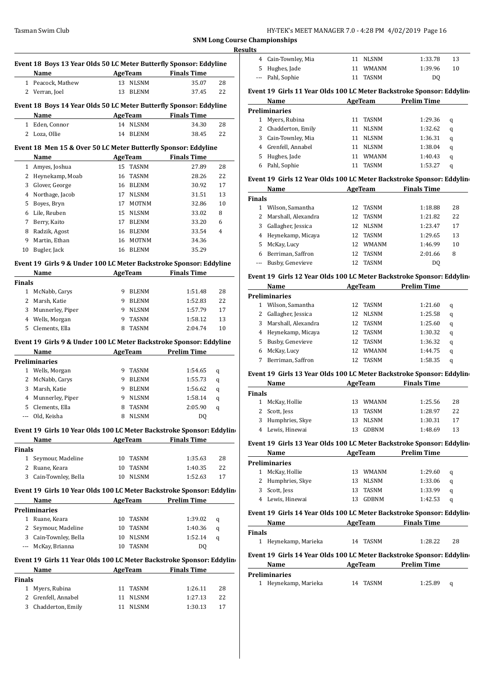| HY-TEK's MEET MANAGER 7.0 - 4:28 PM 4/02/2019 Page 16 |  |
|-------------------------------------------------------|--|
|-------------------------------------------------------|--|

**SNM Long Course O Resul** 

|               | Event 18 Boys 13 Year Olds 50 LC Meter Butterfly Sponsor: Eddyline   |    |                |                                      |    |
|---------------|----------------------------------------------------------------------|----|----------------|--------------------------------------|----|
|               | Name                                                                 |    |                | AgeTeam Finals Time                  |    |
| 1             | Peacock, Mathew                                                      | 13 | <b>NLSNM</b>   | 35.07                                | 28 |
|               | 2 Verran, Joel                                                       | 13 | BLENM          | 37.45                                | 22 |
|               |                                                                      |    |                |                                      |    |
|               | Event 18 Boys 14 Year Olds 50 LC Meter Butterfly Sponsor: Eddyline   |    |                |                                      |    |
|               | Name                                                                 |    |                | <b>Example 2 AgeTeam</b> Finals Time |    |
|               | 1 Eden, Connor                                                       |    | 14 NLSNM       | 34.30                                | 28 |
| 2             | Loza, Ollie                                                          | 14 | BLENM          | 38.45                                | 22 |
|               | Event 18 Men 15 & Over 50 LC Meter Butterfly Sponsor: Eddyline       |    |                |                                      |    |
|               | Name                                                                 |    |                | <b>Example 2 AgeTeam</b> Finals Time |    |
|               | 1 Amyes, Joshua                                                      |    | 15 TASNM       | 27.89                                | 28 |
|               | 2 Heynekamp, Moab                                                    | 16 | TASNM          | 28.26                                | 22 |
|               | 3 Glover, George                                                     | 16 | BLENM          | 30.92                                | 17 |
| 4             | Northage, Jacob                                                      | 17 | NLSNM          | 31.51                                | 13 |
| 5             | Boyes, Bryn                                                          | 17 | <b>MOTNM</b>   | 32.86                                | 10 |
| 6             | Lile, Reuben                                                         | 15 | NLSNM          | 33.02                                | 8  |
| 7             |                                                                      | 17 |                |                                      |    |
|               | Berry, Kaito                                                         |    | <b>BLENM</b>   | 33.20                                | 6  |
| 8             | Radzik, Agost                                                        | 16 | <b>BLENM</b>   | 33.54                                | 4  |
| 9             | Martin, Ethan                                                        | 16 | MOTNM          | 34.36                                |    |
| 10            | Bugler, Jack                                                         | 16 | <b>BLENM</b>   | 35.29                                |    |
|               | Event 19 Girls 9 & Under 100 LC Meter Backstroke Sponsor: Eddyline   |    |                |                                      |    |
|               | Name                                                                 |    | AgeTeam        | <b>Finals Time</b>                   |    |
| <b>Finals</b> |                                                                      |    |                |                                      |    |
|               | 1 McNabb, Carys                                                      | 9  | BLENM          | 1:51.48                              | 28 |
|               | 2 Marsh, Katie                                                       | 9  | BLENM          | 1:52.83                              | 22 |
| 3             | Munnerley, Piper                                                     | 9  | NLSNM          | 1:57.79                              | 17 |
|               | 4 Wells, Morgan                                                      | 9  | TASNM          | 1:58.12                              | 13 |
| 5             | Clements, Ella                                                       | 8  | TASNM          | 2:04.74                              | 10 |
|               |                                                                      |    |                |                                      |    |
|               | Event 19 Girls 9 & Under 100 LC Meter Backstroke Sponsor: Eddyline   |    |                |                                      |    |
|               | Name                                                                 |    | AgeTeam        | <b>Prelim Time</b>                   |    |
|               | <b>Preliminaries</b>                                                 |    |                |                                      |    |
| 1             | Wells, Morgan                                                        | 9  | TASNM          | 1:54.65                              | q  |
| 2             | McNabb, Carys                                                        | 9  | BLENM          | 1:55.73                              | q  |
| 3             | Marsh, Katie                                                         | 9  | BLENM          | 1:56.62                              | q  |
|               | 4 Munnerley, Piper                                                   | 9  | <b>NLSNM</b>   | 1:58.14                              | q  |
| 5             | Clements, Ella                                                       | 8  | <b>TASNM</b>   | 2:05.90                              | q  |
|               | Old, Keisha                                                          |    | 8 NLSNM        | DQ                                   |    |
|               |                                                                      |    |                |                                      |    |
|               | Event 19 Girls 10 Year Olds 100 LC Meter Backstroke Sponsor: Eddylin |    |                |                                      |    |
|               | Name                                                                 |    | AgeTeam        | <b>Finals Time</b>                   |    |
| <b>Finals</b> |                                                                      |    |                |                                      |    |
| $1 \quad$     | Seymour, Madeline                                                    | 10 | TASNM          | 1:35.63                              | 28 |
|               | 2 Ruane, Keara                                                       | 10 | TASNM          | 1:40.35                              | 22 |
|               | 3 Cain-Townley, Bella                                                | 10 | <b>NLSNM</b>   | 1:52.63                              | 17 |
|               | Event 19 Girls 10 Year Olds 100 LC Meter Backstroke Sponsor: Eddylin |    |                |                                      |    |
|               | Name                                                                 |    | <b>AgeTeam</b> | <b>Prelim Time</b>                   |    |
|               | <b>Preliminaries</b>                                                 |    |                |                                      |    |
|               | 1 Ruane, Keara                                                       | 10 | TASNM          | 1:39.02                              | q  |
|               | 2 Seymour, Madeline                                                  | 10 | TASNM          | 1:40.36                              | q  |
|               | 3 Cain-Townley, Bella                                                | 10 | <b>NLSNM</b>   | 1:52.14                              | q  |
|               | --- McKay, Brianna                                                   | 10 | TASNM          | DQ                                   |    |
|               |                                                                      |    |                |                                      |    |
|               | Event 19 Girls 11 Year Olds 100 LC Meter Backstroke Sponsor: Eddylin |    |                |                                      |    |
|               | Name                                                                 |    |                | AgeTeam Finals Time                  |    |
| Finals        |                                                                      |    |                |                                      |    |
|               | 1 Myers, Rubina                                                      | 11 | TASNM          | 1:26.11                              | 28 |
|               | 2 Grenfell, Annabel                                                  | 11 | NLSNM          | 1:27.13                              | 22 |
|               | 3 Chadderton, Emily                                                  | 11 | <b>NLSNM</b>   | 1:30.13                              | 17 |
|               |                                                                      |    |                |                                      |    |
|               |                                                                      |    |                |                                      |    |

|               | : Championships                                                      |    |               |                    |    |
|---------------|----------------------------------------------------------------------|----|---------------|--------------------|----|
| ults          |                                                                      |    |               |                    |    |
| 4             | Cain-Townley, Mia                                                    | 11 | <b>NLSNM</b>  | 1:33.78            | 13 |
| 5             | Hughes, Jade                                                         | 11 | <b>WMANM</b>  | 1:39.96            | 10 |
| $---$         | Pahl, Sophie                                                         | 11 | <b>TASNM</b>  | D <sub>0</sub>     |    |
|               | Event 19 Girls 11 Year Olds 100 LC Meter Backstroke Sponsor: Eddylin |    |               |                    |    |
|               | Name                                                                 |    | AgeTeam       | <b>Prelim Time</b> |    |
|               | <b>Preliminaries</b>                                                 |    |               |                    |    |
| 1             | Myers, Rubina                                                        | 11 | <b>TASNM</b>  | 1:29.36            | q  |
| 2             | Chadderton, Emily                                                    | 11 | <b>NLSNM</b>  | 1:32.62            | q  |
| 3             | Cain-Townley, Mia                                                    | 11 | <b>NLSNM</b>  | 1:36.31            | q  |
| 4             | Grenfell, Annabel                                                    | 11 | <b>NLSNM</b>  | 1:38.04            | q  |
| 5             | Hughes, Jade                                                         | 11 | <b>WMANM</b>  | 1:40.43            | q  |
| 6             | Pahl, Sophie                                                         | 11 | <b>TASNM</b>  | 1:53.27            | q  |
|               | Event 19 Girls 12 Year Olds 100 LC Meter Backstroke Sponsor: Eddylin |    |               |                    |    |
|               | Name                                                                 |    | AgeTeam       | <b>Finals Time</b> |    |
| <b>Finals</b> |                                                                      |    |               |                    |    |
|               | 1 Wilson, Samantha                                                   | 12 | <b>TASNM</b>  | 1:18.88            | 28 |
| 2             | Marshall, Alexandra                                                  | 12 | <b>TASNM</b>  | 1:21.82            | 22 |
| 3             | Gallagher, Jessica                                                   | 12 | <b>NLSNM</b>  | 1:23.47            | 17 |
| 4             | Heynekamp, Micaya                                                    | 12 | <b>TASNM</b>  | 1:29.65            | 13 |
| 5             | McKay, Lucy                                                          | 12 | <b>WMANM</b>  | 1:46.99            | 10 |
| 6             | Berriman, Saffron                                                    | 12 | <b>TASNM</b>  | 2:01.66            | 8  |
|               | Busby, Genevieve                                                     | 12 | <b>TASNM</b>  | DQ                 |    |
|               | Event 19 Girls 12 Year Olds 100 LC Meter Backstroke Sponsor: Eddylin |    |               |                    |    |
|               | Name                                                                 |    | AgeTeam       | <b>Prelim Time</b> |    |
|               | <b>Preliminaries</b>                                                 |    |               |                    |    |
|               | 1 Wilson, Samantha                                                   | 12 | <b>TASNM</b>  | 1:21.60            | q  |
|               | $2.0 - 0.0 - 0.0 - 0.00$                                             |    | $12$ MILCAILL | 1.250              |    |

|                       | 14 IAJINI I | 1.4.00  | u |  |
|-----------------------|-------------|---------|---|--|
| 2 Gallagher, Jessica  | 12 NLSNM    | 1:25.58 | a |  |
| 3 Marshall, Alexandra | 12 TASNM    | 1:25.60 | a |  |
| 4 Heynekamp, Micaya   | 12 TASNM    | 1:30.32 | a |  |
| 5 Busby, Genevieve    | 12 TASNM    | 1:36.32 | a |  |
| 6 McKay, Lucy         | 12 WMANM    | 1:44.75 | a |  |
| Berriman, Saffron     | TASNM       | 1:58.35 | a |  |
|                       |             |         |   |  |

# **Event 19 Girls 13 Year Olds 100 LC Meter Backstroke Sponsor: Eddyline**

| Name   |                   | AgeTeam |              | <b>Finals Time</b> |    |  |  |
|--------|-------------------|---------|--------------|--------------------|----|--|--|
| Finals |                   |         |              |                    |    |  |  |
| 1      | McKay, Hollie     | 13.     | WMANM        | 1:25.56            | 28 |  |  |
|        | 2 Scott, Jess     | 13      | TASNM        | 1:28.97            | 22 |  |  |
|        | 3 Humphries, Skye | 13      | <b>NLSNM</b> | 1:30.31            | 17 |  |  |
|        | Lewis, Hinewai    |         | GDBNM        | 1:48.69            | 13 |  |  |

#### **Event 19 Girls 13 Year Olds 100 LC Meter Backstroke Sponsor: Eddyline**

|                      | Name              |     | AgeTeam  | <b>Prelim Time</b> |   |
|----------------------|-------------------|-----|----------|--------------------|---|
| <b>Preliminaries</b> |                   |     |          |                    |   |
| 1                    | McKay, Hollie     |     | 13 WMANM | 1:29.60            | a |
|                      | 2 Humphries, Skye |     | 13 NLSNM | 1:33.06            | a |
|                      | 3 Scott, Jess     | 13. | TASNM    | 1:33.99            | a |
|                      | 4 Lewis, Hinewai  | 13  | GDBNM    | 1:42.53            | a |
|                      |                   |     |          |                    |   |

# **Event 19 Girls 14 Year Olds 100 LC Meter Backstroke Sponsor: Eddyline**

| Name                 | AgeTeam  | <b>Finals Time</b> |    |  |  |
|----------------------|----------|--------------------|----|--|--|
| <b>Finals</b>        |          |                    |    |  |  |
| 1 Heynekamp, Marieka | 14 TASNM | 1:28.22            | 28 |  |  |

# **Event 19 Girls 14 Year Olds 100 LC Meter Backstroke Sponsor: Eddyline**

| Name                 | AgeTeam  | <b>Prelim Time</b>  |
|----------------------|----------|---------------------|
| Preliminaries        |          |                     |
| 1 Heynekamp, Marieka | 14 TASNM | 1:25.89<br>$\Omega$ |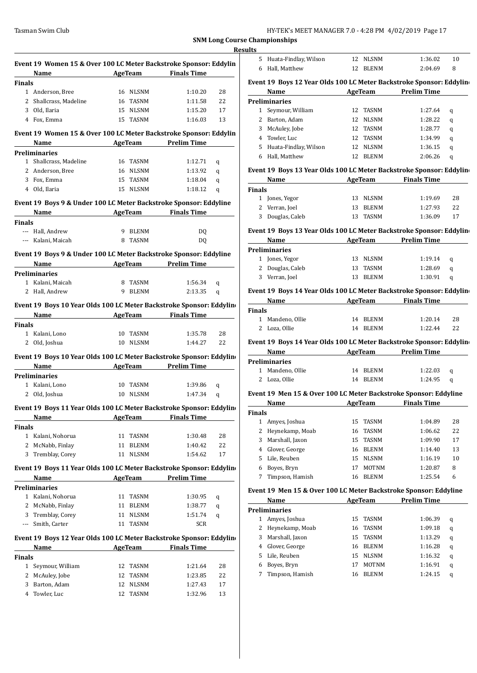|               | Event 19 Women 15 & Over 100 LC Meter Backstroke Sponsor: Eddylin         |    |                |                                      |    |
|---------------|---------------------------------------------------------------------------|----|----------------|--------------------------------------|----|
|               | Name                                                                      |    | AgeTeam        | <b>Finals Time</b>                   |    |
| <b>Finals</b> |                                                                           |    |                |                                      |    |
|               | 1 Anderson, Bree                                                          |    | 16 NLSNM       | 1:10.20                              | 28 |
|               | 2 Shallcrass, Madeline                                                    |    | 16 TASNM       | 1:11.58                              | 22 |
|               | 3 Old, Ilaria                                                             |    | 15 NLSNM       | 1:15.20                              | 17 |
|               | 4 Fox, Emma                                                               |    | 15 TASNM       | 1:16.03                              | 13 |
|               | Event 19 Women 15 & Over 100 LC Meter Backstroke Sponsor: Eddylin<br>Name |    |                | <b>Example 2 AgeTeam</b> Prelim Time |    |
|               | <b>Preliminaries</b>                                                      |    |                |                                      |    |
|               | 1 Shallcrass, Madeline                                                    |    | 16 TASNM       | 1:12.71                              | q  |
|               | 2 Anderson, Bree                                                          |    | 16 NLSNM       | 1:13.92                              | q  |
|               | 3 Fox, Emma                                                               |    | 15 TASNM       | 1:18.04                              | q  |
|               | 4 Old, Ilaria                                                             | 15 | NLSNM          | 1:18.12                              | q  |
|               | Event 19 Boys 9 & Under 100 LC Meter Backstroke Sponsor: Eddyline         |    |                |                                      |    |
|               | Name                                                                      |    |                | <b>Example 2 AgeTeam</b> Finals Time |    |
| <b>Finals</b> |                                                                           |    |                |                                      |    |
|               | --- Hall, Andrew                                                          |    | 9 BLENM        | DQ                                   |    |
|               | --- Kalani, Maicah                                                        |    | 8 TASNM        | DQ                                   |    |
|               | Event 19 Boys 9 & Under 100 LC Meter Backstroke Sponsor: Eddyline         |    |                |                                      |    |
|               | Name AgeTeam Prelim Time                                                  |    |                |                                      |    |
|               | <b>Preliminaries</b>                                                      |    |                |                                      |    |
|               | 1 Kalani, Maicah                                                          |    | 8 TASNM        | 1:56.34                              | q  |
|               | 2 Hall, Andrew                                                            |    | 9 BLENM        | 2:13.35                              | q  |
|               | Event 19 Boys 10 Year Olds 100 LC Meter Backstroke Sponsor: Eddylin       |    |                |                                      |    |
|               | Name AgeTeam Finals Time                                                  |    |                |                                      |    |
| Finals        |                                                                           |    |                |                                      |    |
|               | 1 Kalani, Lono                                                            |    | 10 TASNM       | 1:35.78                              | 28 |
|               | 2 Old, Joshua                                                             |    | 10 NLSNM       | 1:44.27                              | 22 |
|               | Event 19 Boys 10 Year Olds 100 LC Meter Backstroke Sponsor: Eddylin       |    |                |                                      |    |
|               | Name                                                                      |    |                | AgeTeam Prelim Time                  |    |
|               | <b>Preliminaries</b>                                                      |    |                |                                      |    |
|               | 1 Kalani, Lono                                                            |    | 10 TASNM       | 1:39.86                              | q  |
|               | 2 Old, Joshua                                                             |    | 10 NLSNM       | 1:47.34                              | q  |
|               | Event 19 Boys 11 Year Olds 100 LC Meter Backstroke Sponsor: Eddylin       |    |                |                                      |    |
|               | <b>Name</b>                                                               |    | <b>AgeTeam</b> | <b>Finals Time</b>                   |    |
| Finals        |                                                                           |    |                |                                      |    |
|               | 1 Kalani, Nohorua                                                         | 11 | TASNM          | 1:30.48                              | 28 |
| 2             | McNabb, Finlay                                                            | 11 | <b>BLENM</b>   | 1:40.42                              | 22 |
| 3             | Tremblay, Corey                                                           | 11 | <b>NLSNM</b>   | 1:54.62                              | 17 |
|               | Event 19 Boys 11 Year Olds 100 LC Meter Backstroke Sponsor: Eddylin       |    |                |                                      |    |
|               | Name                                                                      |    | AgeTeam        | <b>Prelim Time</b>                   |    |
|               | <b>Preliminaries</b>                                                      |    |                |                                      |    |
|               | 1 Kalani, Nohorua                                                         | 11 | TASNM          | 1:30.95                              | q  |
|               | 2 McNabb, Finlay                                                          | 11 | <b>BLENM</b>   | 1:38.77                              | q  |
|               | 3 Tremblay, Corey                                                         | 11 | <b>NLSNM</b>   | 1:51.74                              | q  |
|               | --- Smith, Carter                                                         | 11 | TASNM          | <b>SCR</b>                           |    |
|               | Event 19 Boys 12 Year Olds 100 LC Meter Backstroke Sponsor: Eddylin       |    |                |                                      |    |
|               | Name                                                                      |    | AgeTeam        | <b>Finals Time</b>                   |    |
| <b>Finals</b> |                                                                           |    |                |                                      |    |
| $1 \quad$     | Seymour, William                                                          | 12 | TASNM          | 1:21.64                              | 28 |
|               | 2 McAuley, Jobe                                                           | 12 | TASNM          | 1:23.85                              | 22 |
| 3             | Barton, Adam                                                              | 12 | NLSNM          | 1:27.43                              | 17 |
|               | 4 Towler, Luc                                                             | 12 | TASNM          | 1:32.96                              | 13 |

| Results       |                                                                                                 |          |                   |                                         |        |
|---------------|-------------------------------------------------------------------------------------------------|----------|-------------------|-----------------------------------------|--------|
|               | 5 Huata-Findlay, Wilson 12 NLSNM                                                                |          |                   | 1:36.02                                 | 10     |
|               | 6 Hall, Matthew                                                                                 |          | 12 BLENM          | 2:04.69                                 | 8      |
|               | Event 19 Boys 12 Year Olds 100 LC Meter Backstroke Sponsor: Eddylin                             |          |                   |                                         |        |
|               | Name AgeTeam Prelim Time                                                                        |          |                   |                                         |        |
|               | <b>Preliminaries</b>                                                                            |          |                   |                                         |        |
|               | 1 Seymour, William                                                                              |          | 12 TASNM          | 1:27.64                                 | q      |
|               | 2 Barton, Adam                                                                                  |          | 12 NLSNM          | 1:28.22                                 | q      |
|               | 3 McAuley, Jobe                                                                                 |          | 12 TASNM          | 1:28.77                                 | q      |
|               | 4 Towler, Luc                                                                                   |          | 12 TASNM          | 1:34.99                                 | q      |
|               | 5 Huata-Findlay, Wilson                                                                         |          | 12 NLSNM          | 1:36.15                                 | q      |
|               | 6 Hall, Matthew                                                                                 |          | 12 BLENM          | 2:06.26                                 | q      |
|               |                                                                                                 |          |                   |                                         |        |
|               | Event 19 Boys 13 Year Olds 100 LC Meter Backstroke Sponsor: Eddylin<br>Name AgeTeam Finals Time |          |                   |                                         |        |
| <b>Finals</b> |                                                                                                 |          |                   |                                         |        |
|               | 1 Jones, Yegor                                                                                  | 13 NLSNM |                   | 1:19.69                                 | 28     |
|               | 2 Verran, Joel                                                                                  |          | 13 BLENM          | 1:27.93                                 | 22     |
|               |                                                                                                 |          |                   |                                         |        |
|               | 3 Douglas, Caleb                                                                                |          | 13 TASNM          | 1:36.09                                 | 17     |
|               | Event 19 Boys 13 Year Olds 100 LC Meter Backstroke Sponsor: Eddylin                             |          |                   |                                         |        |
|               | Name                                                                                            |          |                   | <b>Example 2018</b> AgeTeam Prelim Time |        |
|               | Preliminaries                                                                                   |          |                   |                                         |        |
|               | 1 Jones, Yegor                                                                                  |          | 13 NLSNM          | 1:19.14                                 | q      |
|               | 2 Douglas, Caleb                                                                                |          | 13 TASNM          | 1:28.69                                 | q      |
|               | 3 Verran, Joel                                                                                  |          | 13 BLENM          | 1:30.91                                 | q      |
|               | Event 19 Boys 14 Year Olds 100 LC Meter Backstroke Sponsor: Eddylin                             |          |                   |                                         |        |
|               | <b>Name AgeTeam Finals Time</b>                                                                 |          |                   |                                         |        |
| <b>Finals</b> |                                                                                                 |          |                   |                                         |        |
|               | 1 Mandeno, Ollie                                                                                |          | 14 BLENM          | 1:20.14                                 | 28     |
|               | 2 Loza, Ollie                                                                                   |          | 14 BLENM          | 1:22.44                                 | 22     |
|               |                                                                                                 |          |                   |                                         |        |
|               | Event 19 Boys 14 Year Olds 100 LC Meter Backstroke Sponsor: Eddylin                             |          |                   |                                         |        |
|               | Name AgeTeam Prelim Time                                                                        |          |                   |                                         |        |
|               | <b>Preliminaries</b>                                                                            |          |                   |                                         |        |
|               | 1 Mandeno, Ollie                                                                                | 14 BLENM |                   | 1:22.03                                 | q      |
|               | 2 Loza, Ollie                                                                                   |          | 14 BLENM          | 1:24.95                                 | q      |
|               | Event 19 Men 15 & Over 100 LC Meter Backstroke Sponsor: Eddyline                                |          |                   |                                         |        |
|               | <b>Name</b>                                                                                     |          |                   | AgeTeam Finals Time                     |        |
| <b>Finals</b> |                                                                                                 |          |                   |                                         |        |
|               | 1 Amyes, Joshua                                                                                 |          | 15 TASNM          | 1:04.89                                 | 28     |
|               | 2 Heynekamp, Moab                                                                               | 16       | TASNM             | 1:06.62                                 | 22     |
|               | 3 Marshall, Jaxon                                                                               |          | 15 TASNM          | 1:09.90                                 | 17     |
|               | 4 Glover, George                                                                                |          | 16 BLENM          | 1:14.40                                 | 13     |
|               | 5 Lile, Reuben                                                                                  | 15       | NLSNM             | 1:16.19                                 | 10     |
|               | 6 Boyes, Bryn                                                                                   | 17       | MOTNM             | 1:20.87                                 | 8      |
| 7             | Timpson, Hamish                                                                                 | 16       | <b>BLENM</b>      | 1:25.54                                 | 6      |
|               | Event 19 Men 15 & Over 100 LC Meter Backstroke Sponsor: Eddyline                                |          |                   |                                         |        |
|               | Name                                                                                            |          | <b>AgeTeam</b>    | <b>Prelim Time</b>                      |        |
|               | <b>Preliminaries</b>                                                                            |          |                   |                                         |        |
| 1             | Amyes, Joshua                                                                                   | 15       | TASNM             | 1:06.39                                 | q      |
|               | Heynekamp, Moab                                                                                 | 16       | TASNM             | 1:09.18                                 | q      |
|               | Marshall, Jaxon                                                                                 |          | 15 TASNM          | 1:13.29                                 | q      |
| $\mathbf{2}$  |                                                                                                 |          |                   | 1:16.28                                 |        |
| 3             |                                                                                                 |          |                   |                                         | q      |
|               | 4 Glover, George                                                                                |          | 16 BLENM          |                                         |        |
|               | 5 Lile, Reuben                                                                                  |          | 15 NLSNM          | 1:16.32                                 | q      |
| 7             | 6 Boyes, Bryn<br>Timpson, Hamish                                                                | 17       | MOTNM<br>16 BLENM | 1:16.91<br>1:24.15                      | q<br>q |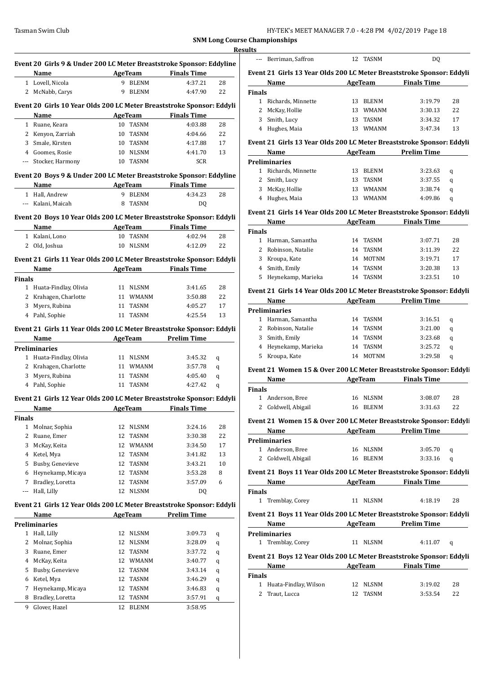| HY-TEK's MEET MANAGER 7.0 - 4:28 PM 4/02/2019 Page 18 |  |
|-------------------------------------------------------|--|
|-------------------------------------------------------|--|

|                          | Event 20 Girls 9 & Under 200 LC Meter Breaststroke Sponsor: Eddyline<br>Name |          | <b>AgeTeam</b> | <b>Finals Time</b> |        |
|--------------------------|------------------------------------------------------------------------------|----------|----------------|--------------------|--------|
|                          | 1 Lovell, Nicola                                                             |          | 9 BLENM        | 4:37.21            | 28     |
|                          | 2 McNabb, Carys                                                              |          | 9 BLENM        | 4:47.90            | 22     |
|                          | Event 20 Girls 10 Year Olds 200 LC Meter Breaststroke Sponsor: Eddyli        |          |                |                    |        |
|                          | Name                                                                         |          | AgeTeam        | <b>Finals Time</b> |        |
|                          | 1 Ruane. Keara                                                               |          | 10 TASNM       | 4:03.88            | 28     |
|                          | 2 Kenyon, Zarriah                                                            |          | 10 TASNM       | 4:04.66            | 22     |
|                          | 3 Smale, Kirsten                                                             |          | 10 TASNM       | 4:17.88            | 17     |
|                          | 4 Goomes, Rosie                                                              |          | 10 NLSNM       | 4:41.70            | 13     |
| $\overline{\phantom{a}}$ | Stocker, Harmony                                                             |          | 10 TASNM       | SCR                |        |
|                          |                                                                              |          |                |                    |        |
|                          | Event 20 Boys 9 & Under 200 LC Meter Breaststroke Sponsor: Eddyline<br>Name  |          |                | <b>Finals Time</b> |        |
|                          | <b>Example 2</b> AgeTeam<br>1 Hall, Andrew                                   | 9.       | <b>BLENM</b>   | 4:34.23            | 28     |
|                          |                                                                              |          | TASNM          |                    |        |
|                          | --- Kalani, Maicah                                                           | 8        |                | DQ                 |        |
|                          | Event 20 Boys 10 Year Olds 200 LC Meter Breaststroke Sponsor: Eddyli         |          |                |                    |        |
|                          | Name                                                                         |          | AgeTeam        | <b>Finals Time</b> |        |
|                          | 1 Kalani, Lono                                                               |          | 10 TASNM       | 4:02.94            | 28     |
|                          | 2 Old, Joshua                                                                |          | 10 NLSNM       | 4:12.09            | 22     |
|                          | Event 21 Girls 11 Year Olds 200 LC Meter Breaststroke Sponsor: Eddyli        |          |                |                    |        |
|                          | Name                                                                         |          | AgeTeam        | <b>Finals Time</b> |        |
| <b>Finals</b>            |                                                                              |          |                |                    |        |
|                          | 1 Huata-Findlay, Olivia                                                      |          | 11 NLSNM       | 3:41.65            | 28     |
|                          | 2 Krahagen, Charlotte                                                        |          | 11 WMANM       | 3:50.88            | 22     |
| 3                        | Myers, Rubina                                                                |          | 11 TASNM       | 4:05.27            | 17     |
|                          | 4 Pahl, Sophie                                                               | 11       | TASNM          | 4:25.54            | 13     |
|                          | Event 21 Girls 11 Year Olds 200 LC Meter Breaststroke Sponsor: Eddyli        |          |                |                    |        |
|                          | Name                                                                         |          | <b>AgeTeam</b> | <b>Prelim Time</b> |        |
|                          | <b>Preliminaries</b>                                                         |          |                |                    |        |
|                          | 1 Huata-Findlay, Olivia                                                      |          | 11 NLSNM       | 3:45.32            | q      |
|                          | 2 Krahagen, Charlotte                                                        |          | 11 WMANM       | 3:57.78            | q      |
|                          | 3 Myers, Rubina                                                              |          | 11 TASNM       | 4:05.40            | q      |
|                          | 4 Pahl, Sophie                                                               | 11       | TASNM          | 4:27.42            | q      |
|                          | Event 21 Girls 12 Year Olds 200 LC Meter Breaststroke Sponsor: Eddyli        |          |                |                    |        |
|                          | Name                                                                         |          | <b>AgeTeam</b> | <b>Finals Time</b> |        |
| <b>Finals</b>            |                                                                              |          |                |                    |        |
| 1                        | Molnar, Sophia                                                               | 12       | <b>NLSNM</b>   | 3:24.16            | 28     |
| 2                        | Ruane, Emer                                                                  | 12       | TASNM          | 3:30.38            | 22     |
|                          | McKay, Keita                                                                 |          | 12 WMANM       | 3:34.50            | 17     |
| 3                        |                                                                              |          | 12 TASNM       | 3:41.82            | 13     |
| 4                        | Ketel, Mya                                                                   |          |                | 3:43.21            | 10     |
| 5                        | Busby, Genevieve                                                             |          | 12 TASNM       |                    |        |
| 6                        | Heynekamp, Micaya                                                            | 12       | TASNM          | 3:53.28            | 8      |
| 7                        | Bradley, Loretta                                                             | 12       | TASNM          | 3:57.09            | 6      |
| ---                      | Hall, Lilly                                                                  | 12       | <b>NLSNM</b>   | DQ                 |        |
|                          |                                                                              |          |                |                    |        |
|                          | Event 21 Girls 12 Year Olds 200 LC Meter Breaststroke Sponsor: Eddyli        |          |                |                    |        |
|                          | Name                                                                         |          | AgeTeam        | <b>Prelim Time</b> |        |
|                          | <b>Preliminaries</b><br>1 Hall, Lilly                                        | 12       |                | 3:09.73            |        |
| 2                        |                                                                              | 12       | NLSNM          |                    | q      |
| 3                        | Molnar, Sophia                                                               | 12       | NLSNM          | 3:28.09            | q      |
|                          | Ruane, Emer                                                                  |          | TASNM          | 3:37.72            | q      |
| 4                        | McKay, Keita                                                                 |          | 12 WMANM       | 3:40.77            | q      |
| 5                        | Busby, Genevieve                                                             |          | 12 TASNM       | 3:43.14            | q      |
| 6                        | Ketel, Mya                                                                   | 12       | TASNM          | 3:46.29            | q      |
| 7<br>8                   | Heynekamp, Micaya<br>Bradley, Loretta                                        | 12<br>12 | TASNM<br>TASNM | 3:46.83<br>3:57.91 | q<br>q |

|                            | Berriman, Saffron                                                                                                                                                                                                             |    | 12 TASNM       | DQ                                                                 |    |
|----------------------------|-------------------------------------------------------------------------------------------------------------------------------------------------------------------------------------------------------------------------------|----|----------------|--------------------------------------------------------------------|----|
|                            | Event 21 Girls 13 Year Olds 200 LC Meter Breaststroke Sponsor: Eddyli                                                                                                                                                         |    |                |                                                                    |    |
|                            | Name                                                                                                                                                                                                                          |    |                | AgeTeam Finals Time                                                |    |
| <b>Finals</b>              |                                                                                                                                                                                                                               |    |                |                                                                    |    |
|                            | 1 Richards, Minnette                                                                                                                                                                                                          |    | 13 BLENM       | 3:19.79                                                            | 28 |
| 2                          | McKay, Hollie                                                                                                                                                                                                                 |    | 13 WMANM       | 3:30.13                                                            | 22 |
| 3                          | Smith, Lucy                                                                                                                                                                                                                   |    | 13 TASNM       | 3:34.32                                                            | 17 |
|                            | 4 Hughes, Maia                                                                                                                                                                                                                |    | 13 WMANM       | 3:47.34                                                            | 13 |
|                            | Event 21 Girls 13 Year Olds 200 LC Meter Breaststroke Sponsor: Eddyli                                                                                                                                                         |    |                |                                                                    |    |
|                            | <b>Name</b><br><b>Preliminaries</b>                                                                                                                                                                                           |    |                | AgeTeam Prelim Time                                                |    |
|                            | 1 Richards, Minnette                                                                                                                                                                                                          |    | 13 BLENM       | 3:23.63                                                            | q  |
|                            | 2 Smith, Lucy                                                                                                                                                                                                                 | 13 | TASNM          | 3:37.55                                                            | q  |
|                            | 3 McKay, Hollie                                                                                                                                                                                                               |    | 13 WMANM       | 3:38.74                                                            | q  |
|                            | 4 Hughes, Maia                                                                                                                                                                                                                |    | 13 WMANM       | 4:09.86                                                            | q  |
|                            | Event 21 Girls 14 Year Olds 200 LC Meter Breaststroke Sponsor: Eddyli                                                                                                                                                         |    |                |                                                                    |    |
|                            | Name                                                                                                                                                                                                                          |    |                | AgeTeam Finals Time                                                |    |
| <b>Finals</b>              |                                                                                                                                                                                                                               |    |                |                                                                    |    |
|                            | 1 Harman, Samantha                                                                                                                                                                                                            |    | 14 TASNM       | 3:07.71                                                            | 28 |
|                            | 2 Robinson, Natalie                                                                                                                                                                                                           |    | 14 TASNM       | 3:11.39                                                            | 22 |
|                            | 3 Kroupa, Kate                                                                                                                                                                                                                |    | 14 MOTNM       | 3:19.71                                                            | 17 |
|                            | 4 Smith, Emily                                                                                                                                                                                                                |    | 14 TASNM       | 3:20.38                                                            | 13 |
|                            | 5 Heynekamp, Marieka                                                                                                                                                                                                          |    | 14 TASNM       | 3:23.51                                                            | 10 |
|                            | Event 21 Girls 14 Year Olds 200 LC Meter Breaststroke Sponsor: Eddyli                                                                                                                                                         |    |                |                                                                    |    |
|                            | Name and the same of the same of the same of the same of the same of the same of the same of the same of the same of the same of the same of the same of the same of the same of the same of the same of the same of the same |    |                | AgeTeam Prelim Time                                                |    |
|                            | <b>Preliminaries</b>                                                                                                                                                                                                          |    |                |                                                                    |    |
|                            | 1 Harman, Samantha                                                                                                                                                                                                            |    | 14 TASNM       | 3:16.51                                                            | q  |
|                            | 2 Robinson, Natalie                                                                                                                                                                                                           |    | 14 TASNM       | 3:21.00                                                            | q  |
|                            | 3 Smith, Emily                                                                                                                                                                                                                | 14 | TASNM          | 3:23.68                                                            | q  |
|                            | 4 Heynekamp, Marieka                                                                                                                                                                                                          | 14 | TASNM          | 3:25.72                                                            | q  |
| 5                          | Kroupa, Kate                                                                                                                                                                                                                  | 14 | MOTNM          | 3:29.58                                                            | q  |
|                            |                                                                                                                                                                                                                               |    |                | Event 21 Women 15 & Over 200 LC Meter Breaststroke Sponsor: Eddyli |    |
|                            |                                                                                                                                                                                                                               |    | <b>AgeTeam</b> | <b>Finals Time</b>                                                 |    |
|                            | Name                                                                                                                                                                                                                          |    |                |                                                                    |    |
|                            |                                                                                                                                                                                                                               |    |                |                                                                    |    |
|                            | 1 Anderson, Bree                                                                                                                                                                                                              |    | 16 NLSNM       | 3:08.07                                                            | 28 |
|                            | 2 Coldwell, Abigail                                                                                                                                                                                                           |    | 16 BLENM       | 3:31.63                                                            | 22 |
|                            | Event 21 Women 15 & Over 200 LC Meter Breaststroke Sponsor: Eddyli                                                                                                                                                            |    |                |                                                                    |    |
|                            | <b>Name</b>                                                                                                                                                                                                                   |    |                | AgeTeam Prelim Time                                                |    |
|                            | <b>Preliminaries</b>                                                                                                                                                                                                          |    |                |                                                                    |    |
|                            | 1 Anderson, Bree                                                                                                                                                                                                              |    | 16 NLSNM       | 3:05.70                                                            | q  |
|                            | 2 Coldwell, Abigail                                                                                                                                                                                                           |    | 16 BLENM       | 3:33.16                                                            | q  |
|                            | Event 21 Boys 11 Year Olds 200 LC Meter Breaststroke Sponsor: Eddyli                                                                                                                                                          |    |                |                                                                    |    |
|                            | Name and the same state of the same state of the same state of the same state of the same state of the same state of the same state of the same state of the same state of the same state of the same state of the same state |    |                | AgeTeam Finals Time                                                |    |
|                            |                                                                                                                                                                                                                               |    |                |                                                                    |    |
|                            | 1 Tremblay, Corey                                                                                                                                                                                                             |    | 11 NLSNM       | 4:18.19                                                            | 28 |
|                            | Event 21 Boys 11 Year Olds 200 LC Meter Breaststroke Sponsor: Eddyli                                                                                                                                                          |    |                |                                                                    |    |
|                            | Name                                                                                                                                                                                                                          |    |                | AgeTeam Prelim Time                                                |    |
|                            | Preliminaries                                                                                                                                                                                                                 |    |                |                                                                    |    |
|                            | 1 Tremblay, Corey                                                                                                                                                                                                             |    | 11 NLSNM       | 4:11.07                                                            | q  |
|                            |                                                                                                                                                                                                                               |    |                |                                                                    |    |
|                            | Event 21 Boys 12 Year Olds 200 LC Meter Breaststroke Sponsor: Eddyli<br>Name<br><u> 1980 - Johann Barbara, martxa a</u>                                                                                                       |    |                |                                                                    |    |
|                            |                                                                                                                                                                                                                               |    |                | AgeTeam Finals Time                                                |    |
| Finals<br>Finals<br>Finals | 1 Huata-Findlay, Wilson                                                                                                                                                                                                       |    | 12 NLSNM       | 3:19.02                                                            | 28 |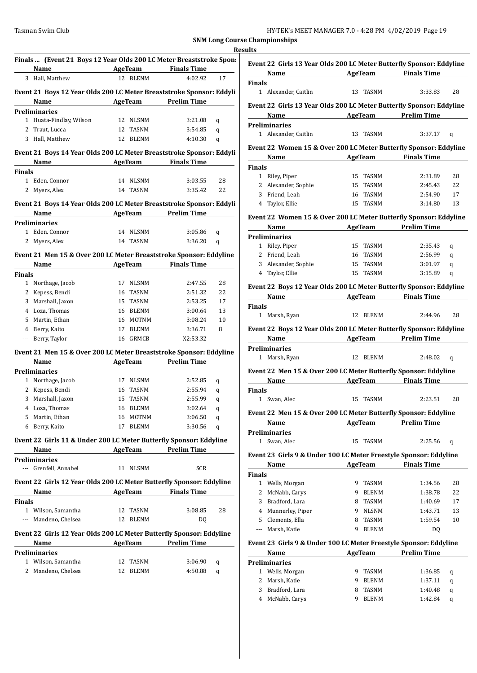|               |                                                                             |    |              |                     | <b>Results</b> |
|---------------|-----------------------------------------------------------------------------|----|--------------|---------------------|----------------|
|               | Finals  (Event 21 Boys 12 Year Olds 200 LC Meter Breaststroke Spon:<br>Name |    | AgeTeam      | <b>Finals Time</b>  |                |
|               | 3 Hall, Matthew                                                             |    | 12 BLENM     | 4:02.92             | 17             |
|               |                                                                             |    |              |                     |                |
|               | Event 21 Boys 12 Year Olds 200 LC Meter Breaststroke Sponsor: Eddyli        |    |              |                     |                |
|               | Name                                                                        |    |              | AgeTeam Prelim Time |                |
|               | <b>Preliminaries</b>                                                        |    |              |                     |                |
|               | 1 Huata-Findlay, Wilson                                                     |    | 12 NLSNM     | 3:21.08             | q              |
|               | 2 Traut, Lucca                                                              |    | 12 TASNM     | 3:54.85             | q              |
|               | 3 Hall, Matthew                                                             |    | 12 BLENM     | 4:10.30             | q              |
|               | Event 21 Boys 14 Year Olds 200 LC Meter Breaststroke Sponsor: Eddyli        |    |              |                     |                |
|               | Name                                                                        |    |              | AgeTeam Finals Time |                |
| <b>Finals</b> |                                                                             |    |              |                     |                |
|               | 1 Eden, Connor                                                              |    | 14 NLSNM     | 3:03.55             | 28             |
|               | 2 Myers, Alex                                                               |    | 14 TASNM     | 3:35.42             | 22             |
|               |                                                                             |    |              |                     |                |
|               | Event 21 Boys 14 Year Olds 200 LC Meter Breaststroke Sponsor: Eddyli        |    |              |                     |                |
|               | Name<br><u> 1989 - Johann Barnett, fransk politiker</u>                     |    |              | AgeTeam Prelim Time |                |
|               | <b>Preliminaries</b>                                                        |    |              |                     |                |
|               | 1 Eden, Connor                                                              |    | 14 NLSNM     | 3:05.86             | q              |
|               | 2 Myers, Alex                                                               |    | 14 TASNM     | 3:36.20             | q              |
|               | Event 21 Men 15 & Over 200 LC Meter Breaststroke Sponsor: Eddyline          |    |              |                     |                |
|               | Name                                                                        |    | AgeTeam      | <b>Finals Time</b>  |                |
| <b>Finals</b> |                                                                             |    |              |                     |                |
|               | 1 Northage, Jacob                                                           |    | 17 NLSNM     | 2:47.55             | 28             |
|               | 2 Kepess, Bendi                                                             |    | 16 TASNM     | 2:51.32             | 22             |
|               | 3 Marshall, Jaxon                                                           |    | 15 TASNM     | 2:53.25             | 17             |
|               | 4 Loza, Thomas                                                              |    | 16 BLENM     | 3:00.64             | 13             |
|               | 5 Martin, Ethan                                                             |    | 16 MOTNM     | 3:08.24             | 10             |
|               | 6 Berry, Kaito                                                              | 17 | <b>BLENM</b> | 3:36.71             | 8              |
|               | --- Berry, Taylor                                                           |    | 16 GRMCB     | X2:53.32            |                |
|               |                                                                             |    |              |                     |                |
|               | Event 21 Men 15 & Over 200 LC Meter Breaststroke Sponsor: Eddyline          |    |              |                     |                |
|               | Name                                                                        |    |              | AgeTeam Prelim Time |                |
|               | <b>Preliminaries</b>                                                        |    |              |                     |                |
|               | 1 Northage, Jacob                                                           |    | 17 NLSNM     | 2:52.85             | q              |
|               | 2 Kepess, Bendi                                                             |    | 16 TASNM     | 2:55.94             | q              |
|               | 3 Marshall, Jaxon                                                           |    | 15 TASNM     | 2:55.99             | q              |
|               | 4 Loza, Thomas                                                              |    | 16 BLENM     | 3:02.64             | q              |
|               | 5 Martin, Ethan                                                             |    | 16 MOTNM     | 3:06.50             | q              |
|               | 6 Berry, Kaito                                                              | 17 | <b>BLENM</b> | 3:30.56             | q              |
|               |                                                                             |    |              |                     |                |
|               | Event 22 Girls 11 & Under 200 LC Meter Butterfly Sponsor: Eddyline          |    |              |                     |                |
|               | Name                                                                        |    |              | AgeTeam Prelim Time |                |
|               | <b>Preliminaries</b>                                                        |    |              |                     |                |
|               | --- Grenfell, Annabel                                                       |    | 11 NLSNM     | <b>SCR</b>          |                |
|               | Event 22 Girls 12 Year Olds 200 LC Meter Butterfly Sponsor: Eddyline        |    |              |                     |                |
|               | Name                                                                        |    | AgeTeam      | <b>Finals Time</b>  |                |
| <b>Finals</b> |                                                                             |    |              |                     |                |
|               | 1 Wilson, Samantha                                                          |    | 12 TASNM     | 3:08.85             | 28             |
|               | --- Mandeno, Chelsea                                                        |    | 12 BLENM     | DQ                  |                |
|               |                                                                             |    |              |                     |                |
|               | Event 22 Girls 12 Year Olds 200 LC Meter Butterfly Sponsor: Eddyline        |    |              |                     |                |
|               | Name                                                                        |    |              | AgeTeam Prelim Time |                |
|               | <b>Preliminaries</b>                                                        |    |              |                     |                |
|               | 1 Wilson, Samantha                                                          |    | 12 TASNM     | 3:06.90             | q              |
|               | 2 Mandeno, Chelsea                                                          |    | 12 BLENM     | 4:50.88             | q              |
|               |                                                                             |    |              |                     |                |
|               |                                                                             |    |              |                     |                |

|                              |                          |                            | Event 22 Girls 13 Year Olds 200 LC Meter Butterfly Sponsor: Eddyline |
|------------------------------|--------------------------|----------------------------|----------------------------------------------------------------------|
|                              | Name AgeTeam Finals Time |                            |                                                                      |
| <b>Finals</b>                | 1 Alexander, Caitlin     | 13 TASNM                   | 28<br>3:33.83                                                        |
|                              |                          |                            | Event 22 Girls 13 Year Olds 200 LC Meter Butterfly Sponsor: Eddyline |
|                              | Name                     | <b>AgeTeam</b> Prelim Time |                                                                      |
|                              | <b>Preliminaries</b>     |                            |                                                                      |
|                              | 1 Alexander, Caitlin     | 13 TASNM                   | 3:37.17<br>q                                                         |
|                              |                          |                            |                                                                      |
|                              |                          |                            | Event 22 Women 15 & Over 200 LC Meter Butterfly Sponsor: Eddyline    |
|                              |                          |                            | Name AgeTeam Finals Time                                             |
| <b>Finals</b>                |                          |                            |                                                                      |
|                              | 1 Riley, Piper           | 15 TASNM                   | 28<br>2:31.89                                                        |
|                              | 2 Alexander, Sophie      | 15 TASNM                   | 2:45.43<br>22                                                        |
|                              | 3 Friend, Leah           | 16 TASNM                   | 2:54.90<br>17                                                        |
|                              | 4 Taylor, Ellie          | 15 TASNM                   | 3:14.80<br>13                                                        |
|                              |                          |                            | Event 22 Women 15 & Over 200 LC Meter Butterfly Sponsor: Eddyline    |
|                              | Name                     | AgeTeam Prelim Time        |                                                                      |
|                              | <b>Preliminaries</b>     |                            |                                                                      |
|                              | 1 Riley, Piper           | 15 TASNM                   | 2:35.43<br>q                                                         |
|                              | 2 Friend, Leah           | 16 TASNM                   | 2:56.99<br>q                                                         |
|                              | 3 Alexander, Sophie      | 15 TASNM                   | 3:01.97<br>q                                                         |
|                              | 4 Taylor, Ellie          | 15 TASNM                   | 3:15.89<br>q                                                         |
|                              |                          |                            |                                                                      |
|                              |                          |                            | Event 22 Boys 12 Year Olds 200 LC Meter Butterfly Sponsor: Eddyline  |
|                              | Name                     |                            | AgeTeam Finals Time                                                  |
| <b>Finals</b>                |                          |                            |                                                                      |
|                              | 1 Marsh, Ryan            | 12 BLENM                   | 2:44.96<br>28                                                        |
|                              |                          |                            | Event 22 Boys 12 Year Olds 200 LC Meter Butterfly Sponsor: Eddyline  |
|                              |                          |                            |                                                                      |
|                              |                          |                            | Name AgeTeam Prelim Time                                             |
|                              | <b>Preliminaries</b>     |                            |                                                                      |
|                              | 1 Marsh, Ryan            | 12 BLENM                   | 2:48.02<br>q                                                         |
|                              |                          |                            |                                                                      |
|                              |                          |                            | Event 22 Men 15 & Over 200 LC Meter Butterfly Sponsor: Eddyline      |
|                              | Name                     | AgeTeam Finals Time        |                                                                      |
|                              |                          |                            |                                                                      |
|                              | 1 Swan, Alec             | 15 TASNM                   | 2:23.51<br>28                                                        |
|                              |                          |                            | Event 22 Men 15 & Over 200 LC Meter Butterfly Sponsor: Eddyline      |
|                              | Name                     | <b>AgeTeam</b>             | <b>Prelim Time</b>                                                   |
|                              | <b>Preliminaries</b>     |                            |                                                                      |
|                              | 1 Swan, Alec             | <b>TASNM</b><br>15         | 2:25.56<br>q                                                         |
|                              |                          |                            |                                                                      |
|                              |                          |                            | Event 23 Girls 9 & Under 100 LC Meter Freestyle Sponsor: Eddyline    |
|                              | Name                     | <b>AgeTeam</b>             | <b>Finals Time</b>                                                   |
|                              |                          |                            |                                                                      |
|                              | 1 Wells, Morgan          | 9<br>TASNM                 | 1:34.56<br>28                                                        |
| $\overline{2}$               | McNabb, Carys            | 9<br><b>BLENM</b>          | 1:38.78<br>22                                                        |
|                              | 3 Bradford, Lara         | 8<br>TASNM                 | 1:40.69<br>17                                                        |
|                              | 4 Munnerley, Piper       | <b>NLSNM</b><br>9.         | 1:43.71<br>13                                                        |
|                              | 5 Clements, Ella         | 8<br>TASNM                 | 1:59.54<br>10                                                        |
|                              | --- Marsh, Katie         | <b>BLENM</b><br>9          | DQ                                                                   |
|                              |                          |                            | Event 23 Girls 9 & Under 100 LC Meter Freestyle Sponsor: Eddyline    |
|                              | Name                     | AgeTeam                    | <b>Prelim Time</b>                                                   |
|                              | <b>Preliminaries</b>     |                            |                                                                      |
| 1                            | Wells, Morgan            | 9<br>TASNM                 | 1:36.85<br>q                                                         |
| 2                            | Marsh, Katie             | 9<br><b>BLENM</b>          | 1:37.11<br>q                                                         |
| Finals<br><b>Finals</b><br>3 | Bradford, Lara           | TASNM<br>8                 | 1:40.48<br>q                                                         |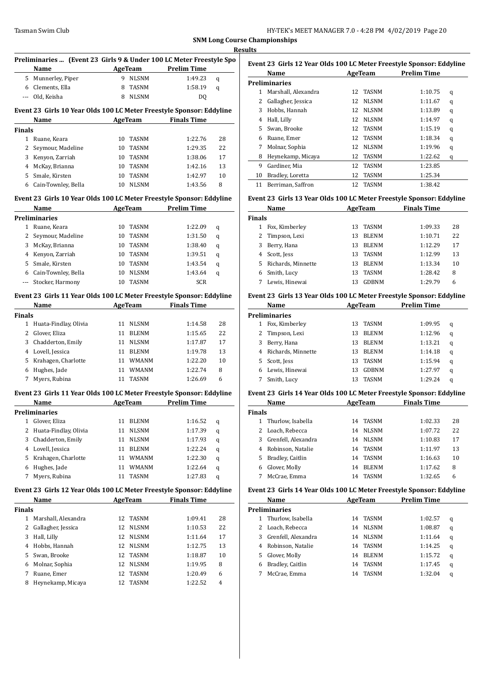|                    | Preliminaries  (Event 23 Girls 9 & Under 100 LC Meter Freestyle Spo  |    |                |                     |    |
|--------------------|----------------------------------------------------------------------|----|----------------|---------------------|----|
|                    | Name                                                                 |    | AgeTeam        | <b>Prelim Time</b>  |    |
| 5                  | Munnerley, Piper                                                     | 9  | <b>NLSNM</b>   | 1:49.23             | q  |
|                    | 6 Clements, Ella                                                     | 8  | TASNM          | 1:58.19             | q  |
| ---                | Old, Keisha                                                          | 8  | <b>NLSNM</b>   | DQ                  |    |
|                    | Event 23 Girls 10 Year Olds 100 LC Meter Freestyle Sponsor: Eddyline |    |                |                     |    |
|                    | Name                                                                 |    | AgeTeam        | <b>Finals Time</b>  |    |
| <b>Finals</b>      |                                                                      |    |                |                     |    |
|                    | 1 Ruane, Keara                                                       | 10 | TASNM          | 1:22.76             | 28 |
| 2                  | Seymour, Madeline                                                    | 10 | TASNM          | 1:29.35             | 22 |
| 3                  | Kenyon, Zarriah                                                      |    | 10 TASNM       | 1:38.06             | 17 |
|                    | 4 McKay, Brianna                                                     |    | 10 TASNM       | 1:42.16             | 13 |
| 5                  | Smale, Kirsten                                                       | 10 | <b>TASNM</b>   | 1:42.97             | 10 |
|                    | 6 Cain-Townley, Bella                                                | 10 | <b>NLSNM</b>   | 1:43.56             | 8  |
|                    | Event 23 Girls 10 Year Olds 100 LC Meter Freestyle Sponsor: Eddyline |    |                |                     |    |
|                    | Name                                                                 |    | <b>AgeTeam</b> | <b>Prelim Time</b>  |    |
|                    | Preliminaries                                                        |    |                |                     |    |
|                    | 1 Ruane, Keara                                                       | 10 | TASNM          | 1:22.09             | q  |
|                    | 2 Seymour, Madeline                                                  | 10 | TASNM          | 1:31.50             | q  |
|                    | 3 McKay, Brianna                                                     |    | 10 TASNM       | 1:38.40             | q  |
|                    | 4 Kenyon, Zarriah                                                    |    | 10 TASNM       | 1:39.51             | q  |
| 5                  | Smale, Kirsten                                                       |    | 10 TASNM       | 1:43.54             | q  |
|                    | 6 Cain-Townley, Bella                                                | 10 | <b>NLSNM</b>   | 1:43.64             | q  |
| $\cdots$           | Stocker, Harmony                                                     |    | 10 TASNM       | <b>SCR</b>          |    |
|                    | Event 23 Girls 11 Year Olds 100 LC Meter Freestyle Sponsor: Eddyline |    |                |                     |    |
|                    | Name                                                                 |    | <b>AgeTeam</b> | <b>Finals Time</b>  |    |
|                    |                                                                      |    |                |                     |    |
| <b>Finals</b><br>1 | Huata-Findlay, Olivia                                                | 11 | <b>NLSNM</b>   | 1:14.58             | 28 |
|                    |                                                                      |    |                |                     |    |
|                    | 2 Glover, Eliza                                                      | 11 | <b>BLENM</b>   | 1:15.65             | 22 |
|                    | 3 Chadderton, Emily                                                  | 11 | NLSNM          | 1:17.87             | 17 |
|                    | 4 Lovell, Jessica                                                    | 11 | BLENM          | 1:19.78             | 13 |
| 5                  | Krahagen, Charlotte                                                  |    | 11 WMANM       | 1:22.20             | 10 |
|                    | 6 Hughes, Jade                                                       |    | 11 WMANM       | 1:22.74             | 8  |
| 7                  | Myers, Rubina                                                        | 11 | TASNM          | 1:26.69             | 6  |
|                    | Event 23 Girls 11 Year Olds 100 LC Meter Freestyle Sponsor: Eddyline |    |                |                     |    |
|                    | Name                                                                 |    |                | AgeTeam Prelim Time |    |
|                    | Preliminaries                                                        |    |                |                     |    |
| $\mathbf{1}$       | Glover, Eliza                                                        | 11 | BLENM          | 1:16.52             | q  |
| 2                  | Huata-Findlay, Olivia                                                | 11 | NLSNM          | 1:17.39             | q  |
| 3                  | Chadderton, Emily                                                    | 11 | NLSNM          | 1:17.93             | q  |
| 4                  | Lovell, Jessica                                                      | 11 | <b>BLENM</b>   | 1:22.24             | q  |
| 5                  | Krahagen, Charlotte                                                  | 11 | WMANM          | 1:22.30             | q  |
| 6                  | Hughes, Jade                                                         | 11 | <b>WMANM</b>   | 1:22.64             | q  |
| 7                  | Myers, Rubina                                                        | 11 | TASNM          | 1:27.83             | q  |
|                    | Event 23 Girls 12 Year Olds 100 LC Meter Freestyle Sponsor: Eddyline |    |                |                     |    |
|                    | Name                                                                 |    | AgeTeam        | <b>Finals Time</b>  |    |
| Finals             |                                                                      |    |                |                     |    |
| 1                  | Marshall, Alexandra                                                  | 12 | TASNM          | 1:09.41             | 28 |
| 2                  | Gallagher, Jessica                                                   | 12 | NLSNM          | 1:10.53             | 22 |
| 3                  | Hall, Lilly                                                          | 12 | NLSNM          | 1:11.64             | 17 |
| 4                  | Hobbs, Hannah                                                        | 12 | NLSNM          | 1:12.75             | 13 |
| 5                  | Swan, Brooke                                                         | 12 | TASNM          | 1:18.87             | 10 |
| 6                  | Molnar, Sophia                                                       | 12 | NLSNM          | 1:19.95             | 8  |
| 7                  | Ruane, Emer                                                          | 12 | TASNM          | 1:20.49             | 6  |
| 8                  | Heynekamp, Micaya                                                    | 12 | TASNM          | 1:22.52             | 4  |
|                    |                                                                      |    |                |                     |    |

| Event 23  Girls 12 Year Olds 100 LC Meter Freestyle Sponsor: Eddyline |                     |                 |              |                    |   |  |  |
|-----------------------------------------------------------------------|---------------------|-----------------|--------------|--------------------|---|--|--|
|                                                                       | Name                |                 | AgeTeam      | <b>Prelim Time</b> |   |  |  |
|                                                                       | Preliminaries       |                 |              |                    |   |  |  |
| 1                                                                     | Marshall, Alexandra |                 | 12 TASNM     | 1:10.75            | q |  |  |
| 2                                                                     | Gallagher, Jessica  | 12              | <b>NLSNM</b> | 1:11.67            | q |  |  |
| 3                                                                     | Hobbs, Hannah       | 12              | <b>NLSNM</b> | 1:13.89            | q |  |  |
| 4                                                                     | Hall, Lilly         | 12 <sub>1</sub> | <b>NLSNM</b> | 1:14.97            | q |  |  |
| 5                                                                     | Swan, Brooke        | 12              | <b>TASNM</b> | 1:15.19            | q |  |  |
| 6                                                                     | Ruane, Emer         | 12              | TASNM        | 1:18.34            | q |  |  |
| 7                                                                     | Molnar, Sophia      | 12              | <b>NLSNM</b> | 1:19.96            | q |  |  |
| 8                                                                     | Heynekamp, Micaya   | 12              | <b>TASNM</b> | 1:22.62            | q |  |  |
| 9                                                                     | Gardiner, Mia       | 12              | <b>TASNM</b> | 1:23.85            |   |  |  |
| 10                                                                    | Bradley, Loretta    | 12              | <b>TASNM</b> | 1:25.34            |   |  |  |
| 11                                                                    | Berriman, Saffron   | 12              | <b>TASNM</b> | 1:38.42            |   |  |  |

# **Event 23 Girls 13 Year Olds 100 LC Meter Freestyle Sponsor: Eddyline**

| Name          |                    |    | AgeTeam      | <b>Finals Time</b> |    |
|---------------|--------------------|----|--------------|--------------------|----|
| <b>Finals</b> |                    |    |              |                    |    |
|               | Fox, Kimberley     | 13 | <b>TASNM</b> | 1:09.33            | 28 |
|               | Timpson, Lexi      | 13 | <b>BLENM</b> | 1:10.71            | 22 |
| 3             | Berry, Hana        | 13 | <b>BLENM</b> | 1:12.29            | 17 |
| 4             | Scott, Jess        | 13 | <b>TASNM</b> | 1:12.99            | 13 |
| 5.            | Richards, Minnette | 13 | <b>BLENM</b> | 1:13.34            | 10 |
|               | Smith, Lucy        | 13 | <b>TASNM</b> | 1:28.42            | 8  |
|               | Lewis, Hinewai     | 13 | GDRNM        | 1:29.79            | 6  |

#### **Event 23 Girls 13 Year Olds 100 LC Meter Freestyle Sponsor: Eddyline**

|    | Name<br>AgeTeam      |    | <b>Prelim Time</b> |         |   |
|----|----------------------|----|--------------------|---------|---|
|    | <b>Preliminaries</b> |    |                    |         |   |
|    | Fox, Kimberley       | 13 | TASNM              | 1:09.95 | q |
| 2  | Timpson, Lexi        | 13 | <b>BLENM</b>       | 1:12.96 | q |
| 3  | Berry, Hana          | 13 | <b>BLENM</b>       | 1:13.21 | q |
| 4  | Richards, Minnette   | 13 | <b>BLENM</b>       | 1:14.18 | q |
| 5. | Scott, Jess          | 13 | <b>TASNM</b>       | 1:15.94 | q |
| 6  | Lewis, Hinewai       | 13 | GDBNM              | 1:27.97 | q |
|    | Smith, Lucy          | 13 | <b>TASNM</b>       | 1:29.24 | q |

# **Event 23 Girls 14 Year Olds 100 LC Meter Freestyle Sponsor: Eddyline**

|               | Name                  |    | AgeTeam      | <b>Finals Time</b> |    |
|---------------|-----------------------|----|--------------|--------------------|----|
| <b>Finals</b> |                       |    |              |                    |    |
| 1             | Thurlow, Isabella     | 14 | TASNM        | 1:02.33            | 28 |
| 2             | Loach, Rebecca        | 14 | NLSNM        | 1:07.72            | 22 |
|               | 3 Grenfell, Alexandra | 14 | NLSNM        | 1:10.83            | 17 |
| 4             | Robinson, Natalie     | 14 | TASNM        | 1:11.97            | 13 |
| 5.            | Bradley, Caitlin      | 14 | TASNM        | 1:16.63            | 10 |
| 6             | Glover, Molly         | 14 | <b>BLENM</b> | 1:17.62            | 8  |
|               | McCrae, Emma          | 14 | <b>TASNM</b> | 1:32.65            | 6  |
|               |                       |    |              |                    |    |

# **Event 23 Girls 14 Year Olds 100 LC Meter Freestyle Sponsor: Eddyline**

|   | Name                 |    | AgeTeam      | <b>Prelim Time</b> |   |
|---|----------------------|----|--------------|--------------------|---|
|   | <b>Preliminaries</b> |    |              |                    |   |
| 1 | Thurlow, Isabella    | 14 | <b>TASNM</b> | 1:02.57            | q |
| 2 | Loach, Rebecca       | 14 | <b>NLSNM</b> | 1:08.87            | q |
| 3 | Grenfell, Alexandra  | 14 | <b>NLSNM</b> | 1:11.64            | q |
|   | Robinson, Natalie    | 14 | <b>TASNM</b> | 1:14.25            | q |
| 5 | Glover, Molly        | 14 | <b>BLENM</b> | 1:15.72            | q |
| 6 | Bradley, Caitlin     | 14 | <b>TASNM</b> | 1:17.45            | q |
|   | McCrae, Emma         | 14 | <b>TASNM</b> | 1:32.04            | q |
|   |                      |    |              |                    |   |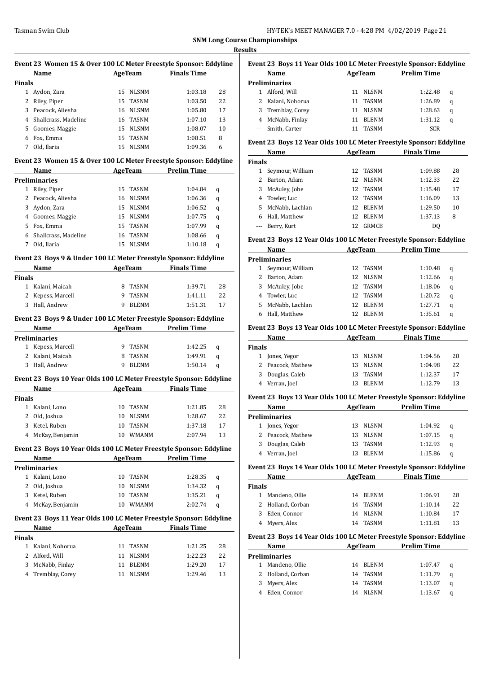|                | Event 23 Women 15 & Over 100 LC Meter Freestyle Sponsor: Eddyline                                                                                                                                                              |    |                |                                      |    |
|----------------|--------------------------------------------------------------------------------------------------------------------------------------------------------------------------------------------------------------------------------|----|----------------|--------------------------------------|----|
|                | Name                                                                                                                                                                                                                           |    |                | <b>Example 2 AgeTeam</b> Finals Time |    |
| <b>Finals</b>  |                                                                                                                                                                                                                                |    |                |                                      |    |
|                | 1 Aydon, Zara                                                                                                                                                                                                                  |    | 15 NLSNM       | 1:03.18                              | 28 |
| 2              | Riley, Piper                                                                                                                                                                                                                   | 15 | TASNM          | 1:03.50                              | 22 |
|                | 3 Peacock, Aliesha                                                                                                                                                                                                             |    | 16 NLSNM       | 1:05.80                              | 17 |
| 4              | Shallcrass, Madeline                                                                                                                                                                                                           | 16 | TASNM          | 1:07.10                              | 13 |
|                | 5 Goomes, Maggie                                                                                                                                                                                                               |    | 15 NLSNM       | 1:08.07                              | 10 |
| 6              | Fox, Emma                                                                                                                                                                                                                      | 15 | TASNM          | 1:08.51                              | 8  |
| 7              | Old, Ilaria                                                                                                                                                                                                                    | 15 | NLSNM          | 1:09.36                              | 6  |
|                | Event 23 Women 15 & Over 100 LC Meter Freestyle Sponsor: Eddyline                                                                                                                                                              |    |                |                                      |    |
|                | Name                                                                                                                                                                                                                           |    |                | AgeTeam Prelim Time                  |    |
|                | <b>Preliminaries</b>                                                                                                                                                                                                           |    |                |                                      |    |
| $\mathbf{1}$   | Riley, Piper                                                                                                                                                                                                                   |    | 15 TASNM       | 1:04.84                              | q  |
|                | 2 Peacock, Aliesha                                                                                                                                                                                                             |    | 16 NLSNM       | 1:06.36                              | q  |
| 3              | Aydon, Zara                                                                                                                                                                                                                    |    | 15 NLSNM       | 1:06.52                              | q  |
|                | 4 Goomes, Maggie                                                                                                                                                                                                               | 15 | NLSNM          | 1:07.75                              | q  |
| 5              | Fox, Emma                                                                                                                                                                                                                      | 15 | TASNM          | 1:07.99                              | q  |
| 6              | Shallcrass, Madeline                                                                                                                                                                                                           | 16 | <b>TASNM</b>   | 1:08.66                              | q  |
| $7^{\circ}$    | Old, Ilaria                                                                                                                                                                                                                    | 15 | <b>NLSNM</b>   | 1:10.18                              | q  |
|                | Event 23 Boys 9 & Under 100 LC Meter Freestyle Sponsor: Eddyline                                                                                                                                                               |    |                |                                      |    |
|                | Name                                                                                                                                                                                                                           |    | <b>AgeTeam</b> | <b>Finals Time</b>                   |    |
| <b>Finals</b>  |                                                                                                                                                                                                                                |    |                |                                      |    |
|                | 1 Kalani, Maicah                                                                                                                                                                                                               |    | 8 TASNM        | 1:39.71                              | 28 |
|                | 2 Kepess, Marcell                                                                                                                                                                                                              |    | 9 TASNM        | 1:41.11                              | 22 |
| 3              | Hall, Andrew                                                                                                                                                                                                                   | 9  | <b>BLENM</b>   | 1:51.31                              | 17 |
|                | Event 23 Boys 9 & Under 100 LC Meter Freestyle Sponsor: Eddyline                                                                                                                                                               |    |                |                                      |    |
|                | Name AgeTeam                                                                                                                                                                                                                   |    |                | <b>Prelim Time</b>                   |    |
|                | <b>Preliminaries</b>                                                                                                                                                                                                           |    |                |                                      |    |
|                | 1 Kepess, Marcell                                                                                                                                                                                                              |    | 9 TASNM        | 1:42.25                              | q  |
|                | 2 Kalani, Maicah                                                                                                                                                                                                               | 8  | <b>TASNM</b>   | 1:49.91                              | q  |
| 3              | Hall, Andrew                                                                                                                                                                                                                   | 9  | <b>BLENM</b>   | 1:50.14                              | q  |
|                | Event 23 Boys 10 Year Olds 100 LC Meter Freestyle Sponsor: Eddyline                                                                                                                                                            |    |                |                                      |    |
|                | Name                                                                                                                                                                                                                           |    |                | AgeTeam Finals Time                  |    |
| Finals         |                                                                                                                                                                                                                                |    |                |                                      |    |
|                | 1 Kalani, Lono                                                                                                                                                                                                                 |    | 10 TASNM       | 1:21.85                              | 28 |
|                | 2 Old, Joshua                                                                                                                                                                                                                  |    | 10 NLSNM       | 1:28.67                              | 22 |
| 3              | Ketel, Ruben                                                                                                                                                                                                                   |    | 10 TASNM       | 1:37.18                              | 17 |
| 4              | McKay, Benjamin                                                                                                                                                                                                                | 10 | <b>WMANM</b>   | 2:07.94                              | 13 |
|                | Event 23 Boys 10 Year Olds 100 LC Meter Freestyle Sponsor: Eddyline                                                                                                                                                            |    |                |                                      |    |
|                | Name and the state of the state of the state of the state of the state of the state of the state of the state of the state of the state of the state of the state of the state of the state of the state of the state of the s |    |                | AgeTeam Prelim Time                  |    |
|                | <b>Preliminaries</b>                                                                                                                                                                                                           |    |                |                                      |    |
|                | 1 Kalani, Lono                                                                                                                                                                                                                 | 10 | TASNM          | 1:28.35                              | q  |
|                | 2 Old, Joshua                                                                                                                                                                                                                  | 10 | <b>NLSNM</b>   | 1:34.32                              | q  |
|                | 3 Ketel, Ruben                                                                                                                                                                                                                 |    | 10 TASNM       | 1:35.21                              | q  |
|                | 4 McKay, Benjamin                                                                                                                                                                                                              |    | 10 WMANM       | 2:02.74                              | q  |
|                |                                                                                                                                                                                                                                |    |                |                                      |    |
|                | Event 23 Boys 11 Year Olds 100 LC Meter Freestyle Sponsor: Eddyline<br>Name                                                                                                                                                    |    |                | AgeTeam Finals Time                  |    |
| <b>Finals</b>  |                                                                                                                                                                                                                                |    |                |                                      |    |
|                | 1 Kalani, Nohorua                                                                                                                                                                                                              | 11 | TASNM          | 1:21.25                              | 28 |
| $\overline{2}$ | Alford, Will                                                                                                                                                                                                                   | 11 | NLSNM          | 1:22.23                              | 22 |
| 3              | McNabb, Finlay                                                                                                                                                                                                                 | 11 | BLENM          | 1:29.20                              | 17 |
|                | 4 Tremblay, Corey                                                                                                                                                                                                              | 11 | NLSNM          | 1:29.46                              | 13 |
|                |                                                                                                                                                                                                                                |    |                |                                      |    |
|                |                                                                                                                                                                                                                                |    |                |                                      |    |
|                |                                                                                                                                                                                                                                |    |                |                                      |    |

|   | Event 23  Boys 11 Year Olds 100 LC Meter Freestyle Sponsor: Eddyline |    |              |                    |   |
|---|----------------------------------------------------------------------|----|--------------|--------------------|---|
|   | Name                                                                 |    | AgeTeam      | <b>Prelim Time</b> |   |
|   | Preliminaries                                                        |    |              |                    |   |
|   | Alford, Will                                                         | 11 | <b>NLSNM</b> | 1:22.48            | q |
|   | 2 Kalani, Nohorua                                                    | 11 | <b>TASNM</b> | 1:26.89            | q |
|   | 3 Tremblay, Corey                                                    | 11 | <b>NLSNM</b> | 1:28.63            | q |
| 4 | McNabb, Finlay                                                       |    | <b>BLENM</b> | 1:31.12            | q |
|   | Smith, Carter                                                        |    | <b>TASNM</b> | <b>SCR</b>         |   |
|   |                                                                      |    |              |                    |   |

# **Event 23 Boys 12 Year Olds 100 LC Meter Freestyle Sponsor: Eddyline**

|               | Name             |     | AgeTeam      | <b>Finals Time</b> |    |
|---------------|------------------|-----|--------------|--------------------|----|
| <b>Finals</b> |                  |     |              |                    |    |
|               | Seymour, William | 12. | TASNM        | 1:09.88            | 28 |
| 2.            | Barton, Adam     | 12  | <b>NLSNM</b> | 1:12.33            | 22 |
| 3             | McAuley, Jobe    | 12  | <b>TASNM</b> | 1:15.48            | 17 |
|               | 4 Towler, Luc    | 12. | <b>TASNM</b> | 1:16.09            | 13 |
| 5.            | McNabb, Lachlan  | 12  | <b>BLENM</b> | 1:29.50            | 10 |
|               | Hall, Matthew    | 12  | <b>BLENM</b> | 1:37.13            | 8  |
|               | --- Berry, Kurt  | 12  | <b>GRMCB</b> | DO.                |    |

#### **Event 23 Boys 12 Year Olds 100 LC Meter Freestyle Sponsor: Eddyline**

|    | Name                 | <b>AgeTeam</b> |              | <b>Prelim Time</b> |   |
|----|----------------------|----------------|--------------|--------------------|---|
|    | <b>Preliminaries</b> |                |              |                    |   |
|    | Seymour, William     | 12.            | TASNM        | 1:10.48            | q |
|    | 2 Barton, Adam       | 12.            | NLSNM        | 1:12.66            | q |
| 3  | McAuley, Jobe        | 12             | TASNM        | 1:18.06            | q |
|    | 4 Towler, Luc        | 12             | TASNM        | 1:20.72            | q |
| 5. | McNabb, Lachlan      | 12             | <b>BLENM</b> | 1:27.71            | q |
|    | Hall, Matthew        |                | <b>BLENM</b> | 1:35.61            | a |

#### **Event 23 Boys 13 Year Olds 100 LC Meter Freestyle Sponsor: Eddyline**

| Name              | AgeTeam            | <b>Finals Time</b> |    |
|-------------------|--------------------|--------------------|----|
| <b>Finals</b>     |                    |                    |    |
| 1 Jones, Yegor    | NLSNM<br>13.       | 1:04.56            | 28 |
| 2 Peacock, Mathew | <b>NLSNM</b><br>13 | 1:04.98            | 22 |
| 3 Douglas, Caleb  | TASNM<br>13.       | 1:12.37            | 17 |
| 4 Verran, Joel    | <b>BLENM</b><br>13 | 1:12.79            | 13 |
|                   |                    |                    |    |

#### **Event 23 Boys 13 Year Olds 100 LC Meter Freestyle Sponsor: Eddyline**

| Name                 |    | AgeTeam      | <b>Prelim Time</b> |   |
|----------------------|----|--------------|--------------------|---|
| <b>Preliminaries</b> |    |              |                    |   |
| 1 Jones, Yegor       |    | 13 NLSNM     | 1:04.92            | a |
| 2 Peacock, Mathew    | 13 | NLSNM        | 1:07.15            | q |
| 3 Douglas, Caleb     | 13 | TASNM        | 1:12.93            | a |
| 4 Verran, Joel       | 13 | <b>BLENM</b> | 1:15.86            | a |

#### **Event 23 Boys 14 Year Olds 100 LC Meter Freestyle Sponsor: Eddyline**

|        | Name              |    | AgeTeam  | <b>Finals Time</b> |    |
|--------|-------------------|----|----------|--------------------|----|
| Finals |                   |    |          |                    |    |
|        | Mandeno, Ollie    |    | 14 BLENM | 1:06.91            | 28 |
|        | 2 Holland, Corban |    | 14 TASNM | 1:10.14            | 22 |
| 3      | Eden, Connor      |    | 14 NLSNM | 1:10.84            | 17 |
|        | 4 Myers, Alex     | 14 | TASNM    | 1:11.81            | 13 |

#### **Event 23 Boys 14 Year Olds 100 LC Meter Freestyle Sponsor: Eddyline**

| Name              |    | AgeTeam  | <b>Prelim Time</b> |   |
|-------------------|----|----------|--------------------|---|
| Preliminaries     |    |          |                    |   |
| Mandeno, Ollie    |    | 14 BLENM | 1:07.47            | a |
| 2 Holland, Corban |    | 14 TASNM | 1:11.79            | a |
| 3 Myers, Alex     |    | 14 TASNM | 1:13.07            | a |
| Eden, Connor      | 14 | NLSNM    | 1:13.67            | a |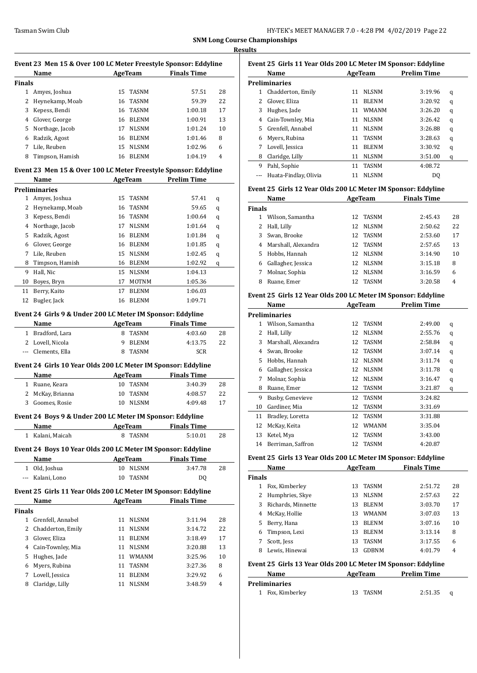| HY-TEK's MEET MANAGER 7.0 - 4:28 PM 4/02/2019 Page 22 |  |
|-------------------------------------------------------|--|
|-------------------------------------------------------|--|

|                | Event 23 Men 15 & Over 100 LC Meter Freestyle Sponsor: Eddyline       |    |                |                    |    |
|----------------|-----------------------------------------------------------------------|----|----------------|--------------------|----|
|                | Name                                                                  |    | <b>AgeTeam</b> | <b>Finals Time</b> |    |
| <b>Finals</b>  |                                                                       |    |                |                    |    |
|                | 1 Amyes, Joshua                                                       | 15 | <b>TASNM</b>   | 57.51              | 28 |
| 2              | Heynekamp, Moab                                                       | 16 | <b>TASNM</b>   | 59.39              | 22 |
| 3              | Kepess, Bendi                                                         | 16 | <b>TASNM</b>   | 1:00.18            | 17 |
| 4              | Glover, George                                                        |    | 16 BLENM       | 1:00.91            | 13 |
| 5.             | Northage, Jacob                                                       | 17 | <b>NLSNM</b>   | 1:01.24            | 10 |
| 6              | Radzik, Agost                                                         |    | 16 BLENM       | 1:01.46            | 8  |
| 7              | Lile, Reuben                                                          |    | 15 NLSNM       | 1:02.96            | 6  |
| 8              | Timpson, Hamish                                                       |    | 16 BLENM       | 1:04.19            | 4  |
|                | Event 23 Men 15 & Over 100 LC Meter Freestyle Sponsor: Eddyline       |    |                |                    |    |
|                | Name                                                                  |    | <b>AgeTeam</b> | <b>Prelim Time</b> |    |
|                | <b>Preliminaries</b>                                                  |    |                |                    |    |
|                | 1 Amyes, Joshua                                                       | 15 | <b>TASNM</b>   | 57.41              | q  |
| $\mathbf{2}$   | Heynekamp, Moab                                                       | 16 | TASNM          | 59.65              | q  |
| 3              | Kepess, Bendi                                                         | 16 | TASNM          | 1:00.64            | q  |
| 4              | Northage, Jacob                                                       | 17 | <b>NLSNM</b>   | 1:01.64            | q  |
| 5              | Radzik, Agost                                                         |    | 16 BLENM       | 1:01.84            | q  |
| 6              | Glover, George                                                        |    | 16 BLENM       | 1:01.85            | q  |
| 7              | Lile, Reuben                                                          |    | 15 NLSNM       | 1:02.45            | q  |
| 8              | Timpson, Hamish                                                       |    | 16 BLENM       | 1:02.92            | q  |
| 9              | Hall, Nic                                                             |    | 15 NLSNM       | 1:04.13            |    |
| 10             | Boyes, Bryn                                                           | 17 | <b>MOTNM</b>   | 1:05.36            |    |
| 11             | Berry, Kaito                                                          | 17 | <b>BLENM</b>   | 1:06.03            |    |
| 12             | Bugler, Jack                                                          | 16 | <b>BLENM</b>   | 1:09.71            |    |
|                | Event 24 Girls 9 & Under 200 LC Meter IM Sponsor: Eddyline            |    |                |                    |    |
|                | Name                                                                  |    | <b>AgeTeam</b> | <b>Finals Time</b> |    |
|                | 1 Bradford, Lara                                                      |    | 8 TASNM        | 4:03.60            | 28 |
|                | 2 Lovell, Nicola                                                      | 9  | BLENM          | 4:13.75            | 22 |
|                | --- Clements, Ella                                                    | 8  | <b>TASNM</b>   | SCR                |    |
|                |                                                                       |    |                |                    |    |
|                | Event 24 Girls 10 Year Olds 200 LC Meter IM Sponsor: Eddyline<br>Name |    | AgeTeam        | <b>Finals Time</b> |    |
| $\mathbf{1}$   | Ruane, Keara                                                          | 10 | <b>TASNM</b>   | 3:40.39            | 28 |
| 2              | McKay, Brianna                                                        | 10 | <b>TASNM</b>   | 4:08.57            | 22 |
|                | Goomes, Rosie                                                         |    | 10 NLSNM       | 4:09.48            | 17 |
|                |                                                                       |    |                |                    |    |
|                | Event 24 Boys 9 & Under 200 LC Meter IM Sponsor: Eddyline             |    |                |                    |    |
|                | Name                                                                  |    | <b>AgeTeam</b> | <b>Finals Time</b> |    |
|                | 1 Kalani, Maicah                                                      | 8  | <b>TASNM</b>   | 5:10.01            | 28 |
|                | Event 24 Boys 10 Year Olds 200 LC Meter IM Sponsor: Eddyline          |    |                |                    |    |
|                | Name                                                                  |    | AgeTeam        | <b>Finals Time</b> |    |
|                | 1 Old, Joshua                                                         |    | 10 NLSNM       | 3:47.78            | 28 |
|                | --- Kalani, Lono                                                      | 10 | TASNM          | DQ                 |    |
|                | Event 25 Girls 11 Year Olds 200 LC Meter IM Sponsor: Eddyline         |    |                |                    |    |
|                | Name                                                                  |    | AgeTeam        | <b>Finals Time</b> |    |
|                |                                                                       |    |                |                    |    |
| <b>Finals</b>  |                                                                       |    |                |                    |    |
|                | 1 Grenfell, Annabel                                                   | 11 | <b>NLSNM</b>   | 3:11.94            | 28 |
| $\overline{2}$ | Chadderton, Emily                                                     | 11 | <b>NLSNM</b>   | 3:14.72            | 22 |
| 3              | Glover, Eliza                                                         | 11 | <b>BLENM</b>   | 3:18.49            | 17 |

|       | Name              |    | AgeTeam      | <b>Finals Time</b> |    |
|-------|-------------------|----|--------------|--------------------|----|
| inals |                   |    |              |                    |    |
|       | Grenfell, Annabel | 11 | <b>NLSNM</b> | 3:11.94            | 28 |
|       | Chadderton, Emily | 11 | <b>NLSNM</b> | 3:14.72            | 22 |
|       | Glover, Eliza     | 11 | <b>BLENM</b> | 3:18.49            | 17 |
| 4     | Cain-Townley, Mia | 11 | <b>NLSNM</b> | 3:20.88            | 13 |
| 5.    | Hughes, Jade      | 11 | WMANM        | 3:25.96            | 10 |
| 6     | Myers, Rubina     | 11 | <b>TASNM</b> | 3:27.36            | 8  |
|       | Lovell, Jessica   | 11 | <b>BLENM</b> | 3:29.92            | 6  |
| 8     | Claridge, Lilly   |    | <b>NLSNM</b> | 3:48.59            | 4  |

|   | Event 25 Girls 11 Year Olds 200 LC Meter IM Sponsor: Eddyline<br>Name |    | AgeTeam      | <b>Prelim Time</b> |   |
|---|-----------------------------------------------------------------------|----|--------------|--------------------|---|
|   | <b>Preliminaries</b>                                                  |    |              |                    |   |
| 1 | Chadderton, Emily                                                     | 11 | <b>NLSNM</b> | 3:19.96            | q |
| 2 | Glover, Eliza                                                         | 11 | <b>BLENM</b> | 3:20.92            | q |
| 3 | Hughes, Jade                                                          | 11 | <b>WMANM</b> | 3:26.20            | q |
| 4 | Cain-Townley, Mia                                                     | 11 | <b>NLSNM</b> | 3:26.42            | q |
| 5 | Grenfell, Annabel                                                     | 11 | <b>NLSNM</b> | 3:26.88            | q |
| 6 | Myers, Rubina                                                         | 11 | <b>TASNM</b> | 3:28.63            | q |
| 7 | Lovell, Jessica                                                       | 11 | <b>BLENM</b> | 3:30.92            | q |
| 8 | Claridge, Lilly                                                       | 11 | <b>NLSNM</b> | 3:51.00            | q |
| 9 | Pahl, Sophie                                                          | 11 | <b>TASNM</b> | 4:08.72            |   |
|   | Huata-Findlay, Olivia                                                 | 11 | <b>NLSNM</b> | DO                 |   |
|   |                                                                       |    |              |                    |   |

#### **Event 25 Girls 12 Year Olds 200 LC Meter IM Sponsor: Eddyline**

|               | Name                |     | AgeTeam      | <b>Finals Time</b> |    |
|---------------|---------------------|-----|--------------|--------------------|----|
| <b>Finals</b> |                     |     |              |                    |    |
|               | Wilson, Samantha    |     | 12 TASNM     | 2:45.43            | 28 |
| 2             | Hall, Lilly         | 12. | <b>NLSNM</b> | 2:50.62            | 22 |
| 3             | Swan, Brooke        |     | 12 TASNM     | 2:53.60            | 17 |
| 4             | Marshall, Alexandra |     | 12 TASNM     | 2:57.65            | 13 |
| 5.            | Hobbs, Hannah       |     | 12 NLSNM     | 3:14.90            | 10 |
| 6             | Gallagher, Jessica  |     | 12 NLSNM     | 3:15.18            | 8  |
| 7             | Molnar, Sophia      | 12  | <b>NLSNM</b> | 3:16.59            | 6  |
| 8             | Ruane, Emer         | 12. | <b>TASNM</b> | 3:20.58            | 4  |

# **Event 25 Girls 12 Year Olds 200 LC Meter IM Sponsor: Eddyline**

|    | Name                 |    | <b>AgeTeam</b> | <b>Prelim Time</b> |   |
|----|----------------------|----|----------------|--------------------|---|
|    | <b>Preliminaries</b> |    |                |                    |   |
| 1  | Wilson, Samantha     | 12 | <b>TASNM</b>   | 2:49.00            | q |
| 2  | Hall, Lilly          | 12 | <b>NLSNM</b>   | 2:55.76            | q |
| 3  | Marshall, Alexandra  | 12 | <b>TASNM</b>   | 2:58.84            | q |
| 4  | Swan, Brooke         | 12 | <b>TASNM</b>   | 3:07.14            | q |
| 5. | Hobbs, Hannah        | 12 | <b>NLSNM</b>   | 3:11.74            | q |
| 6  | Gallagher, Jessica   | 12 | <b>NLSNM</b>   | 3:11.78            | q |
| 7  | Molnar, Sophia       | 12 | <b>NLSNM</b>   | 3:16.47            | q |
| 8  | Ruane, Emer          | 12 | <b>TASNM</b>   | 3:21.87            | q |
| 9  | Busby, Genevieve     | 12 | <b>TASNM</b>   | 3:24.82            |   |
| 10 | Gardiner, Mia        | 12 | <b>TASNM</b>   | 3:31.69            |   |
| 11 | Bradley, Loretta     | 12 | <b>TASNM</b>   | 3:31.88            |   |
| 12 | McKay, Keita         | 12 | <b>WMANM</b>   | 3:35.04            |   |
| 13 | Ketel, Mya           | 12 | <b>TASNM</b>   | 3:43.00            |   |
| 14 | Berriman, Saffron    | 12 | <b>TASNM</b>   | 4:20.87            |   |

# **Event 25 Girls 13 Year Olds 200 LC Meter IM Sponsor: Eddyline**

|               | Name               |    | AgeTeam      | <b>Finals Time</b> |    |
|---------------|--------------------|----|--------------|--------------------|----|
| <b>Finals</b> |                    |    |              |                    |    |
|               | Fox, Kimberley     | 13 | <b>TASNM</b> | 2:51.72            | 28 |
| 2             | Humphries, Skye    | 13 | <b>NLSNM</b> | 2:57.63            | 22 |
| 3             | Richards, Minnette | 13 | <b>BLENM</b> | 3:03.70            | 17 |
| 4             | McKay, Hollie      | 13 | <b>WMANM</b> | 3:07.03            | 13 |
| 5.            | Berry, Hana        | 13 | <b>BLENM</b> | 3:07.16            | 10 |
| 6             | Timpson, Lexi      | 13 | <b>BLENM</b> | 3:13.14            | 8  |
|               | Scott, Jess        | 13 | <b>TASNM</b> | 3:17.55            | 6  |
| 8             | Lewis. Hinewai     | 13 | GDRNM        | 4:01.79            | 4  |
|               |                    |    |              |                    |    |

# **Event 25 Girls 13 Year Olds 200 LC Meter IM Sponsor: Eddyline**

| Name                 | AgeTeam  | <b>Prelim Time</b> |  |
|----------------------|----------|--------------------|--|
| <b>Preliminaries</b> |          |                    |  |
| 1 Fox, Kimberley     | 13 TASNM | 2:51.35            |  |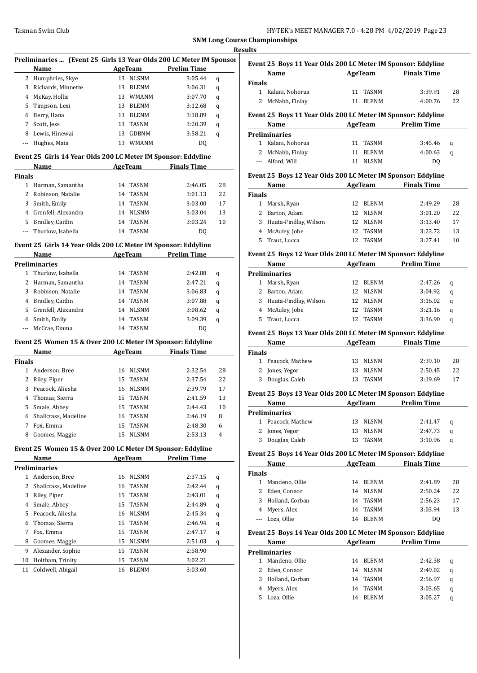| HY-TEK's MEET MANAGER 7.0 - 4:28 PM 4/02/2019 Page 23 |  |
|-------------------------------------------------------|--|
|-------------------------------------------------------|--|

|               |                                                                       |                     |                    |    | <b>Results</b>                                                                                                                                                                            |
|---------------|-----------------------------------------------------------------------|---------------------|--------------------|----|-------------------------------------------------------------------------------------------------------------------------------------------------------------------------------------------|
|               | Preliminaries  (Event 25 Girls 13 Year Olds 200 LC Meter IM Sponsor   |                     |                    |    | <b>Event 2</b>                                                                                                                                                                            |
|               | Name                                                                  | <b>AgeTeam</b>      | <b>Prelim Time</b> |    |                                                                                                                                                                                           |
|               | 2 Humphries, Skye                                                     | 13 NLSNM            | 3:05.44            | q  |                                                                                                                                                                                           |
|               | 3 Richards, Minnette                                                  | 13 BLENM            | 3:06.31            | q  | Finals<br>1 K                                                                                                                                                                             |
|               | 4 McKay, Hollie                                                       | 13 WMANM            | 3:07.70            | q  | 2 N                                                                                                                                                                                       |
|               | 5 Timpson, Lexi                                                       | 13 BLENM            | 3:12.68            | q  |                                                                                                                                                                                           |
|               | 6 Berry, Hana                                                         | 13 BLENM            | 3:18.89            | q  | Event 2                                                                                                                                                                                   |
| 7             | Scott, Jess                                                           | TASNM<br>13         | 3:20.39            | q  |                                                                                                                                                                                           |
|               | 8 Lewis, Hinewai                                                      | 13 GDBNM            | 3:58.21            | q  | Prelimi                                                                                                                                                                                   |
| ---           | Hughes, Maia                                                          | 13<br>WMANM         | DQ                 |    | 1 K                                                                                                                                                                                       |
|               | Event 25 Girls 14 Year Olds 200 LC Meter IM Sponsor: Eddyline         |                     |                    |    | 2 N                                                                                                                                                                                       |
|               | Name                                                                  | AgeTeam             | <b>Finals Time</b> |    | --- A                                                                                                                                                                                     |
| <b>Finals</b> |                                                                       |                     |                    |    | <b>Event 2</b>                                                                                                                                                                            |
|               | 1 Harman, Samantha                                                    | 14 TASNM            | 2:46.05            | 28 |                                                                                                                                                                                           |
|               | 2 Robinson, Natalie                                                   | TASNM<br>14         | 3:01.13            | 22 | <b>Finals</b>                                                                                                                                                                             |
| 3             | Smith, Emily                                                          | 14<br>TASNM         | 3:03.00            | 17 | 1 N                                                                                                                                                                                       |
|               | 4 Grenfell, Alexandra                                                 | 14 NLSNM            | 3:03.04            | 13 | $2 \text{ } B$                                                                                                                                                                            |
|               | 5 Bradley, Caitlin                                                    | 14 TASNM            | 3:03.24            | 10 | 3H                                                                                                                                                                                        |
| $---$         | Thurlow, Isabella                                                     | 14 TASNM            | DQ                 |    | 4 N                                                                                                                                                                                       |
|               |                                                                       |                     |                    |    | 5                                                                                                                                                                                         |
|               | Event 25 Girls 14 Year Olds 200 LC Meter IM Sponsor: Eddyline<br>Name | AgeTeam Prelim Time |                    |    | <b>Event 2</b>                                                                                                                                                                            |
|               | <b>Preliminaries</b>                                                  |                     |                    |    |                                                                                                                                                                                           |
|               | 1 Thurlow, Isabella                                                   | 14 TASNM            | 2:42.88            | q  | Prelimi                                                                                                                                                                                   |
|               | 2 Harman, Samantha                                                    | 14 TASNM            | 2:47.21            | q  |                                                                                                                                                                                           |
|               | 3 Robinson, Natalie                                                   | 14 TASNM            | 3:06.83            | q  | 1 M<br>2 B                                                                                                                                                                                |
|               | 4 Bradley, Caitlin                                                    | 14 TASNM            | 3:07.88            | q  | 3                                                                                                                                                                                         |
| 5             | Grenfell, Alexandra                                                   | 14 NLSNM            | 3:08.62            | q  | 4                                                                                                                                                                                         |
|               | 6 Smith, Emily                                                        | TASNM<br>14         | 3:09.39            | q  | 5                                                                                                                                                                                         |
| ---           | McCrae, Emma                                                          | 14 TASNM            | DQ                 |    |                                                                                                                                                                                           |
|               |                                                                       |                     |                    |    | <b>Event 2</b>                                                                                                                                                                            |
|               |                                                                       |                     |                    |    |                                                                                                                                                                                           |
|               | Event 25 Women 15 & Over 200 LC Meter IM Sponsor: Eddyline            |                     |                    |    |                                                                                                                                                                                           |
|               | Name                                                                  | <b>AgeTeam</b>      | <b>Finals Time</b> |    |                                                                                                                                                                                           |
|               |                                                                       |                     |                    |    |                                                                                                                                                                                           |
|               | 1 Anderson, Bree                                                      | 16 NLSNM            | 2:32.54            | 28 |                                                                                                                                                                                           |
|               | 2 Riley, Piper                                                        | 15<br>TASNM         | 2:37.54            | 22 |                                                                                                                                                                                           |
|               | 3 Peacock, Aliesha                                                    | 16 NLSNM            | 2:39.79            | 17 |                                                                                                                                                                                           |
| 4             | Thomas, Sierra                                                        | 15<br>TASNM         | 2:41.59            | 13 |                                                                                                                                                                                           |
| 5             | Smale, Abbey                                                          | TASNM<br>15         | 2:44.43            | 10 |                                                                                                                                                                                           |
| 6             | Shallcrass, Madeline                                                  | 16<br>TASNM         | 2:46.19            | 8  |                                                                                                                                                                                           |
| 7             | Fox, Emma                                                             | 15<br><b>TASNM</b>  | 2:48.30            | 6  |                                                                                                                                                                                           |
| 8             | Goomes, Maggie                                                        | 15<br><b>NLSNM</b>  | 2:53.13            | 4  |                                                                                                                                                                                           |
|               | Event 25 Women 15 & Over 200 LC Meter IM Sponsor: Eddyline            |                     |                    |    |                                                                                                                                                                                           |
|               | Name                                                                  | <b>AgeTeam</b>      | <b>Prelim Time</b> |    |                                                                                                                                                                                           |
|               | <b>Preliminaries</b>                                                  |                     |                    |    |                                                                                                                                                                                           |
|               | 1 Anderson, Bree                                                      | 16 NLSNM            | 2:37.15            | q  |                                                                                                                                                                                           |
| 2             | Shallcrass, Madeline                                                  | 16<br><b>TASNM</b>  | 2:42.44            | q  |                                                                                                                                                                                           |
| 3             | Riley, Piper                                                          | <b>TASNM</b><br>15  | 2:43.01            | q  |                                                                                                                                                                                           |
|               | 4 Smale, Abbey                                                        | 15<br>TASNM         | 2:44.89            | q  |                                                                                                                                                                                           |
|               | 5 Peacock, Aliesha                                                    | <b>NLSNM</b><br>16  | 2:45.34            | q  |                                                                                                                                                                                           |
| 6             | Thomas, Sierra                                                        | 15<br>TASNM         | 2:46.94            | q  |                                                                                                                                                                                           |
| 7             | Fox, Emma                                                             | TASNM<br>15         | 2:47.17            | q  |                                                                                                                                                                                           |
| 8             | Goomes, Maggie                                                        | 15<br><b>NLSNM</b>  | 2:51.03            | q  |                                                                                                                                                                                           |
| 9             | Alexander, Sophie                                                     | 15<br>TASNM         | 2:58.90            |    |                                                                                                                                                                                           |
| 10            | Holtham, Trinity                                                      | TASNM<br>15         | 3:02.21            |    |                                                                                                                                                                                           |
| 11            | Coldwell, Abigail                                                     | BLENM<br>16         | 3:03.60            |    |                                                                                                                                                                                           |
| <b>Finals</b> |                                                                       |                     |                    |    | Finals<br>$1$ P<br>$2 \leq$<br>3D<br>Event <sub>2</sub><br>Prelimi<br>$1$ P<br>$2 \int$<br>3 D<br><b>Event 2</b><br>Finals<br>1 N<br>2<br>3<br>4 N<br>Event 2<br>Prelimi<br>1 N<br>2<br>3 |
|               |                                                                       |                     |                    |    | 4                                                                                                                                                                                         |
|               |                                                                       |                     |                    |    | 5 L                                                                                                                                                                                       |
|               |                                                                       |                     |                    |    |                                                                                                                                                                                           |

|                    | Event 25 Boys 11 Year Olds 200 LC Meter IM Sponsor: Eddyline<br>Name                                                                                                                                                                                                                           |                                          | <b>Example 2 AgeTeam</b> Finals Time  |          |
|--------------------|------------------------------------------------------------------------------------------------------------------------------------------------------------------------------------------------------------------------------------------------------------------------------------------------|------------------------------------------|---------------------------------------|----------|
| <b>Finals</b>      |                                                                                                                                                                                                                                                                                                |                                          |                                       |          |
|                    | 1 Kalani, Nohorua                                                                                                                                                                                                                                                                              | 11<br>TASNM                              | 3:39.91                               | 28       |
|                    | 2 McNabb, Finlay                                                                                                                                                                                                                                                                               | 11 BLENM                                 | 4:00.76                               | 22       |
|                    | Event 25 Boys 11 Year Olds 200 LC Meter IM Sponsor: Eddyline                                                                                                                                                                                                                                   |                                          |                                       |          |
|                    | <b>Name</b>                                                                                                                                                                                                                                                                                    |                                          | <b>Example 21 AgeTeam</b> Prelim Time |          |
|                    | <b>Preliminaries</b>                                                                                                                                                                                                                                                                           |                                          |                                       |          |
|                    | 1 Kalani, Nohorua                                                                                                                                                                                                                                                                              | 11<br>TASNM                              | 3:45.46                               | q        |
|                    | 2 McNabb, Finlay                                                                                                                                                                                                                                                                               | 11<br><b>BLENM</b>                       | 4:00.63                               | q        |
|                    | --- Alford, Will                                                                                                                                                                                                                                                                               | 11 NLSNM                                 | DQ                                    |          |
|                    |                                                                                                                                                                                                                                                                                                |                                          |                                       |          |
|                    | Event 25 Boys 12 Year Olds 200 LC Meter IM Sponsor: Eddyline<br>Name                                                                                                                                                                                                                           |                                          | AgeTeam Finals Time                   |          |
| <b>Finals</b>      |                                                                                                                                                                                                                                                                                                |                                          |                                       |          |
|                    | 1 Marsh, Ryan                                                                                                                                                                                                                                                                                  | 12 BLENM                                 | 2:49.29                               | 28       |
|                    | 2 Barton, Adam                                                                                                                                                                                                                                                                                 | 12 NLSNM                                 | 3:01.20                               | 22       |
|                    | 3 Huata-Findlay, Wilson                                                                                                                                                                                                                                                                        | 12 NLSNM                                 | 3:13.40                               | 17       |
|                    | 4 McAuley, Jobe                                                                                                                                                                                                                                                                                | 12 TASNM                                 | 3:23.72                               | 13       |
|                    | 5 Traut, Lucca                                                                                                                                                                                                                                                                                 | 12 TASNM                                 | 3:27.41                               | 10       |
|                    |                                                                                                                                                                                                                                                                                                |                                          |                                       |          |
|                    | Event 25 Boys 12 Year Olds 200 LC Meter IM Sponsor: Eddyline<br>Name and the second second second second second second second second second second second second second second second second second second second second second second second second second second second second second second |                                          | AgeTeam Prelim Time                   |          |
|                    | <b>Preliminaries</b>                                                                                                                                                                                                                                                                           |                                          |                                       |          |
| 1                  | Marsh, Ryan                                                                                                                                                                                                                                                                                    | 12<br>BLENM                              | 2:47.26                               | q        |
|                    | 2 Barton, Adam                                                                                                                                                                                                                                                                                 | 12<br>NLSNM                              | 3:04.92                               | q        |
|                    | 3 Huata-Findlay, Wilson                                                                                                                                                                                                                                                                        | 12 NLSNM                                 | 3:16.02                               | q        |
|                    | 4 McAuley, Jobe                                                                                                                                                                                                                                                                                | 12<br>TASNM                              | 3:21.16                               | q        |
| 5                  | Traut, Lucca                                                                                                                                                                                                                                                                                   | 12<br><b>TASNM</b>                       | 3:36.90                               | q        |
|                    |                                                                                                                                                                                                                                                                                                |                                          |                                       |          |
|                    | Event 25 Boys 13 Year Olds 200 LC Meter IM Sponsor: Eddyline<br>Name                                                                                                                                                                                                                           | <b>Example 2</b> AgeTeam                 | <b>Finals Time</b>                    |          |
| <b>Finals</b>      |                                                                                                                                                                                                                                                                                                |                                          |                                       |          |
|                    | 1 Peacock, Mathew                                                                                                                                                                                                                                                                              | 13 NLSNM                                 | 2:39.10                               | 28       |
|                    | 2 Jones, Yegor                                                                                                                                                                                                                                                                                 | 13 NLSNM                                 | 2:50.45                               | 22       |
|                    | 3 Douglas, Caleb                                                                                                                                                                                                                                                                               | 13 TASNM                                 | 3:19.69                               | 17       |
|                    |                                                                                                                                                                                                                                                                                                |                                          |                                       |          |
|                    | Event 25 Boys 13 Year Olds 200 LC Meter IM Sponsor: Eddyline<br>Name                                                                                                                                                                                                                           |                                          | AgeTeam Prelim Time                   |          |
|                    |                                                                                                                                                                                                                                                                                                |                                          |                                       |          |
| 1                  | Preliminaries<br>Peacock, Mathew                                                                                                                                                                                                                                                               | 13<br>NLSNM                              | 2:41.47                               | q        |
| 2                  | Jones, Yegor                                                                                                                                                                                                                                                                                   | 13<br>NLSNM                              | 2:47.73                               | q        |
| 3                  | Douglas, Caleb                                                                                                                                                                                                                                                                                 | <b>TASNM</b><br>13                       | 3:10.96                               | q        |
|                    |                                                                                                                                                                                                                                                                                                |                                          |                                       |          |
|                    | Event 25 Boys 14 Year Olds 200 LC Meter IM Sponsor: Eddyline                                                                                                                                                                                                                                   | AgeTeam                                  | <b>Finals Time</b>                    |          |
|                    |                                                                                                                                                                                                                                                                                                |                                          |                                       |          |
|                    | Name                                                                                                                                                                                                                                                                                           |                                          |                                       |          |
|                    |                                                                                                                                                                                                                                                                                                | 14                                       |                                       |          |
|                    | 1 Mandeno, Ollie                                                                                                                                                                                                                                                                               | <b>BLENM</b><br>14                       | 2:41.89                               | 28       |
|                    | 2 Eden, Connor<br>3 Holland, Corban                                                                                                                                                                                                                                                            | NLSNM<br>14                              | 2:50.24<br>2:56.23                    | 22<br>17 |
|                    |                                                                                                                                                                                                                                                                                                | TASNM<br>14<br><b>TASNM</b>              |                                       |          |
| ---                | 4 Myers, Alex<br>Loza, Ollie                                                                                                                                                                                                                                                                   | <b>BLENM</b><br>14                       | 3:03.94<br>DQ                         | 13       |
|                    |                                                                                                                                                                                                                                                                                                |                                          |                                       |          |
|                    | Event 25 Boys 14 Year Olds 200 LC Meter IM Sponsor: Eddyline                                                                                                                                                                                                                                   |                                          |                                       |          |
|                    | Name                                                                                                                                                                                                                                                                                           | AgeTeam                                  | <b>Prelim Time</b>                    |          |
|                    | <b>Preliminaries</b>                                                                                                                                                                                                                                                                           |                                          |                                       |          |
| $\mathbf{1}$       | Mandeno, Ollie                                                                                                                                                                                                                                                                                 | 14<br><b>BLENM</b>                       | 2:42.38                               | q        |
| 2                  | Eden, Connor                                                                                                                                                                                                                                                                                   | 14<br>NLSNM                              | 2:49.02                               | q        |
| <b>Finals</b><br>3 | Holland, Corban                                                                                                                                                                                                                                                                                | 14<br>TASNM                              | 2:56.97                               | q        |
| 4<br>5             | Myers, Alex<br>Loza, Ollie                                                                                                                                                                                                                                                                     | 14<br><b>TASNM</b><br><b>BLENM</b><br>14 | 3:03.65<br>3:05.27                    | q<br>q   |